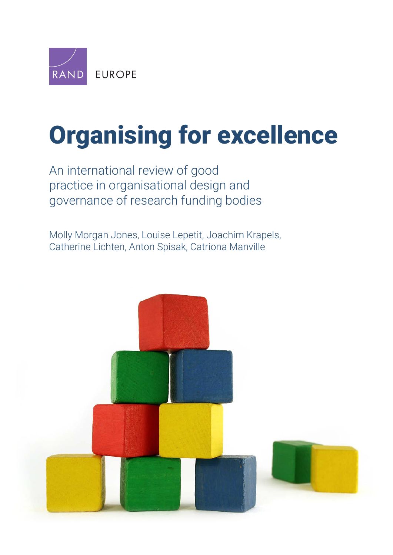

# [Organising for excellence](https://www.rand.org/pubs/research_reports/RR1711.html)

An international review of good practice in organisational design and governance of research funding bodies

Molly Morgan Jones, Louise Lepetit, Joachim Krapels, Catherine Lichten, Anton Spisak, Catriona Manville

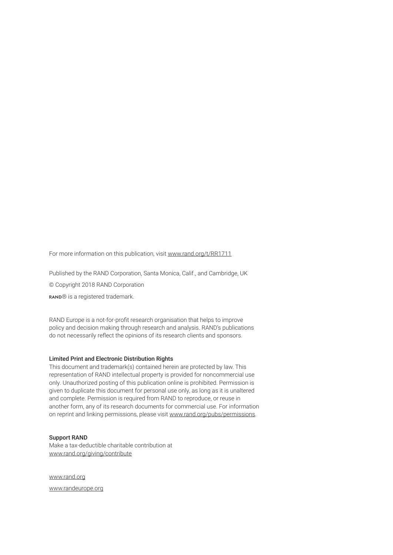For more information on this publication, visit [www.rand.org/t/RR1711](http://www.rand.org/t/RR1711)

Published by the RAND Corporation, Santa Monica, Calif., and Cambridge, UK

© Copyright 2018 RAND Corporation

RAND® is a registered trademark.

RAND Europe is a not-for-profit research organisation that helps to improve policy and decision making through research and analysis. RAND's publications do not necessarily reflect the opinions of its research clients and sponsors.

#### Limited Print and Electronic Distribution Rights

This document and trademark(s) contained herein are protected by law. This representation of RAND intellectual property is provided for noncommercial use only. Unauthorized posting of this publication online is prohibited. Permission is given to duplicate this document for personal use only, as long as it is unaltered and complete. Permission is required from RAND to reproduce, or reuse in another form, any of its research documents for commercial use. For information on reprint and linking permissions, please visit [www.rand.org/pubs/permissions.](http://www.rand.org/pubs/permissions)

#### Support RAND

Make a tax-deductible charitable contribution at [www.rand.org/giving/contribute](http://www.rand.org/giving/contribute)

[www.rand.org](http://www.rand.org)

[www.randeurope.org](http://www.randeurope.org)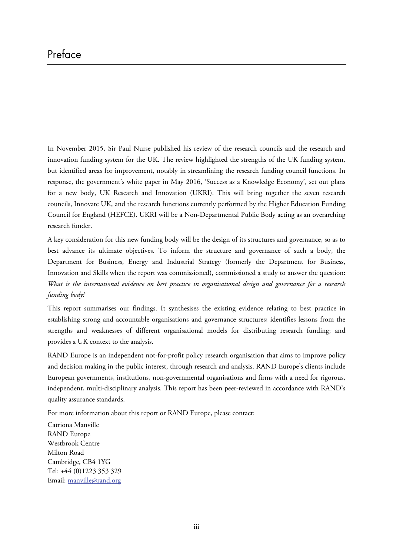In November 2015, Sir Paul Nurse published his review of the research councils and the research and innovation funding system for the UK. The review highlighted the strengths of the UK funding system, but identified areas for improvement, notably in streamlining the research funding council functions. In response, the government's white paper in May 2016, 'Success as a Knowledge Economy', set out plans for a new body, UK Research and Innovation (UKRI). This will bring together the seven research councils, Innovate UK, and the research functions currently performed by the Higher Education Funding Council for England (HEFCE). UKRI will be a Non-Departmental Public Body acting as an overarching research funder.

A key consideration for this new funding body will be the design of its structures and governance, so as to best advance its ultimate objectives. To inform the structure and governance of such a body, the Department for Business, Energy and Industrial Strategy (formerly the Department for Business, Innovation and Skills when the report was commissioned), commissioned a study to answer the question: *What is the international evidence on best practice in organisational design and governance for a research funding body?*

This report summarises our findings. It synthesises the existing evidence relating to best practice in establishing strong and accountable organisations and governance structures; identifies lessons from the strengths and weaknesses of different organisational models for distributing research funding; and provides a UK context to the analysis.

RAND Europe is an independent not-for-profit policy research organisation that aims to improve policy and decision making in the public interest, through research and analysis. RAND Europe's clients include European governments, institutions, non-governmental organisations and firms with a need for rigorous, independent, multi-disciplinary analysis. This report has been peer-reviewed in accordance with RAND's quality assurance standards.

For more information about this report or RAND Europe, please contact:

Catriona Manville RAND Europe Westbrook Centre Milton Road Cambridge, CB4 1YG Tel: +44 (0)1223 353 329 Email: [manville@rand.org](mailto:manville@rand.org)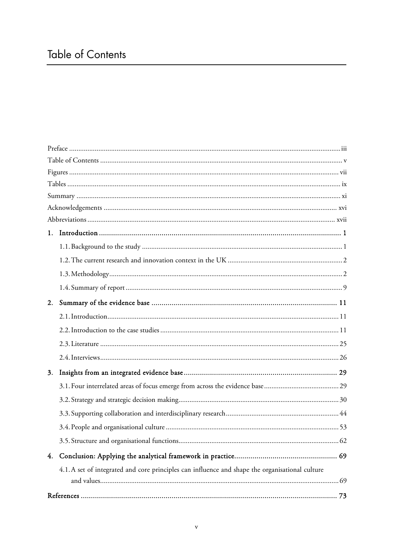| 1. |                                                                                                |  |  |
|----|------------------------------------------------------------------------------------------------|--|--|
|    |                                                                                                |  |  |
|    |                                                                                                |  |  |
|    |                                                                                                |  |  |
|    |                                                                                                |  |  |
| 2. |                                                                                                |  |  |
|    |                                                                                                |  |  |
|    |                                                                                                |  |  |
|    |                                                                                                |  |  |
|    |                                                                                                |  |  |
| 3. |                                                                                                |  |  |
|    |                                                                                                |  |  |
|    |                                                                                                |  |  |
|    |                                                                                                |  |  |
|    |                                                                                                |  |  |
|    |                                                                                                |  |  |
| 4. |                                                                                                |  |  |
|    | 4.1.A set of integrated and core principles can influence and shape the organisational culture |  |  |
|    |                                                                                                |  |  |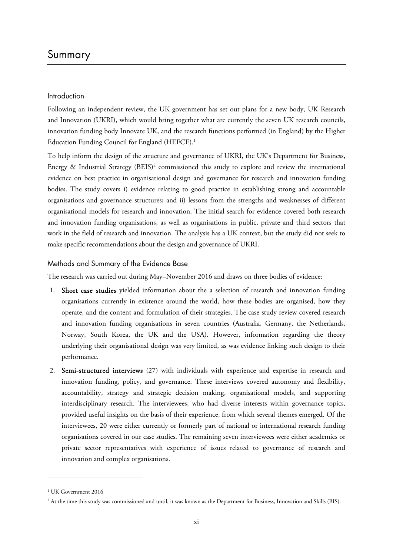## Summary

#### Introduction

Following an independent review, the UK government has set out plans for a new body, UK Research and Innovation (UKRI), which would bring together what are currently the seven UK research councils, innovation funding body Innovate UK, and the research functions performed (in England) by the Higher Education Funding Council for England (HEFCE).<sup>1</sup>

To help inform the design of the structure and governance of UKRI, the UK's Department for Business, Energy & Industrial Strategy (BEIS)<sup>2</sup> commissioned this study to explore and review the international evidence on best practice in organisational design and governance for research and innovation funding bodies. The study covers i) evidence relating to good practice in establishing strong and accountable organisations and governance structures; and ii) lessons from the strengths and weaknesses of different organisational models for research and innovation. The initial search for evidence covered both research and innovation funding organisations, as well as organisations in public, private and third sectors that work in the field of research and innovation. The analysis has a UK context, but the study did not seek to make specific recommendations about the design and governance of UKRI.

#### Methods and Summary of the Evidence Base

The research was carried out during May–November 2016 and draws on three bodies of evidence:

- 1. Short case studies yielded information about the a selection of research and innovation funding organisations currently in existence around the world, how these bodies are organised, how they operate, and the content and formulation of their strategies. The case study review covered research and innovation funding organisations in seven countries (Australia, Germany, the Netherlands, Norway, South Korea, the UK and the USA). However, information regarding the theory underlying their organisational design was very limited, as was evidence linking such design to their performance.
- 2. Semi-structured interviews (27) with individuals with experience and expertise in research and innovation funding, policy, and governance. These interviews covered autonomy and flexibility, accountability, strategy and strategic decision making, organisational models, and supporting interdisciplinary research. The interviewees, who had diverse interests within governance topics, provided useful insights on the basis of their experience, from which several themes emerged. Of the interviewees, 20 were either currently or formerly part of national or international research funding organisations covered in our case studies. The remaining seven interviewees were either academics or private sector representatives with experience of issues related to governance of research and innovation and complex organisations.

<sup>1</sup> UK Government 2016

<sup>&</sup>lt;sup>2</sup> At the time this study was commissioned and until, it was known as the Department for Business, Innovation and Skills (BIS).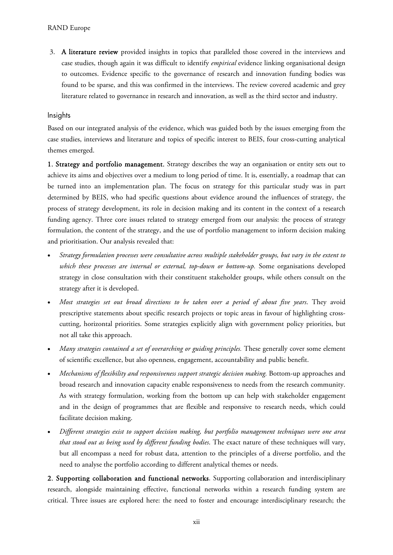3. A literature review provided insights in topics that paralleled those covered in the interviews and case studies, though again it was difficult to identify *empirical* evidence linking organisational design to outcomes. Evidence specific to the governance of research and innovation funding bodies was found to be sparse, and this was confirmed in the interviews. The review covered academic and grey literature related to governance in research and innovation, as well as the third sector and industry.

#### Insights

Based on our integrated analysis of the evidence, which was guided both by the issues emerging from the case studies, interviews and literature and topics of specific interest to BEIS, four cross-cutting analytical themes emerged.

1. Strategy and portfolio management. Strategy describes the way an organisation or entity sets out to achieve its aims and objectives over a medium to long period of time. It is, essentially, a roadmap that can be turned into an implementation plan. The focus on strategy for this particular study was in part determined by BEIS, who had specific questions about evidence around the influences of strategy, the process of strategy development, its role in decision making and its content in the context of a research funding agency. Three core issues related to strategy emerged from our analysis: the process of strategy formulation, the content of the strategy, and the use of portfolio management to inform decision making and prioritisation. Our analysis revealed that:

- *Strategy formulation processes were consultative across multiple stakeholder groups, but vary in the extent to which these processes are internal or external, top-down or bottom-up.* Some organisations developed strategy in close consultation with their constituent stakeholder groups, while others consult on the strategy after it is developed.
- *Most strategies set out broad directions to be taken over a period of about five years*. They avoid prescriptive statements about specific research projects or topic areas in favour of highlighting crosscutting, horizontal priorities. Some strategies explicitly align with government policy priorities, but not all take this approach.
- *Many strategies contained a set of overarching or guiding principles. These generally cover some element* of scientific excellence, but also openness, engagement, accountability and public benefit.
- *Mechanisms of flexibility and responsiveness support strategic decision making.* Bottom-up approaches and broad research and innovation capacity enable responsiveness to needs from the research community. As with strategy formulation, working from the bottom up can help with stakeholder engagement and in the design of programmes that are flexible and responsive to research needs, which could facilitate decision making.
- *Different strategies exist to support decision making, but portfolio management techniques were one area that stood out as being used by different funding bodies*. The exact nature of these techniques will vary, but all encompass a need for robust data, attention to the principles of a diverse portfolio, and the need to analyse the portfolio according to different analytical themes or needs.

2. Supporting collaboration and functional networks. Supporting collaboration and interdisciplinary research, alongside maintaining effective, functional networks within a research funding system are critical. Three issues are explored here: the need to foster and encourage interdisciplinary research; the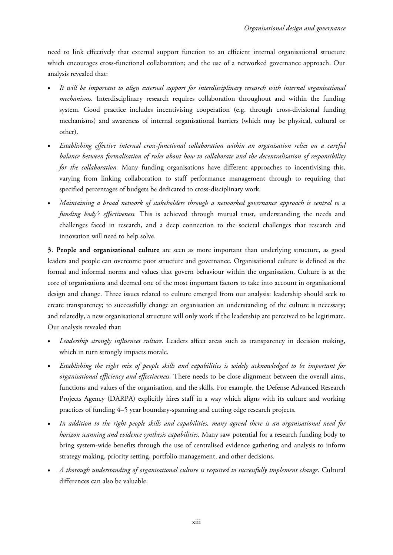need to link effectively that external support function to an efficient internal organisational structure which encourages cross-functional collaboration; and the use of a networked governance approach. Our analysis revealed that:

- *It will be important to align external support for interdisciplinary research with internal organisational mechanisms.* Interdisciplinary research requires collaboration throughout and within the funding system. Good practice includes incentivising cooperation (e.g. through cross-divisional funding mechanisms) and awareness of internal organisational barriers (which may be physical, cultural or other).
- *Establishing effective internal cross-functional collaboration within an organisation relies on a careful balance between formalisation of rules about how to collaborate and the decentralisation of responsibility for the collaboration.* Many funding organisations have different approaches to incentivising this, varying from linking collaboration to staff performance management through to requiring that specified percentages of budgets be dedicated to cross-disciplinary work.
- *Maintaining a broad network of stakeholders through a networked governance approach is central to a funding body's effectiveness.* This is achieved through mutual trust, understanding the needs and challenges faced in research, and a deep connection to the societal challenges that research and innovation will need to help solve.

3. People and organisational culture are seen as more important than underlying structure, as good leaders and people can overcome poor structure and governance. Organisational culture is defined as the formal and informal norms and values that govern behaviour within the organisation. Culture is at the core of organisations and deemed one of the most important factors to take into account in organisational design and change. Three issues related to culture emerged from our analysis: leadership should seek to create transparency; to successfully change an organisation an understanding of the culture is necessary; and relatedly, a new organisational structure will only work if the leadership are perceived to be legitimate. Our analysis revealed that:

- *Leadership strongly influences culture*. Leaders affect areas such as transparency in decision making, which in turn strongly impacts morale.
- *Establishing the right mix of people skills and capabilities is widely acknowledged to be important for organisational efficiency and effectiveness.* There needs to be close alignment between the overall aims, functions and values of the organisation, and the skills. For example, the Defense Advanced Research Projects Agency (DARPA) explicitly hires staff in a way which aligns with its culture and working practices of funding 4–5 year boundary-spanning and cutting edge research projects.
- *In addition to the right people skills and capabilities, many agreed there is an organisational need for horizon scanning and evidence synthesis capabilities.* Many saw potential for a research funding body to bring system-wide benefits through the use of centralised evidence gathering and analysis to inform strategy making, priority setting, portfolio management, and other decisions.
- *A thorough understanding of organisational culture is required to successfully implement change*. Cultural differences can also be valuable.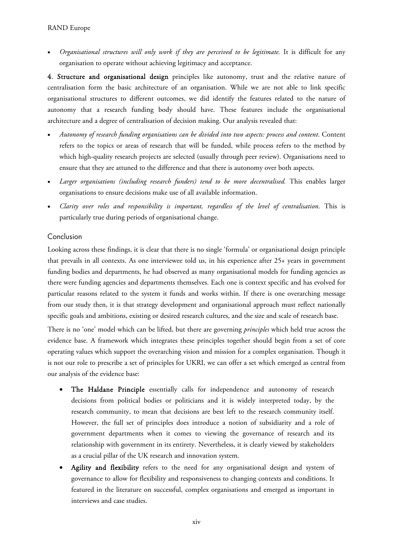*Organisational structures will only work if they are perceived to be legitimate.* It is difficult for any organisation to operate without achieving legitimacy and acceptance.

4. Structure and organisational design principles like autonomy, trust and the relative nature of centralisation form the basic architecture of an organisation. While we are not able to link specific organisational structures to different outcomes, we did identify the features related to the nature of autonomy that a research funding body should have. These features include the organisational architecture and a degree of centralisation of decision making. Our analysis revealed that:

- *Autonomy of research funding organisations can be divided into two aspects: process and content*. Content refers to the topics or areas of research that will be funded, while process refers to the method by which high-quality research projects are selected (usually through peer review). Organisations need to ensure that they are attuned to the difference and that there is autonomy over both aspects.
- *Larger organisations (including research funders) tend to be more decentralised.* This enables larger organisations to ensure decisions make use of all available information.
- *Clarity over roles and responsibility is important, regardless of the level of centralisation*. This is particularly true during periods of organisational change.

#### Conclusion

Looking across these findings, it is clear that there is no single 'formula' or organisational design principle that prevails in all contexts. As one interviewee told us, in his experience after 25+ years in government funding bodies and departments, he had observed as many organisational models for funding agencies as there were funding agencies and departments themselves. Each one is context specific and has evolved for particular reasons related to the system it funds and works within. If there is one overarching message from our study then, it is that strategy development and organisational approach must reflect nationally specific goals and ambitions, existing or desired research cultures, and the size and scale of research base.

There is no 'one' model which can be lifted, but there are governing *principles* which held true across the evidence base. A framework which integrates these principles together should begin from a set of core operating values which support the overarching vision and mission for a complex organisation. Though it is not our role to prescribe a set of principles for UKRI, we can offer a set which emerged as central from our analysis of the evidence base:

- The Haldane Principle essentially calls for independence and autonomy of research decisions from political bodies or politicians and it is widely interpreted today, by the research community, to mean that decisions are best left to the research community itself. However, the full set of principles does introduce a notion of subsidiarity and a role of government departments when it comes to viewing the governance of research and its relationship with government in its entirety. Nevertheless, it is clearly viewed by stakeholders as a crucial pillar of the UK research and innovation system.
- Agility and flexibility refers to the need for any organisational design and system of governance to allow for flexibility and responsiveness to changing contexts and conditions. It featured in the literature on successful, complex organisations and emerged as important in interviews and case studies.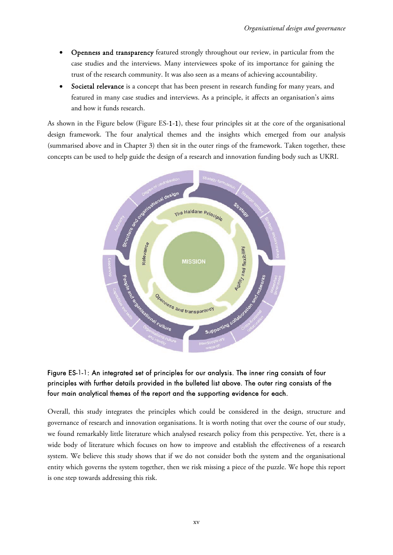- Openness and transparency featured strongly throughout our review, in particular from the case studies and the interviews. Many interviewees spoke of its importance for gaining the trust of the research community. It was also seen as a means of achieving accountability.
- Societal relevance is a concept that has been present in research funding for many years, and featured in many case studies and interviews. As a principle, it affects an organisation's aims and how it funds research.

As shown in the Figure below (Figure ES-1-1), these four principles sit at the core of the organisational design framework. The four analytical themes and the insights which emerged from our analysis (summarised above and in Chapter 3) then sit in the outer rings of the framework. Taken together, these concepts can be used to help guide the design of a research and innovation funding body such as UKRI.



## Figure ES-1-1: An integrated set of principles for our analysis. The inner ring consists of four principles with further details provided in the bulleted list above. The outer ring consists of the four main analytical themes of the report and the supporting evidence for each.

Overall, this study integrates the principles which could be considered in the design, structure and governance of research and innovation organisations. It is worth noting that over the course of our study, we found remarkably little literature which analysed research policy from this perspective. Yet, there is a wide body of literature which focuses on how to improve and establish the effectiveness of a research system. We believe this study shows that if we do not consider both the system and the organisational entity which governs the system together, then we risk missing a piece of the puzzle. We hope this report is one step towards addressing this risk.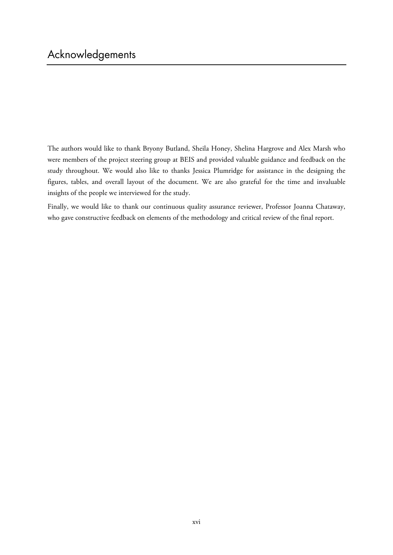The authors would like to thank Bryony Butland, Sheila Honey, Shelina Hargrove and Alex Marsh who were members of the project steering group at BEIS and provided valuable guidance and feedback on the study throughout. We would also like to thanks Jessica Plumridge for assistance in the designing the figures, tables, and overall layout of the document. We are also grateful for the time and invaluable insights of the people we interviewed for the study.

Finally, we would like to thank our continuous quality assurance reviewer, Professor Joanna Chataway, who gave constructive feedback on elements of the methodology and critical review of the final report.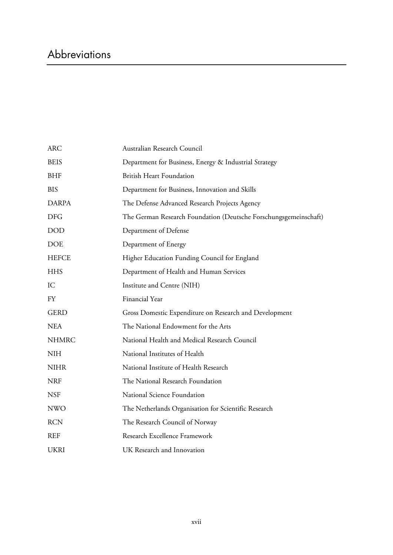## Abbreviations

| <b>ARC</b>   | Australian Research Council                                      |
|--------------|------------------------------------------------------------------|
| <b>BEIS</b>  | Department for Business, Energy & Industrial Strategy            |
| <b>BHF</b>   | <b>British Heart Foundation</b>                                  |
| <b>BIS</b>   | Department for Business, Innovation and Skills                   |
| <b>DARPA</b> | The Defense Advanced Research Projects Agency                    |
| <b>DFG</b>   | The German Research Foundation (Deutsche Forschungsgemeinschaft) |
| <b>DOD</b>   | Department of Defense                                            |
| <b>DOE</b>   | Department of Energy                                             |
| <b>HEFCE</b> | Higher Education Funding Council for England                     |
| <b>HHS</b>   | Department of Health and Human Services                          |
| ${\rm IC}$   | Institute and Centre (NIH)                                       |
| FY           | Financial Year                                                   |
| <b>GERD</b>  | Gross Domestic Expenditure on Research and Development           |
| <b>NEA</b>   | The National Endowment for the Arts                              |
| <b>NHMRC</b> | National Health and Medical Research Council                     |
| $\rm NIH$    | National Institutes of Health                                    |
| <b>NIHR</b>  | National Institute of Health Research                            |
| <b>NRF</b>   | The National Research Foundation                                 |
| <b>NSF</b>   | National Science Foundation                                      |
| <b>NWO</b>   | The Netherlands Organisation for Scientific Research             |
| <b>RCN</b>   | The Research Council of Norway                                   |
| <b>REF</b>   | Research Excellence Framework                                    |
| <b>UKRI</b>  | UK Research and Innovation                                       |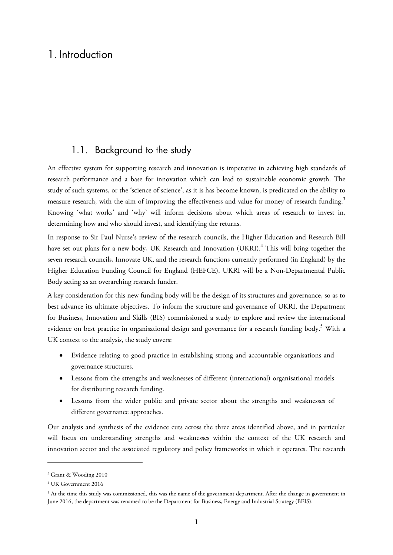## 1.1. Background to the study

An effective system for supporting research and innovation is imperative in achieving high standards of research performance and a base for innovation which can lead to sustainable economic growth. The study of such systems, or the 'science of science', as it is has become known, is predicated on the ability to measure research, with the aim of improving the effectiveness and value for money of research funding.<sup>3</sup> Knowing 'what works' and 'why' will inform decisions about which areas of research to invest in, determining how and who should invest, and identifying the returns.

In response to Sir Paul Nurse's review of the research councils, the Higher Education and Research Bill have set out plans for a new body, UK Research and Innovation (UKRI).<sup>4</sup> This will bring together the seven research councils, Innovate UK, and the research functions currently performed (in England) by the Higher Education Funding Council for England (HEFCE). UKRI will be a Non-Departmental Public Body acting as an overarching research funder.

A key consideration for this new funding body will be the design of its structures and governance, so as to best advance its ultimate objectives. To inform the structure and governance of UKRI, the Department for Business, Innovation and Skills (BIS) commissioned a study to explore and review the international evidence on best practice in organisational design and governance for a research funding body.<sup>5</sup> With a UK context to the analysis, the study covers:

- Evidence relating to good practice in establishing strong and accountable organisations and governance structures.
- Lessons from the strengths and weaknesses of different (international) organisational models for distributing research funding.
- Lessons from the wider public and private sector about the strengths and weaknesses of different governance approaches.

Our analysis and synthesis of the evidence cuts across the three areas identified above, and in particular will focus on understanding strengths and weaknesses within the context of the UK research and innovation sector and the associated regulatory and policy frameworks in which it operates. The research

<sup>3</sup> Grant & Wooding 2010

<sup>4</sup> UK Government 2016

<sup>&</sup>lt;sup>5</sup> At the time this study was commissioned, this was the name of the government department. After the change in government in June 2016, the department was renamed to be the Department for Business, Energy and Industrial Strategy (BEIS).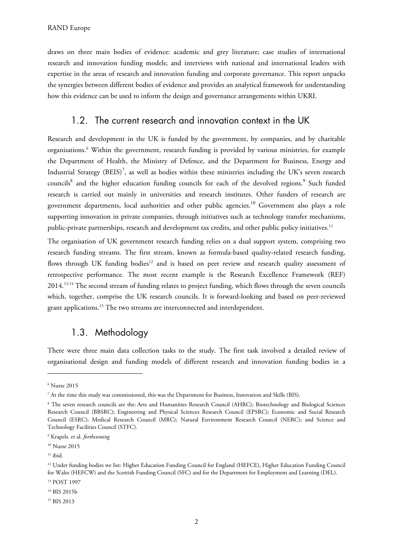draws on three main bodies of evidence: academic and grey literature; case studies of international research and innovation funding models; and interviews with national and international leaders with expertise in the areas of research and innovation funding and corporate governance. This report unpacks the synergies between different bodies of evidence and provides an analytical framework for understanding how this evidence can be used to inform the design and governance arrangements within UKRI.

## 1.2. The current research and innovation context in the UK

Research and development in the UK is funded by the government, by companies, and by charitable organisations.<sup>6</sup> Within the government, research funding is provided by various ministries, for example the Department of Health, the Ministry of Defence, and the Department for Business, Energy and Industrial Strategy (BEIS)<sup>7</sup>, as well as bodies within these ministries including the UK's seven research councils<sup>8</sup> and the higher education funding councils for each of the devolved regions.<sup>9</sup> Such funded research is carried out mainly in universities and research institutes. Other funders of research are government departments, local authorities and other public agencies.<sup>10</sup> Government also plays a role supporting innovation in private companies, through initiatives such as technology transfer mechanisms, public-private partnerships, research and development tax credits, and other public policy initiatives.<sup>11</sup>

The organisation of UK government research funding relies on a dual support system, comprising two research funding streams. The first stream, known as formula-based quality-related research funding, flows through UK funding bodies<sup>12</sup> and is based on peer review and research quality assessment of retrospective performance. The most recent example is the Research Excellence Framework (REF) 2014.13,14 The second stream of funding relates to project funding, which flows through the seven councils which, together, comprise the UK research councils. It is forward-looking and based on peer-reviewed grant applications.15 The two streams are interconnected and interdependent.

## 1.3. Methodology

There were three main data collection tasks to the study. The first task involved a detailed review of organisational design and funding models of different research and innovation funding bodies in a

<sup>6</sup> Nurse 2015

<sup>7</sup> At the time this study was commissioned, this was the Department for Business, Innovation and Skills (BIS).

<sup>&</sup>lt;sup>8</sup> The seven research councils are the: Arts and Humanities Research Council (AHRC); Biotechnology and Biological Sciences Research Council (BBSRC); Engineering and Physical Sciences Research Council (EPSRC); Economic and Social Research Council (ESRC); Medical Research Council (MRC); Natural Environment Research Council (NERC); and Science and Technology Facilities Council (STFC).

<sup>9</sup> Krapels. et al. *forthcoming*

<sup>&</sup>lt;sup>10</sup> Nurse 2015

 $11$  ibid.

<sup>&</sup>lt;sup>12</sup> Under funding bodies we list: Higher Education Funding Council for England (HEFCE), Higher Education Funding Council for Wales (HEFCW) and the Scottish Funding Council (SFC) and for the Department for Employment and Learning (DEL).

<sup>&</sup>lt;sup>13</sup> POST 1997

<sup>14</sup> BIS 2015b

<sup>&</sup>lt;sup>15</sup> BIS 2013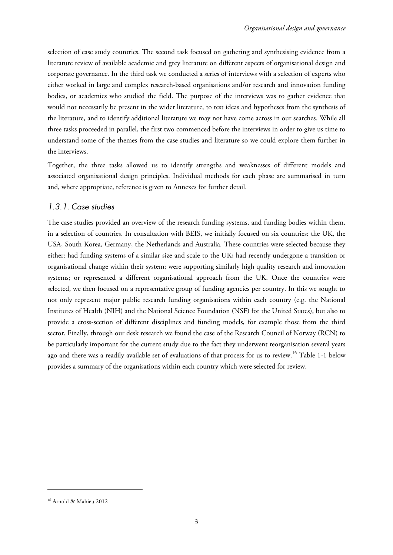selection of case study countries. The second task focused on gathering and synthesising evidence from a literature review of available academic and grey literature on different aspects of organisational design and corporate governance. In the third task we conducted a series of interviews with a selection of experts who either worked in large and complex research-based organisations and/or research and innovation funding bodies, or academics who studied the field. The purpose of the interviews was to gather evidence that would not necessarily be present in the wider literature, to test ideas and hypotheses from the synthesis of the literature, and to identify additional literature we may not have come across in our searches. While all three tasks proceeded in parallel, the first two commenced before the interviews in order to give us time to understand some of the themes from the case studies and literature so we could explore them further in the interviews.

Together, the three tasks allowed us to identify strengths and weaknesses of different models and associated organisational design principles. Individual methods for each phase are summarised in turn and, where appropriate, reference is given to Annexes for further detail.

#### 1.3.1. Case studies

The case studies provided an overview of the research funding systems, and funding bodies within them, in a selection of countries. In consultation with BEIS, we initially focused on six countries: the UK, the USA, South Korea, Germany, the Netherlands and Australia. These countries were selected because they either: had funding systems of a similar size and scale to the UK; had recently undergone a transition or organisational change within their system; were supporting similarly high quality research and innovation systems; or represented a different organisational approach from the UK. Once the countries were selected, we then focused on a representative group of funding agencies per country. In this we sought to not only represent major public research funding organisations within each country (e.g. the National Institutes of Health (NIH) and the National Science Foundation (NSF) for the United States), but also to provide a cross-section of different disciplines and funding models, for example those from the third sector. Finally, through our desk research we found the case of the Research Council of Norway (RCN) to be particularly important for the current study due to the fact they underwent reorganisation several years ago and there was a readily available set of evaluations of that process for us to review.<sup>16</sup> Table 1-1 below provides a summary of the organisations within each country which were selected for review.

<sup>16</sup> Arnold & Mahieu 2012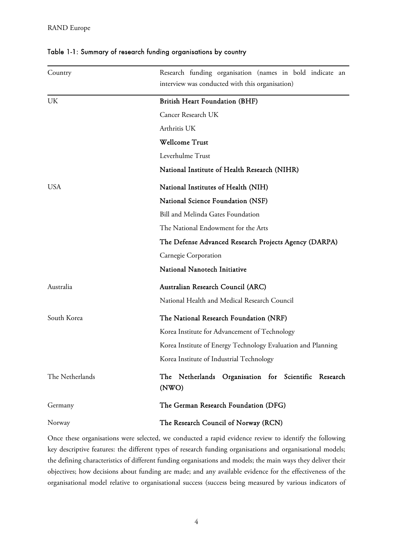| Country         | Research funding organisation (names in bold indicate an<br>interview was conducted with this organisation) |
|-----------------|-------------------------------------------------------------------------------------------------------------|
| UK              | <b>British Heart Foundation (BHF)</b>                                                                       |
|                 | Cancer Research UK                                                                                          |
|                 | Arthritis UK                                                                                                |
|                 | <b>Wellcome Trust</b>                                                                                       |
|                 | Leverhulme Trust                                                                                            |
|                 | National Institute of Health Research (NIHR)                                                                |
| <b>USA</b>      | National Institutes of Health (NIH)                                                                         |
|                 | National Science Foundation (NSF)                                                                           |
|                 | Bill and Melinda Gates Foundation                                                                           |
|                 | The National Endowment for the Arts                                                                         |
|                 | The Defense Advanced Research Projects Agency (DARPA)                                                       |
|                 | Carnegie Corporation                                                                                        |
|                 | National Nanotech Initiative                                                                                |
| Australia       | Australian Research Council (ARC)                                                                           |
|                 | National Health and Medical Research Council                                                                |
| South Korea     | The National Research Foundation (NRF)                                                                      |
|                 | Korea Institute for Advancement of Technology                                                               |
|                 | Korea Institute of Energy Technology Evaluation and Planning                                                |
|                 | Korea Institute of Industrial Technology                                                                    |
| The Netherlands | The Netherlands Organisation for Scientific Research<br>(NWO)                                               |
| Germany         | The German Research Foundation (DFG)                                                                        |
| Norway          | The Research Council of Norway (RCN)                                                                        |

#### Table 1-1: Summary of research funding organisations by country

Once these organisations were selected, we conducted a rapid evidence review to identify the following key descriptive features: the different types of research funding organisations and organisational models; the defining characteristics of different funding organisations and models; the main ways they deliver their objectives; how decisions about funding are made; and any available evidence for the effectiveness of the organisational model relative to organisational success (success being measured by various indicators of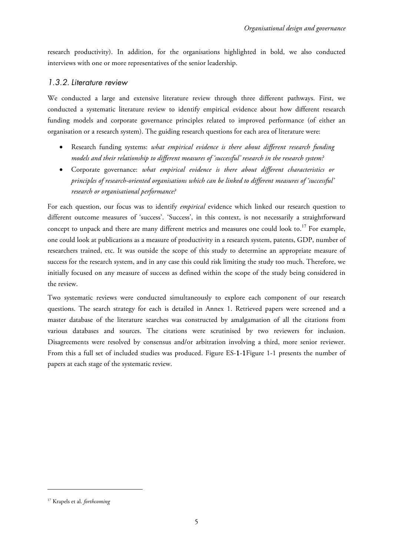research productivity). In addition, for the organisations highlighted in bold, we also conducted interviews with one or more representatives of the senior leadership.

## 1.3.2. Literature review

We conducted a large and extensive literature review through three different pathways. First, we conducted a systematic literature review to identify empirical evidence about how different research funding models and corporate governance principles related to improved performance (of either an organisation or a research system). The guiding research questions for each area of literature were:

- Research funding systems: *what empirical evidence is there about different research funding models and their relationship to different measures of 'successful' research in the research system?*
- Corporate governance: *what empirical evidence is there about different characteristics or principles of research-oriented organisations which can be linked to different measures of 'successful' research or organisational performance?*

For each question, our focus was to identify *empirical* evidence which linked our research question to different outcome measures of 'success'. 'Success', in this context, is not necessarily a straightforward concept to unpack and there are many different metrics and measures one could look to.<sup>17</sup> For example, one could look at publications as a measure of productivity in a research system, patents, GDP, number of researchers trained, etc. It was outside the scope of this study to determine an appropriate measure of success for the research system, and in any case this could risk limiting the study too much. Therefore, we initially focused on any measure of success as defined within the scope of the study being considered in the review.

Two systematic reviews were conducted simultaneously to explore each component of our research questions. The search strategy for each is detailed in Annex 1. Retrieved papers were screened and a master database of the literature searches was constructed by amalgamation of all the citations from various databases and sources. The citations were scrutinised by two reviewers for inclusion. Disagreements were resolved by consensus and/or arbitration involving a third, more senior reviewer. From this a full set of included studies was produced. Figure ES-1-1Figure 1-1 presents the number of papers at each stage of the systematic review.

<sup>17</sup> Krapels et al. *forthcoming*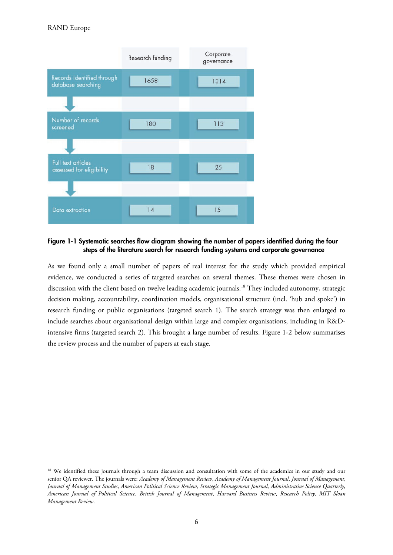<u>.</u>



Figure 1-1 Systematic searches flow diagram showing the number of papers identified during the four steps of the literature search for research funding systems and corporate governance

As we found only a small number of papers of real interest for the study which provided empirical evidence, we conducted a series of targeted searches on several themes. These themes were chosen in discussion with the client based on twelve leading academic journals.<sup>18</sup> They included autonomy, strategic decision making, accountability, coordination models, organisational structure (incl. 'hub and spoke') in research funding or public organisations (targeted search 1). The search strategy was then enlarged to include searches about organisational design within large and complex organisations, including in R&Dintensive firms (targeted search 2). This brought a large number of results. Figure 1-2 below summarises the review process and the number of papers at each stage.

<sup>&</sup>lt;sup>18</sup> We identified these journals through a team discussion and consultation with some of the academics in our study and our senior QA reviewer. The journals were: *Academy of Management Review*, *Academy of Management Journal*, *Journal of Management*, *Journal of Management Studies*, *American Political Science Review*, *Strategic Management Journal*, *Administrative Science Quarterly*, *American Journal of Political Science*, *British Journal of Management*, *Harvard Business Review*, *Research Policy*, *MIT Sloan Management Review*.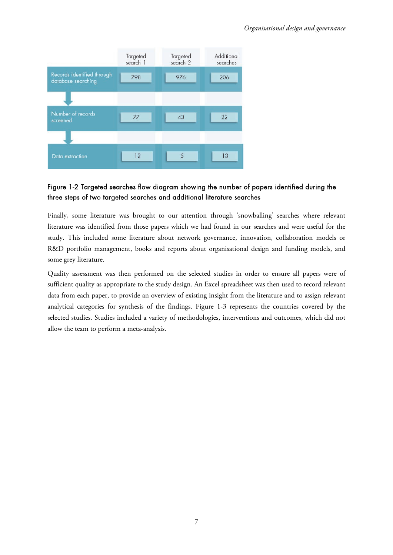

## Figure 1-2 Targeted searches flow diagram showing the number of papers identified during the three steps of two targeted searches and additional literature searches

Finally, some literature was brought to our attention through 'snowballing' searches where relevant literature was identified from those papers which we had found in our searches and were useful for the study. This included some literature about network governance, innovation, collaboration models or R&D portfolio management, books and reports about organisational design and funding models, and some grey literature.

Quality assessment was then performed on the selected studies in order to ensure all papers were of sufficient quality as appropriate to the study design. An Excel spreadsheet was then used to record relevant data from each paper, to provide an overview of existing insight from the literature and to assign relevant analytical categories for synthesis of the findings. Figure 1-3 represents the countries covered by the selected studies. Studies included a variety of methodologies, interventions and outcomes, which did not allow the team to perform a meta-analysis.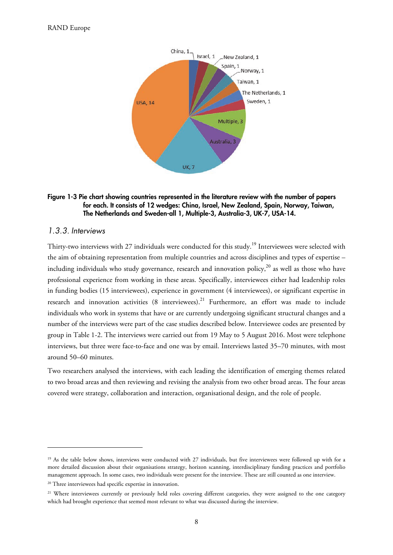

#### Figure 1-3 Pie chart showing countries represented in the literature review with the number of papers for each. It consists of 12 wedges: China, Israel, New Zealand, Spain, Norway, Taiwan, The Netherlands and Sweden-all 1, Multiple-3, Australia-3, UK-7, USA-14.

#### 1.3.3. Interviews

Thirty-two interviews with 27 individuals were conducted for this study.<sup>19</sup> Interviewees were selected with the aim of obtaining representation from multiple countries and across disciplines and types of expertise – including individuals who study governance, research and innovation policy,<sup>20</sup> as well as those who have professional experience from working in these areas. Specifically, interviewees either had leadership roles in funding bodies (15 interviewees), experience in government (4 interviewees), or significant expertise in research and innovation activities  $(8 \text{ interviews})^{21}$  Furthermore, an effort was made to include individuals who work in systems that have or are currently undergoing significant structural changes and a number of the interviews were part of the case studies described below. Interviewee codes are presented by group in Table 1-2. The interviews were carried out from 19 May to 5 August 2016. Most were telephone interviews, but three were face-to-face and one was by email. Interviews lasted 35–70 minutes, with most around 50–60 minutes.

Two researchers analysed the interviews, with each leading the identification of emerging themes related to two broad areas and then reviewing and revising the analysis from two other broad areas. The four areas covered were strategy, collaboration and interaction, organisational design, and the role of people.

<sup>&</sup>lt;sup>19</sup> As the table below shows, interviews were conducted with 27 individuals, but five interviewees were followed up with for a more detailed discussion about their organisations strategy, horizon scanning, interdisciplinary funding practices and portfolio management approach. In some cases, two individuals were present for the interview. These are still counted as one interview.

<sup>&</sup>lt;sup>20</sup> Three interviewees had specific expertise in innovation.

<sup>&</sup>lt;sup>21</sup> Where interviewees currently or previously held roles covering different categories, they were assigned to the one category which had brought experience that seemed most relevant to what was discussed during the interview.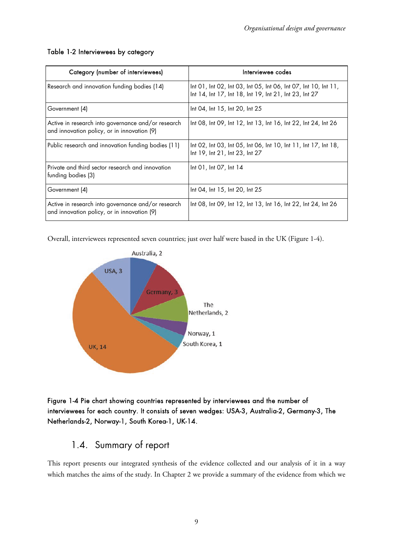| Category (number of interviewees)                                                                 | Interviewee codes                                                                                                         |
|---------------------------------------------------------------------------------------------------|---------------------------------------------------------------------------------------------------------------------------|
| Research and innovation funding bodies (14)                                                       | Int 01, Int 02, Int 03, Int 05, Int 06, Int 07, Int 10, Int 11,<br>Int 14, Int 17, Int 18, Int 19, Int 21, Int 23, Int 27 |
| Government (4)                                                                                    | Int 04, Int 15, Int 20, Int 25                                                                                            |
| Active in research into governance and/or research<br>and innovation policy, or in innovation (9) | Int 08, Int 09, Int 12, Int 13, Int 16, Int 22, Int 24, Int 26                                                            |
| Public research and innovation funding bodies (11)                                                | Int 02, Int 03, Int 05, Int 06, Int 10, Int 11, Int 17, Int 18,<br>Int 19, Int 21, Int 23, Int 27                         |
| Private and third sector research and innovation<br>funding bodies (3)                            | Int 01, Int 07, Int 14                                                                                                    |
| Government (4)                                                                                    | Int 04, Int 15, Int 20, Int 25                                                                                            |
| Active in research into governance and/or research<br>and innovation policy, or in innovation (9) | Int 08, Int 09, Int 12, Int 13, Int 16, Int 22, Int 24, Int 26                                                            |

#### Table 1-2 Interviewees by category

Overall, interviewees represented seven countries; just over half were based in the UK (Figure 1-4).





## 1.4. Summary of report

This report presents our integrated synthesis of the evidence collected and our analysis of it in a way which matches the aims of the study. In Chapter 2 we provide a summary of the evidence from which we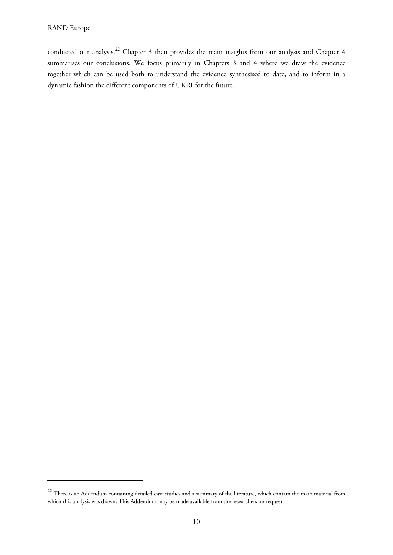-

conducted our analysis.<sup>22</sup> Chapter 3 then provides the main insights from our analysis and Chapter 4 summarises our conclusions. We focus primarily in Chapters 3 and 4 where we draw the evidence together which can be used both to understand the evidence synthesised to date, and to inform in a dynamic fashion the different components of UKRI for the future.

 $22$  There is an Addendum containing detailed case studies and a summary of the literature, which contain the main material from which this analysis was drawn. This Addendum may be made available from the researchers on request.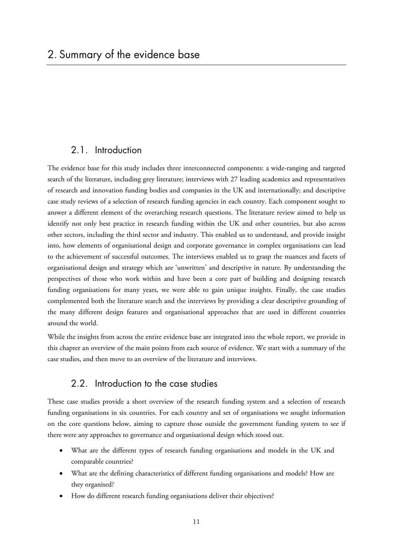## 2.1. Introduction

The evidence base for this study includes three interconnected components: a wide-ranging and targeted search of the literature, including grey literature; interviews with 27 leading academics and representatives of research and innovation funding bodies and companies in the UK and internationally; and descriptive case study reviews of a selection of research funding agencies in each country. Each component sought to answer a different element of the overarching research questions. The literature review aimed to help us identify not only best practice in research funding within the UK and other countries, but also across other sectors, including the third sector and industry. This enabled us to understand, and provide insight into, how elements of organisational design and corporate governance in complex organisations can lead to the achievement of successful outcomes. The interviews enabled us to grasp the nuances and facets of organisational design and strategy which are 'unwritten' and descriptive in nature. By understanding the perspectives of those who work within and have been a core part of building and designing research funding organisations for many years, we were able to gain unique insights. Finally, the case studies complemented both the literature search and the interviews by providing a clear descriptive grounding of the many different design features and organisational approaches that are used in different countries around the world.

While the insights from across the entire evidence base are integrated into the whole report, we provide in this chapter an overview of the main points from each source of evidence. We start with a summary of the case studies, and then move to an overview of the literature and interviews.

## 2.2. Introduction to the case studies

These case studies provide a short overview of the research funding system and a selection of research funding organisations in six countries. For each country and set of organisations we sought information on the core questions below, aiming to capture those outside the government funding system to see if there were any approaches to governance and organisational design which stood out.

- What are the different types of research funding organisations and models in the UK and comparable countries?
- What are the defining characteristics of different funding organisations and models? How are they organised?
- How do different research funding organisations deliver their objectives?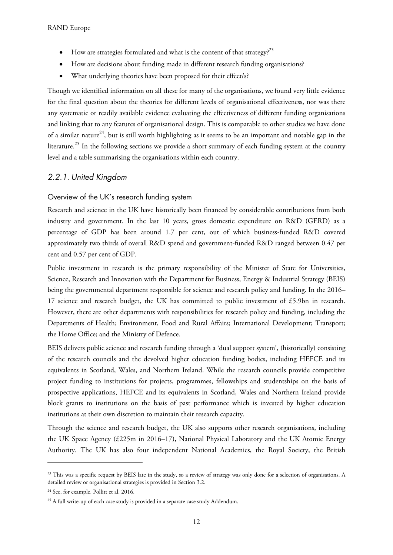- How are strategies formulated and what is the content of that strategy?<sup>23</sup>
- How are decisions about funding made in different research funding organisations?
- What underlying theories have been proposed for their effect/s?

Though we identified information on all these for many of the organisations, we found very little evidence for the final question about the theories for different levels of organisational effectiveness, nor was there any systematic or readily available evidence evaluating the effectiveness of different funding organisations and linking that to any features of organisational design. This is comparable to other studies we have done of a similar nature<sup>24</sup>, but is still worth highlighting as it seems to be an important and notable gap in the literature.<sup>25</sup> In the following sections we provide a short summary of each funding system at the country level and a table summarising the organisations within each country.

#### 2.2.1. United Kingdom

#### Overview of the UK's research funding system

Research and science in the UK have historically been financed by considerable contributions from both industry and government. In the last 10 years, gross domestic expenditure on R&D (GERD) as a percentage of GDP has been around 1.7 per cent, out of which business-funded R&D covered approximately two thirds of overall R&D spend and government-funded R&D ranged between 0.47 per cent and 0.57 per cent of GDP.

Public investment in research is the primary responsibility of the Minister of State for Universities, Science, Research and Innovation with the Department for Business, Energy & Industrial Strategy (BEIS) being the governmental department responsible for science and research policy and funding. In the 2016– 17 science and research budget, the UK has committed to public investment of £5.9bn in research. However, there are other departments with responsibilities for research policy and funding, including the Departments of Health; Environment, Food and Rural Affairs; International Development; Transport; the Home Office; and the Ministry of Defence.

BEIS delivers public science and research funding through a 'dual support system', (historically) consisting of the research councils and the devolved higher education funding bodies, including HEFCE and its equivalents in Scotland, Wales, and Northern Ireland. While the research councils provide competitive project funding to institutions for projects, programmes, fellowships and studentships on the basis of prospective applications, HEFCE and its equivalents in Scotland, Wales and Northern Ireland provide block grants to institutions on the basis of past performance which is invested by higher education institutions at their own discretion to maintain their research capacity.

Through the science and research budget, the UK also supports other research organisations, including the UK Space Agency (£225m in 2016–17), National Physical Laboratory and the UK Atomic Energy Authority. The UK has also four independent National Academies, the Royal Society, the British

<sup>&</sup>lt;sup>23</sup> This was a specific request by BEIS late in the study, so a review of strategy was only done for a selection of organisations. A detailed review or organisational strategies is provided in Section 3.2.

<sup>&</sup>lt;sup>24</sup> See, for example, Pollitt et al. 2016.

<sup>&</sup>lt;sup>25</sup> A full write-up of each case study is provided in a separate case study Addendum.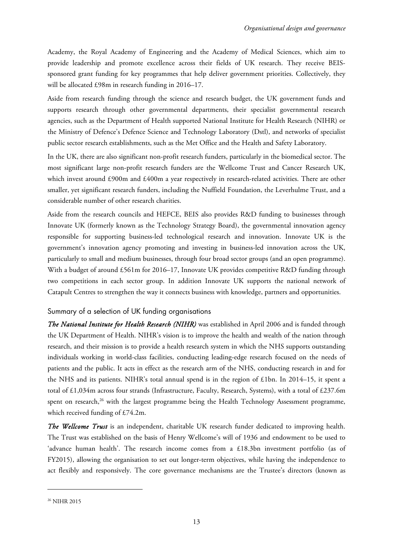Academy, the Royal Academy of Engineering and the Academy of Medical Sciences, which aim to provide leadership and promote excellence across their fields of UK research. They receive BEISsponsored grant funding for key programmes that help deliver government priorities. Collectively, they will be allocated £98m in research funding in 2016–17.

Aside from research funding through the science and research budget, the UK government funds and supports research through other governmental departments, their specialist governmental research agencies, such as the Department of Health supported National Institute for Health Research (NIHR) or the Ministry of Defence's Defence Science and Technology Laboratory (Dstl), and networks of specialist public sector research establishments, such as the Met Office and the Health and Safety Laboratory.

In the UK, there are also significant non-profit research funders, particularly in the biomedical sector. The most significant large non-profit research funders are the Wellcome Trust and Cancer Research UK, which invest around £900m and £400m a year respectively in research-related activities. There are other smaller, yet significant research funders, including the Nuffield Foundation, the Leverhulme Trust, and a considerable number of other research charities.

Aside from the research councils and HEFCE, BEIS also provides R&D funding to businesses through Innovate UK (formerly known as the Technology Strategy Board), the governmental innovation agency responsible for supporting business-led technological research and innovation. Innovate UK is the government's innovation agency promoting and investing in business-led innovation across the UK, particularly to small and medium businesses, through four broad sector groups (and an open programme). With a budget of around £561m for 2016–17, Innovate UK provides competitive R&D funding through two competitions in each sector group. In addition Innovate UK supports the national network of Catapult Centres to strengthen the way it connects business with knowledge, partners and opportunities.

#### Summary of a selection of UK funding organisations

*The National Institute for Health Research (NIHR)* was established in April 2006 and is funded through the UK Department of Health. NIHR's vision is to improve the health and wealth of the nation through research, and their mission is to provide a health research system in which the NHS supports outstanding individuals working in world-class facilities, conducting leading-edge research focused on the needs of patients and the public. It acts in effect as the research arm of the NHS, conducting research in and for the NHS and its patients. NIHR's total annual spend is in the region of £1bn. In 2014–15, it spent a total of £1,034m across four strands (Infrastructure, Faculty, Research, Systems), with a total of £237.6m spent on research,<sup>26</sup> with the largest programme being the Health Technology Assessment programme, which received funding of £74.2m.

*The Wellcome Trust* is an independent, charitable UK research funder dedicated to improving health. The Trust was established on the basis of Henry Wellcome's will of 1936 and endowment to be used to 'advance human health'. The research income comes from a £18.3bn investment portfolio (as of FY2015), allowing the organisation to set out longer-term objectives, while having the independence to act flexibly and responsively. The core governance mechanisms are the Trustee's directors (known as

<sup>&</sup>lt;sup>26</sup> NIHR 2015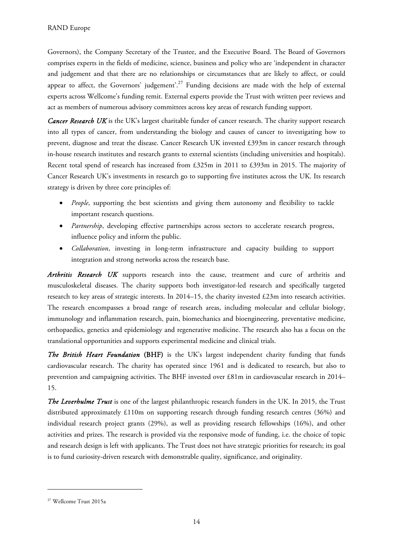Governors), the Company Secretary of the Trustee, and the Executive Board. The Board of Governors comprises experts in the fields of medicine, science, business and policy who are 'independent in character and judgement and that there are no relationships or circumstances that are likely to affect, or could appear to affect, the Governors' judgement'.<sup>27</sup> Funding decisions are made with the help of external experts across Wellcome's funding remit. External experts provide the Trust with written peer reviews and act as members of numerous advisory committees across key areas of research funding support.

*Cancer Research UK* is the UK's largest charitable funder of cancer research. The charity support research into all types of cancer, from understanding the biology and causes of cancer to investigating how to prevent, diagnose and treat the disease. Cancer Research UK invested £393m in cancer research through in-house research institutes and research grants to external scientists (including universities and hospitals). Recent total spend of research has increased from £325m in 2011 to £393m in 2015. The majority of Cancer Research UK's investments in research go to supporting five institutes across the UK. Its research strategy is driven by three core principles of:

- *People*, supporting the best scientists and giving them autonomy and flexibility to tackle important research questions.
- *Partnership*, developing effective partnerships across sectors to accelerate research progress, influence policy and inform the public.
- *Collaboration*, investing in long-term infrastructure and capacity building to support integration and strong networks across the research base.

*Arthritis Research UK* supports research into the cause, treatment and cure of arthritis and musculoskeletal diseases. The charity supports both investigator-led research and specifically targeted research to key areas of strategic interests. In 2014–15, the charity invested £23m into research activities. The research encompasses a broad range of research areas, including molecular and cellular biology, immunology and inflammation research, pain, biomechanics and bioengineering, preventative medicine, orthopaedics, genetics and epidemiology and regenerative medicine. The research also has a focus on the translational opportunities and supports experimental medicine and clinical trials.

*The British Heart Foundation* (BHF) is the UK's largest independent charity funding that funds cardiovascular research. The charity has operated since 1961 and is dedicated to research, but also to prevention and campaigning activities. The BHF invested over £81m in cardiovascular research in 2014– 15.

*The Leverhulme Trust* is one of the largest philanthropic research funders in the UK. In 2015, the Trust distributed approximately £110m on supporting research through funding research centres (36%) and individual research project grants (29%), as well as providing research fellowships (16%), and other activities and prizes. The research is provided via the responsive mode of funding, i.e. the choice of topic and research design is left with applicants. The Trust does not have strategic priorities for research; its goal is to fund curiosity-driven research with demonstrable quality, significance, and originality.

<sup>27</sup> Wellcome Trust 2015a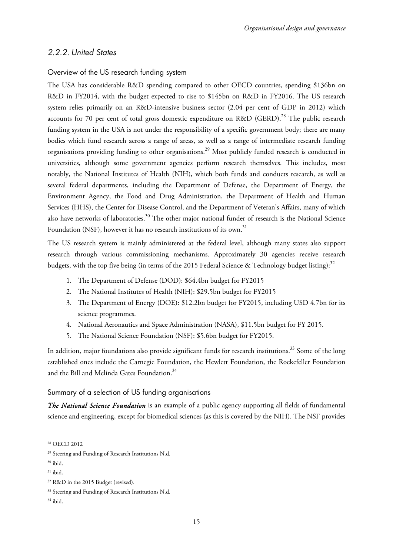#### 2.2.2. United States

#### Overview of the US research funding system

The USA has considerable R&D spending compared to other OECD countries, spending \$136bn on R&D in FY2014, with the budget expected to rise to \$145bn on R&D in FY2016. The US research system relies primarily on an R&D-intensive business sector (2.04 per cent of GDP in 2012) which accounts for 70 per cent of total gross domestic expenditure on R&D (GERD).<sup>28</sup> The public research funding system in the USA is not under the responsibility of a specific government body; there are many bodies which fund research across a range of areas, as well as a range of intermediate research funding organisations providing funding to other organisations.<sup>29</sup> Most publicly funded research is conducted in universities, although some government agencies perform research themselves. This includes, most notably, the National Institutes of Health (NIH), which both funds and conducts research, as well as several federal departments, including the Department of Defense, the Department of Energy, the Environment Agency, the Food and Drug Administration, the Department of Health and Human Services (HHS), the Center for Disease Control, and the Department of Veteran's Affairs, many of which also have networks of laboratories.<sup>30</sup> The other major national funder of research is the National Science Foundation (NSF), however it has no research institutions of its own.<sup>31</sup>

The US research system is mainly administered at the federal level, although many states also support research through various commissioning mechanisms. Approximately 30 agencies receive research budgets, with the top five being (in terms of the 2015 Federal Science & Technology budget listing):<sup>32</sup>

- 1. The Department of Defense (DOD): \$64.4bn budget for FY2015
- 2. The National Institutes of Health (NIH): \$29.5bn budget for FY2015
- 3. The Department of Energy (DOE): \$12.2bn budget for FY2015, including USD 4.7bn for its science programmes.
- 4. National Aeronautics and Space Administration (NASA), \$11.5bn budget for FY 2015.
- 5. The National Science Foundation (NSF): \$5.6bn budget for FY2015.

In addition, major foundations also provide significant funds for research institutions.<sup>33</sup> Some of the long established ones include the Carnegie Foundation, the Hewlett Foundation, the Rockefeller Foundation and the Bill and Melinda Gates Foundation.<sup>34</sup>

Summary of a selection of US funding organisations

*The National Science Foundation* is an example of a public agency supporting all fields of fundamental science and engineering, except for biomedical sciences (as this is covered by the NIH). The NSF provides

<sup>28</sup> OECD 2012

<sup>29</sup> Steering and Funding of Research Institutions N.d.

<sup>30</sup> ibid.

 $31$  ibid.

<sup>&</sup>lt;sup>32</sup> R&D in the 2015 Budget (revised).

<sup>&</sup>lt;sup>33</sup> Steering and Funding of Research Institutions N.d.

<sup>34</sup> ibid.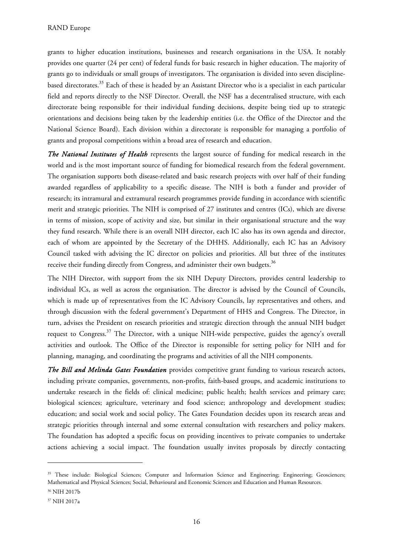grants to higher education institutions, businesses and research organisations in the USA. It notably provides one quarter (24 per cent) of federal funds for basic research in higher education. The majority of grants go to individuals or small groups of investigators. The organisation is divided into seven disciplinebased directorates.<sup>35</sup> Each of these is headed by an Assistant Director who is a specialist in each particular field and reports directly to the NSF Director. Overall, the NSF has a decentralised structure, with each directorate being responsible for their individual funding decisions, despite being tied up to strategic orientations and decisions being taken by the leadership entities (i.e. the Office of the Director and the National Science Board). Each division within a directorate is responsible for managing a portfolio of grants and proposal competitions within a broad area of research and education.

*The National Institutes of Health* represents the largest source of funding for medical research in the world and is the most important source of funding for biomedical research from the federal government. The organisation supports both disease-related and basic research projects with over half of their funding awarded regardless of applicability to a specific disease. The NIH is both a funder and provider of research; its intramural and extramural research programmes provide funding in accordance with scientific merit and strategic priorities. The NIH is comprised of 27 institutes and centres (ICs), which are diverse in terms of mission, scope of activity and size, but similar in their organisational structure and the way they fund research. While there is an overall NIH director, each IC also has its own agenda and director, each of whom are appointed by the Secretary of the DHHS. Additionally, each IC has an Advisory Council tasked with advising the IC director on policies and priorities. All but three of the institutes receive their funding directly from Congress, and administer their own budgets.<sup>36</sup>

The NIH Director, with support from the six NIH Deputy Directors, provides central leadership to individual ICs, as well as across the organisation. The director is advised by the Council of Councils, which is made up of representatives from the IC Advisory Councils, lay representatives and others, and through discussion with the federal government's Department of HHS and Congress. The Director, in turn, advises the President on research priorities and strategic direction through the annual NIH budget request to Congress.<sup>37</sup> The Director, with a unique NIH-wide perspective, guides the agency's overall activities and outlook. The Office of the Director is responsible for setting policy for NIH and for planning, managing, and coordinating the programs and activities of all the NIH components.

*The Bill and Melinda Gates Foundation* provides competitive grant funding to various research actors, including private companies, governments, non-profits, faith-based groups, and academic institutions to undertake research in the fields of: clinical medicine; public health; health services and primary care; biological sciences; agriculture, veterinary and food science; anthropology and development studies; education; and social work and social policy. The Gates Foundation decides upon its research areas and strategic priorities through internal and some external consultation with researchers and policy makers. The foundation has adopted a specific focus on providing incentives to private companies to undertake actions achieving a social impact. The foundation usually invites proposals by directly contacting

<sup>&</sup>lt;sup>35</sup> These include: Biological Sciences; Computer and Information Science and Engineering; Engineering; Geosciences; Mathematical and Physical Sciences; Social, Behavioural and Economic Sciences and Education and Human Resources.

<sup>36</sup> NIH 2017b

<sup>37</sup> NIH 2017a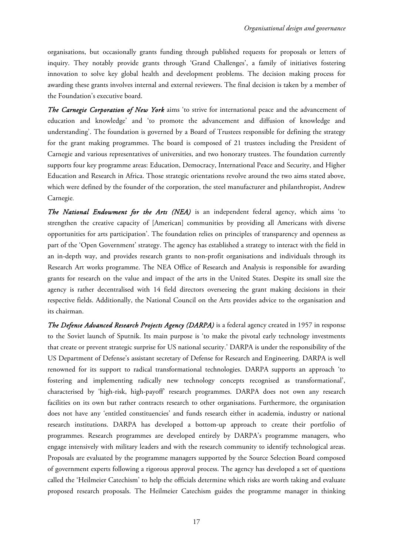organisations, but occasionally grants funding through published requests for proposals or letters of inquiry. They notably provide grants through 'Grand Challenges', a family of initiatives fostering innovation to solve key global health and development problems. The decision making process for awarding these grants involves internal and external reviewers. The final decision is taken by a member of the Foundation's executive board.

*The Carnegie Corporation of New York* aims 'to strive for international peace and the advancement of education and knowledge' and 'to promote the advancement and diffusion of knowledge and understanding'. The foundation is governed by a Board of Trustees responsible for defining the strategy for the grant making programmes. The board is composed of 21 trustees including the President of Carnegie and various representatives of universities, and two honorary trustees. The foundation currently supports four key programme areas: Education, Democracy, International Peace and Security, and Higher Education and Research in Africa. Those strategic orientations revolve around the two aims stated above, which were defined by the founder of the corporation, the steel manufacturer and philanthropist, Andrew Carnegie.

*The National Endowment for the Arts (NEA)* is an independent federal agency, which aims 'to strengthen the creative capacity of [American] communities by providing all Americans with diverse opportunities for arts participation'. The foundation relies on principles of transparency and openness as part of the 'Open Government' strategy. The agency has established a strategy to interact with the field in an in-depth way, and provides research grants to non-profit organisations and individuals through its Research Art works programme. The NEA Office of Research and Analysis is responsible for awarding grants for research on the value and impact of the arts in the United States. Despite its small size the agency is rather decentralised with 14 field directors overseeing the grant making decisions in their respective fields. Additionally, the National Council on the Arts provides advice to the organisation and its chairman.

*The Defense Advanced Research Projects Agency (DARPA)* is a federal agency created in 1957 in response to the Soviet launch of Sputnik. Its main purpose is 'to make the pivotal early technology investments that create or prevent strategic surprise for US national security.' DARPA is under the responsibility of the US Department of Defense's assistant secretary of Defense for Research and Engineering. DARPA is well renowned for its support to radical transformational technologies. DARPA supports an approach 'to fostering and implementing radically new technology concepts recognised as transformational', characterised by 'high-risk, high-payoff' research programmes. DARPA does not own any research facilities on its own but rather contracts research to other organisations. Furthermore, the organisation does not have any 'entitled constituencies' and funds research either in academia, industry or national research institutions. DARPA has developed a bottom-up approach to create their portfolio of programmes. Research programmes are developed entirely by DARPA's programme managers, who engage intensively with military leaders and with the research community to identify technological areas. Proposals are evaluated by the programme managers supported by the Source Selection Board composed of government experts following a rigorous approval process. The agency has developed a set of questions called the 'Heilmeier Catechism' to help the officials determine which risks are worth taking and evaluate proposed research proposals. The Heilmeier Catechism guides the programme manager in thinking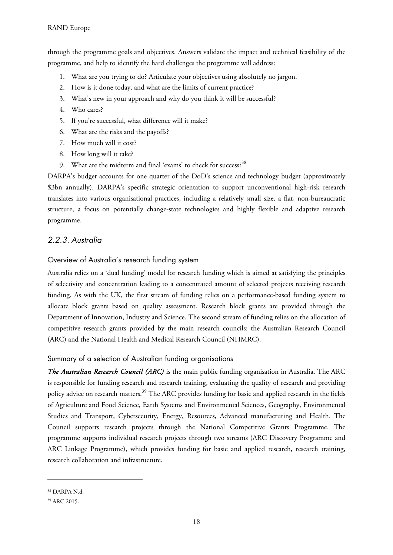through the programme goals and objectives. Answers validate the impact and technical feasibility of the programme, and help to identify the hard challenges the programme will address:

- 1. What are you trying to do? Articulate your objectives using absolutely no jargon.
- 2. How is it done today, and what are the limits of current practice?
- 3. What's new in your approach and why do you think it will be successful?
- 4. Who cares?
- 5. If you're successful, what difference will it make?
- 6. What are the risks and the payoffs?
- 7. How much will it cost?
- 8. How long will it take?
- 9. What are the midterm and final 'exams' to check for success?<sup>38</sup>

DARPA's budget accounts for one quarter of the DoD's science and technology budget (approximately \$3bn annually). DARPA's specific strategic orientation to support unconventional high-risk research translates into various organisational practices, including a relatively small size, a flat, non-bureaucratic structure, a focus on potentially change-state technologies and highly flexible and adaptive research programme.

### 2.2.3. Australia

#### Overview of Australia's research funding system

Australia relies on a 'dual funding' model for research funding which is aimed at satisfying the principles of selectivity and concentration leading to a concentrated amount of selected projects receiving research funding. As with the UK, the first stream of funding relies on a performance-based funding system to allocate block grants based on quality assessment. Research block grants are provided through the Department of Innovation, Industry and Science. The second stream of funding relies on the allocation of competitive research grants provided by the main research councils: the Australian Research Council (ARC) and the National Health and Medical Research Council (NHMRC).

#### Summary of a selection of Australian funding organisations

*The Australian Research Council (ARC)* is the main public funding organisation in Australia. The ARC is responsible for funding research and research training, evaluating the quality of research and providing policy advice on research matters.<sup>39</sup> The ARC provides funding for basic and applied research in the fields of Agriculture and Food Science, Earth Systems and Environmental Sciences, Geography, Environmental Studies and Transport, Cybersecurity, Energy, Resources, Advanced manufacturing and Health. The Council supports research projects through the National Competitive Grants Programme. The programme supports individual research projects through two streams (ARC Discovery Programme and ARC Linkage Programme), which provides funding for basic and applied research, research training, research collaboration and infrastructure.

<sup>38</sup> DARPA N.d.

<sup>&</sup>lt;sup>39</sup> ARC 2015.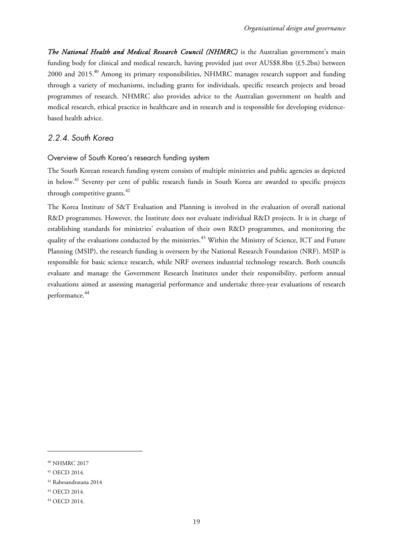The National Health and Medical Research Council (NHMRC) is the Australian government's main funding body for clinical and medical research, having provided just over AUS\$8.8bn (£5.2bn) between 2000 and 2015.<sup>40</sup> Among its primary responsibilities, NHMRC manages research support and funding through a variety of mechanisms, including grants for individuals, specific research projects and broad programmes of research. NHMRC also provides advice to the Australian government on health and medical research, ethical practice in healthcare and in research and is responsible for developing evidencebased health advice.

# 2.2.4. South Korea

Overview of South Korea's research funding system

The South Korean research funding system consists of multiple ministries and public agencies as depicted in below.<sup>41</sup> Seventy per cent of public research funds in South Korea are awarded to specific projects through competitive grants.<sup>42</sup>

The Korea Institute of S&T Evaluation and Planning is involved in the evaluation of overall national R&D programmes. However, the Institute does not evaluate individual R&D projects. It is in charge of establishing standards for ministries' evaluation of their own R&D programmes, and monitoring the quality of the evaluations conducted by the ministries.<sup>43</sup> Within the Ministry of Science, ICT and Future Planning (MSIP), the research funding is overseen by the National Research Foundation (NRF). MSIP is responsible for basic science research, while NRF oversees industrial technology research. Both councils evaluate and manage the Government Research Institutes under their responsibility, perform annual evaluations aimed at assessing managerial performance and undertake three-year evaluations of research performance.<sup>44</sup>

<sup>40</sup> NHMRC 2017

<sup>41</sup> OECD 2014.

<sup>42</sup> Rabesandratana 2014

<sup>43</sup> OECD 2014.

<sup>44</sup> OECD 2014.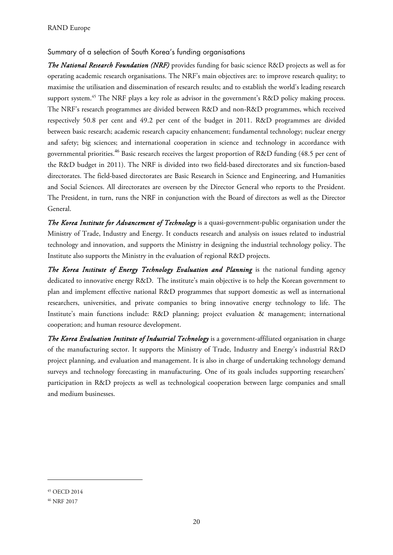# Summary of a selection of South Korea's funding organisations

*The National Research Foundation (NRF)* provides funding for basic science R&D projects as well as for operating academic research organisations. The NRF's main objectives are: to improve research quality; to maximise the utilisation and dissemination of research results; and to establish the world's leading research support system.<sup>45</sup> The NRF plays a key role as advisor in the government's R&D policy making process. The NRF's research programmes are divided between R&D and non-R&D programmes, which received respectively 50.8 per cent and 49.2 per cent of the budget in 2011. R&D programmes are divided between basic research; academic research capacity enhancement; fundamental technology; nuclear energy and safety; big sciences; and international cooperation in science and technology in accordance with governmental priorities.<sup>46</sup> Basic research receives the largest proportion of R&D funding (48.5 per cent of the R&D budget in 2011). The NRF is divided into two field-based directorates and six function-based directorates. The field-based directorates are Basic Research in Science and Engineering, and Humanities and Social Sciences. All directorates are overseen by the Director General who reports to the President. The President, in turn, runs the NRF in conjunction with the Board of directors as well as the Director General.

*The Korea Institute for Advancement of Technology* is a quasi-government-public organisation under the Ministry of Trade, Industry and Energy. It conducts research and analysis on issues related to industrial technology and innovation, and supports the Ministry in designing the industrial technology policy. The Institute also supports the Ministry in the evaluation of regional R&D projects.

*The Korea Institute of Energy Technology Evaluation and Planning* is the national funding agency dedicated to innovative energy R&D. The institute's main objective is to help the Korean government to plan and implement effective national R&D programmes that support domestic as well as international researchers, universities, and private companies to bring innovative energy technology to life. The Institute's main functions include: R&D planning; project evaluation & management; international cooperation; and human resource development.

*The Korea Evaluation Institute of Industrial Technology* is a government-affiliated organisation in charge of the manufacturing sector. It supports the Ministry of Trade, Industry and Energy's industrial R&D project planning, and evaluation and management. It is also in charge of undertaking technology demand surveys and technology forecasting in manufacturing. One of its goals includes supporting researchers' participation in R&D projects as well as technological cooperation between large companies and small and medium businesses.

<sup>45</sup> OECD 2014

<sup>46</sup> NRF 2017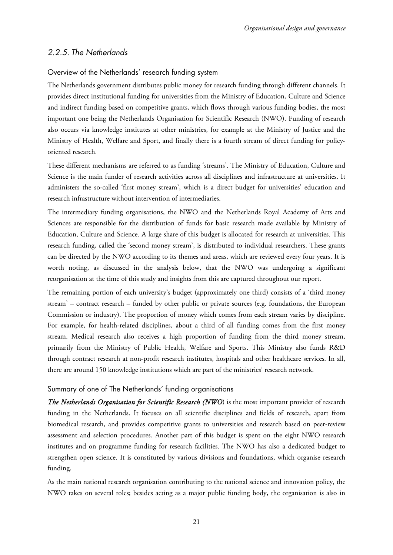# 2.2.5. The Netherlands

### Overview of the Netherlands' research funding system

The Netherlands government distributes public money for research funding through different channels. It provides direct institutional funding for universities from the Ministry of Education, Culture and Science and indirect funding based on competitive grants, which flows through various funding bodies, the most important one being the Netherlands Organisation for Scientific Research (NWO). Funding of research also occurs via knowledge institutes at other ministries, for example at the Ministry of Justice and the Ministry of Health, Welfare and Sport, and finally there is a fourth stream of direct funding for policyoriented research.

These different mechanisms are referred to as funding 'streams'. The Ministry of Education, Culture and Science is the main funder of research activities across all disciplines and infrastructure at universities. It administers the so-called 'first money stream', which is a direct budget for universities' education and research infrastructure without intervention of intermediaries.

The intermediary funding organisations, the NWO and the Netherlands Royal Academy of Arts and Sciences are responsible for the distribution of funds for basic research made available by Ministry of Education, Culture and Science. A large share of this budget is allocated for research at universities. This research funding, called the 'second money stream', is distributed to individual researchers. These grants can be directed by the NWO according to its themes and areas, which are reviewed every four years. It is worth noting, as discussed in the analysis below, that the NWO was undergoing a significant reorganisation at the time of this study and insights from this are captured throughout our report.

The remaining portion of each university's budget (approximately one third) consists of a 'third money stream' – contract research – funded by other public or private sources (e.g. foundations, the European Commission or industry). The proportion of money which comes from each stream varies by discipline. For example, for health-related disciplines, about a third of all funding comes from the first money stream. Medical research also receives a high proportion of funding from the third money stream, primarily from the Ministry of Public Health, Welfare and Sports. This Ministry also funds R&D through contract research at non-profit research institutes, hospitals and other healthcare services. In all, there are around 150 knowledge institutions which are part of the ministries' research network.

### Summary of one of The Netherlands' funding organisations

*The Netherlands Organisation for Scientific Research (NWO*) is the most important provider of research funding in the Netherlands. It focuses on all scientific disciplines and fields of research, apart from biomedical research, and provides competitive grants to universities and research based on peer-review assessment and selection procedures. Another part of this budget is spent on the eight NWO research institutes and on programme funding for research facilities. The NWO has also a dedicated budget to strengthen open science. It is constituted by various divisions and foundations, which organise research funding.

As the main national research organisation contributing to the national science and innovation policy, the NWO takes on several roles; besides acting as a major public funding body, the organisation is also in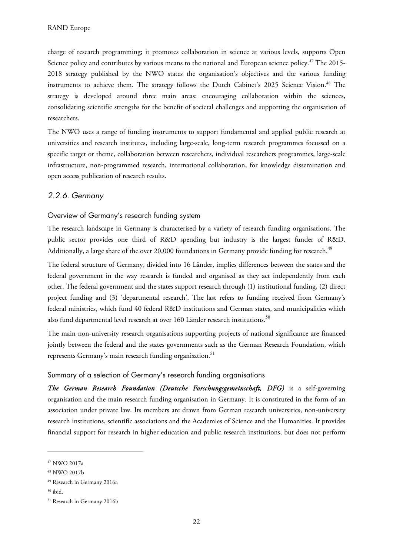charge of research programming; it promotes collaboration in science at various levels, supports Open Science policy and contributes by various means to the national and European science policy.<sup>47</sup> The 2015-2018 strategy published by the NWO states the organisation's objectives and the various funding instruments to achieve them. The strategy follows the Dutch Cabinet's 2025 Science Vision.<sup>48</sup> The strategy is developed around three main areas: encouraging collaboration within the sciences, consolidating scientific strengths for the benefit of societal challenges and supporting the organisation of researchers.

The NWO uses a range of funding instruments to support fundamental and applied public research at universities and research institutes, including large-scale, long-term research programmes focussed on a specific target or theme, collaboration between researchers, individual researchers programmes, large-scale infrastructure, non-programmed research, international collaboration, for knowledge dissemination and open access publication of research results.

#### 2.2.6. Germany

#### Overview of Germany's research funding system

The research landscape in Germany is characterised by a variety of research funding organisations. The public sector provides one third of R&D spending but industry is the largest funder of R&D. Additionally, a large share of the over 20,000 foundations in Germany provide funding for research.<sup>49</sup>

The federal structure of Germany, divided into 16 Länder, implies differences between the states and the federal government in the way research is funded and organised as they act independently from each other. The federal government and the states support research through (1) institutional funding, (2) direct project funding and (3) 'departmental research'. The last refers to funding received from Germany's federal ministries, which fund 40 federal R&D institutions and German states, and municipalities which also fund departmental level research at over 160 Länder research institutions.<sup>50</sup>

The main non-university research organisations supporting projects of national significance are financed jointly between the federal and the states governments such as the German Research Foundation, which represents Germany's main research funding organisation.<sup>51</sup>

#### Summary of a selection of Germany's research funding organisations

*The German Research Foundation (Deutsche Forschungsgemeinschaft, DFG)* is a self-governing organisation and the main research funding organisation in Germany. It is constituted in the form of an association under private law. Its members are drawn from German research universities, non-university research institutions, scientific associations and the Academies of Science and the Humanities. It provides financial support for research in higher education and public research institutions, but does not perform

<sup>47</sup> NWO 2017a

<sup>48</sup> NWO 2017b

<sup>49</sup> Research in Germany 2016a

<sup>50</sup> ibid.

<sup>51</sup> Research in Germany 2016b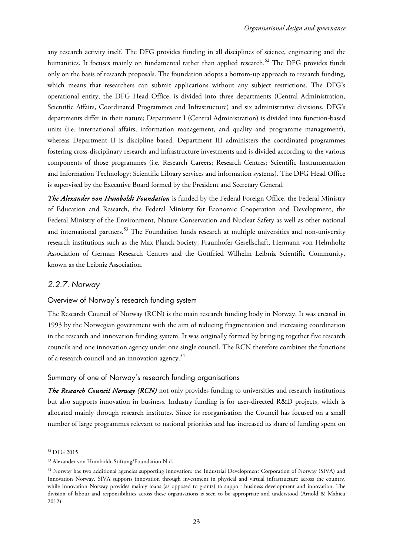any research activity itself. The DFG provides funding in all disciplines of science, engineering and the humanities. It focuses mainly on fundamental rather than applied research.<sup>52</sup> The DFG provides funds only on the basis of research proposals. The foundation adopts a bottom-up approach to research funding, which means that researchers can submit applications without any subject restrictions. The DFG's operational entity, the DFG Head Office, is divided into three departments (Central Administration, Scientific Affairs, Coordinated Programmes and Infrastructure) and six administrative divisions. DFG's departments differ in their nature; Department I (Central Administration) is divided into function-based units (i.e. international affairs, information management, and quality and programme management), whereas Department II is discipline based. Department III administers the coordinated programmes fostering cross-disciplinary research and infrastructure investments and is divided according to the various components of those programmes (i.e. Research Careers; Research Centres; Scientific Instrumentation and Information Technology; Scientific Library services and information systems). The DFG Head Office is supervised by the Executive Board formed by the President and Secretary General.

*The Alexander von Humboldt Foundation* is funded by the Federal Foreign Office, the Federal Ministry of Education and Research, the Federal Ministry for Economic Cooperation and Development, the Federal Ministry of the Environment, Nature Conservation and Nuclear Safety as well as other national and international partners.<sup>53</sup> The Foundation funds research at multiple universities and non-university research institutions such as the Max Planck Society, Fraunhofer Gesellschaft, Hermann von Helmholtz Association of German Research Centres and the Gottfried Wilhelm Leibniz Scientific Community, known as the Leibniz Association.

# 2.2.7. Norway

### Overview of Norway's research funding system

The Research Council of Norway (RCN) is the main research funding body in Norway. It was created in 1993 by the Norwegian government with the aim of reducing fragmentation and increasing coordination in the research and innovation funding system. It was originally formed by bringing together five research councils and one innovation agency under one single council. The RCN therefore combines the functions of a research council and an innovation agency.<sup>54</sup>

### Summary of one of Norway's research funding organisations

*The Research Council Norway (RCN)* not only provides funding to universities and research institutions but also supports innovation in business. Industry funding is for user-directed R&D projects, which is allocated mainly through research institutes. Since its reorganisation the Council has focused on a small number of large programmes relevant to national priorities and has increased its share of funding spent on

<sup>52</sup> DFG 2015

<sup>53</sup> Alexander von Humboldt-Stiftung/Foundation N.d.

<sup>54</sup> Norway has two additional agencies supporting innovation: the Industrial Development Corporation of Norway (SIVA) and Innovation Norway. SIVA supports innovation through investment in physical and virtual infrastructure across the country, while Innovation Norway provides mainly loans (as opposed to grants) to support business development and innovation. The division of labour and responsibilities across these organisations is seen to be appropriate and understood (Arnold & Mahieu 2012).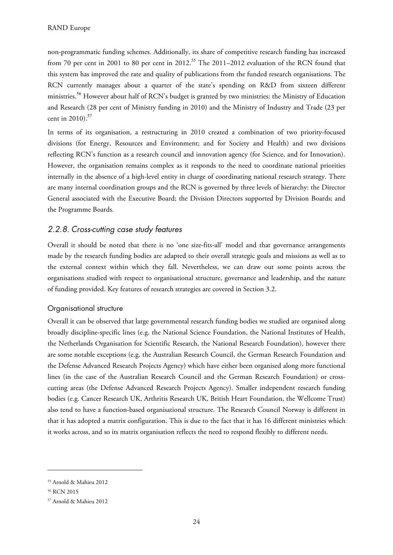non-programmatic funding schemes. Additionally, its share of competitive research funding has increased from 70 per cent in 2001 to 80 per cent in 2012.<sup>55</sup> The 2011–2012 evaluation of the RCN found that this system has improved the rate and quality of publications from the funded research organisations. The RCN currently manages about a quarter of the state's spending on R&D from sixteen different ministries.<sup>56</sup> However about half of RCN's budget is granted by two ministries: the Ministry of Education and Research (28 per cent of Ministry funding in 2010) and the Ministry of Industry and Trade (23 per cent in 2010). $57$ 

In terms of its organisation, a restructuring in 2010 created a combination of two priority-focused divisions (for Energy, Resources and Environment; and for Society and Health) and two divisions reflecting RCN's function as a research council and innovation agency (for Science, and for Innovation). However, the organisation remains complex as it responds to the need to coordinate national priorities internally in the absence of a high-level entity in charge of coordinating national research strategy. There are many internal coordination groups and the RCN is governed by three levels of hierarchy: the Director General associated with the Executive Board; the Division Directors supported by Division Boards; and the Programme Boards.

# 2.2.8. Cross-cutting case study features

Overall it should be noted that there is no 'one size-fits-all' model and that governance arrangements made by the research funding bodies are adapted to their overall strategic goals and missions as well as to the external context within which they fall. Nevertheless, we can draw out some points across the organisations studied with respect to organisational structure, governance and leadership, and the nature of funding provided. Key features of research strategies are covered in Section 3.2.

#### Organisational structure

Overall it can be observed that large governmental research funding bodies we studied are organised along broadly discipline-specific lines (e.g. the National Science Foundation, the National Institutes of Health, the Netherlands Organisation for Scientific Research, the National Research Foundation), however there are some notable exceptions (e.g. the Australian Research Council, the German Research Foundation and the Defense Advanced Research Projects Agency) which have either been organised along more functional lines (in the case of the Australian Research Council and the German Research Foundation) or crosscutting areas (the Defense Advanced Research Projects Agency). Smaller independent research funding bodies (e.g. Cancer Research UK, Arthritis Research UK, British Heart Foundation, the Wellcome Trust) also tend to have a function-based organisational structure. The Research Council Norway is different in that it has adopted a matrix configuration. This is due to the fact that it has 16 different ministries which it works across, and so its matrix organisation reflects the need to respond flexibly to different needs.

<sup>55</sup> Arnold & Mahieu 2012

<sup>56</sup> RCN 2015

<sup>57</sup> Arnold & Mahieu 2012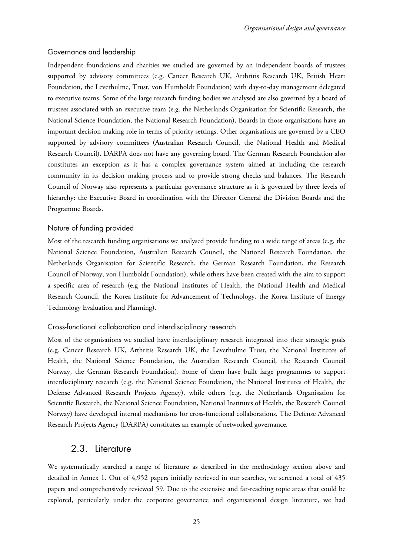#### Governance and leadership

Independent foundations and charities we studied are governed by an independent boards of trustees supported by advisory committees (e.g. Cancer Research UK, Arthritis Research UK, British Heart Foundation, the Leverhulme, Trust, von Humboldt Foundation) with day-to-day management delegated to executive teams. Some of the large research funding bodies we analysed are also governed by a board of trustees associated with an executive team (e.g. the Netherlands Organisation for Scientific Research, the National Science Foundation, the National Research Foundation), Boards in those organisations have an important decision making role in terms of priority settings. Other organisations are governed by a CEO supported by advisory committees (Australian Research Council, the National Health and Medical Research Council). DARPA does not have any governing board. The German Research Foundation also constitutes an exception as it has a complex governance system aimed at including the research community in its decision making process and to provide strong checks and balances. The Research Council of Norway also represents a particular governance structure as it is governed by three levels of hierarchy: the Executive Board in coordination with the Director General the Division Boards and the Programme Boards.

#### Nature of funding provided

Most of the research funding organisations we analysed provide funding to a wide range of areas (e.g. the National Science Foundation, Australian Research Council, the National Research Foundation, the Netherlands Organisation for Scientific Research, the German Research Foundation, the Research Council of Norway, von Humboldt Foundation), while others have been created with the aim to support a specific area of research (e.g the National Institutes of Health, the National Health and Medical Research Council, the Korea Institute for Advancement of Technology, the Korea Institute of Energy Technology Evaluation and Planning).

#### Cross-functional collaboration and interdisciplinary research

Most of the organisations we studied have interdisciplinary research integrated into their strategic goals (e.g. Cancer Research UK, Arthritis Research UK, the Leverhulme Trust, the National Institutes of Health, the National Science Foundation, the Australian Research Council, the Research Council Norway, the German Research Foundation). Some of them have built large programmes to support interdisciplinary research (e.g. the National Science Foundation, the National Institutes of Health, the Defense Advanced Research Projects Agency), while others (e.g. the Netherlands Organisation for Scientific Research, the National Science Foundation, National Institutes of Health, the Research Council Norway) have developed internal mechanisms for cross-functional collaborations. The Defense Advanced Research Projects Agency (DARPA) constitutes an example of networked governance.

# 2.3. Literature

We systematically searched a range of literature as described in the methodology section above and detailed in Annex 1. Out of 4,952 papers initially retrieved in our searches, we screened a total of 435 papers and comprehensively reviewed 59. Due to the extensive and far-reaching topic areas that could be explored, particularly under the corporate governance and organisational design literature, we had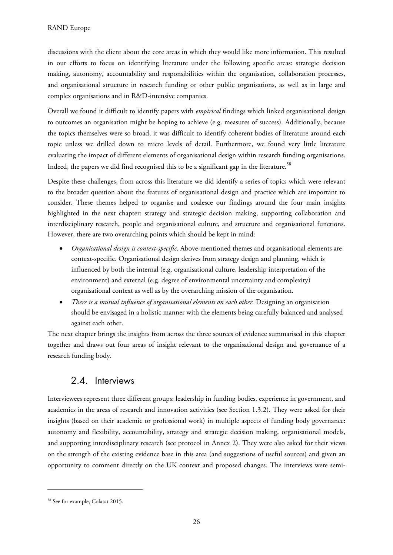discussions with the client about the core areas in which they would like more information. This resulted in our efforts to focus on identifying literature under the following specific areas: strategic decision making, autonomy, accountability and responsibilities within the organisation, collaboration processes, and organisational structure in research funding or other public organisations, as well as in large and complex organisations and in R&D-intensive companies.

Overall we found it difficult to identify papers with *empirical* findings which linked organisational design to outcomes an organisation might be hoping to achieve (e.g. measures of success). Additionally, because the topics themselves were so broad, it was difficult to identify coherent bodies of literature around each topic unless we drilled down to micro levels of detail. Furthermore, we found very little literature evaluating the impact of different elements of organisational design within research funding organisations. Indeed, the papers we did find recognised this to be a significant gap in the literature.<sup>58</sup>

Despite these challenges, from across this literature we did identify a series of topics which were relevant to the broader question about the features of organisational design and practice which are important to consider. These themes helped to organise and coalesce our findings around the four main insights highlighted in the next chapter: strategy and strategic decision making, supporting collaboration and interdisciplinary research, people and organisational culture, and structure and organisational functions. However, there are two overarching points which should be kept in mind:

- *Organisational design is context-specific*. Above-mentioned themes and organisational elements are context-specific. Organisational design derives from strategy design and planning, which is influenced by both the internal (e.g. organisational culture, leadership interpretation of the environment) and external (e.g. degree of environmental uncertainty and complexity) organisational context as well as by the overarching mission of the organisation.
- *There is a mutual influence of organisational elements on each other.* Designing an organisation should be envisaged in a holistic manner with the elements being carefully balanced and analysed against each other.

The next chapter brings the insights from across the three sources of evidence summarised in this chapter together and draws out four areas of insight relevant to the organisational design and governance of a research funding body.

# 2.4. Interviews

Interviewees represent three different groups: leadership in funding bodies, experience in government, and academics in the areas of research and innovation activities (see Section 1.3.2). They were asked for their insights (based on their academic or professional work) in multiple aspects of funding body governance: autonomy and flexibility, accountability, strategy and strategic decision making, organisational models, and supporting interdisciplinary research (see protocol in Annex 2). They were also asked for their views on the strength of the existing evidence base in this area (and suggestions of useful sources) and given an opportunity to comment directly on the UK context and proposed changes. The interviews were semi-

<sup>58</sup> See for example, Colatat 2015.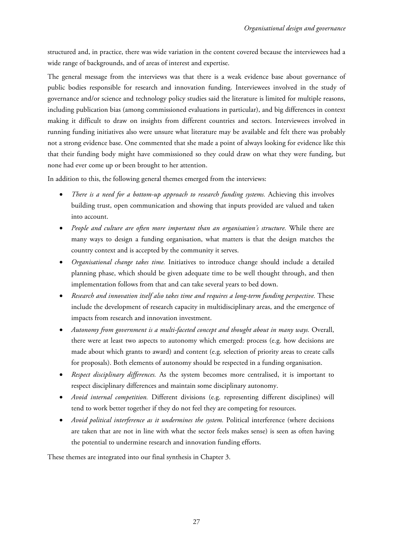structured and, in practice, there was wide variation in the content covered because the interviewees had a wide range of backgrounds, and of areas of interest and expertise.

The general message from the interviews was that there is a weak evidence base about governance of public bodies responsible for research and innovation funding. Interviewees involved in the study of governance and/or science and technology policy studies said the literature is limited for multiple reasons, including publication bias (among commissioned evaluations in particular), and big differences in context making it difficult to draw on insights from different countries and sectors. Interviewees involved in running funding initiatives also were unsure what literature may be available and felt there was probably not a strong evidence base. One commented that she made a point of always looking for evidence like this that their funding body might have commissioned so they could draw on what they were funding, but none had ever come up or been brought to her attention.

In addition to this, the following general themes emerged from the interviews:

- *There is a need for a bottom-up approach to research funding systems.* Achieving this involves building trust, open communication and showing that inputs provided are valued and taken into account.
- *People and culture are often more important than an organisation's structure.* While there are many ways to design a funding organisation, what matters is that the design matches the country context and is accepted by the community it serves.
- *Organisational change takes time.* Initiatives to introduce change should include a detailed planning phase, which should be given adequate time to be well thought through, and then implementation follows from that and can take several years to bed down.
- *Research and innovation itself also takes time and requires a long-term funding perspective.* These include the development of research capacity in multidisciplinary areas, and the emergence of impacts from research and innovation investment.
- *Autonomy from government is a multi-faceted concept and thought about in many ways.* Overall, there were at least two aspects to autonomy which emerged: process (e.g. how decisions are made about which grants to award) and content (e.g. selection of priority areas to create calls for proposals). Both elements of autonomy should be respected in a funding organisation.
- *Respect disciplinary differences.* As the system becomes more centralised, it is important to respect disciplinary differences and maintain some disciplinary autonomy.
- *Avoid internal competition.* Different divisions (e.g. representing different disciplines) will tend to work better together if they do not feel they are competing for resources.
- *Avoid political interference as it undermines the system.* Political interference (where decisions are taken that are not in line with what the sector feels makes sense) is seen as often having the potential to undermine research and innovation funding efforts.

These themes are integrated into our final synthesis in Chapter 3.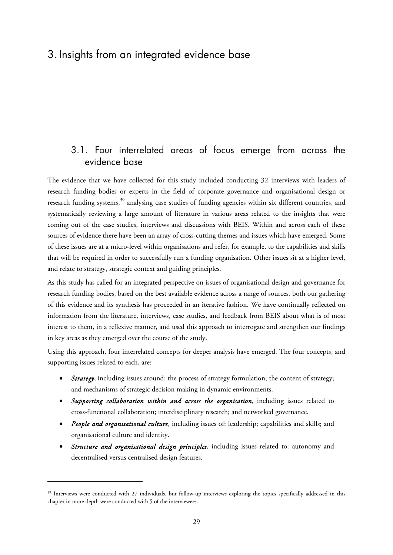# 3.1. Four interrelated areas of focus emerge from across the evidence base

The evidence that we have collected for this study included conducting 32 interviews with leaders of research funding bodies or experts in the field of corporate governance and organisational design or research funding systems,<sup>59</sup> analysing case studies of funding agencies within six different countries, and systematically reviewing a large amount of literature in various areas related to the insights that were coming out of the case studies, interviews and discussions with BEIS. Within and across each of these sources of evidence there have been an array of cross-cutting themes and issues which have emerged. Some of these issues are at a micro-level within organisations and refer, for example, to the capabilities and skills that will be required in order to successfully run a funding organisation. Other issues sit at a higher level, and relate to strategy, strategic context and guiding principles.

As this study has called for an integrated perspective on issues of organisational design and governance for research funding bodies, based on the best available evidence across a range of sources, both our gathering of this evidence and its synthesis has proceeded in an iterative fashion. We have continually reflected on information from the literature, interviews, case studies, and feedback from BEIS about what is of most interest to them, in a reflexive manner, and used this approach to interrogate and strengthen our findings in key areas as they emerged over the course of the study.

Using this approach, four interrelated concepts for deeper analysis have emerged. The four concepts, and supporting issues related to each, are:

- *Strategy*, including issues around: the process of strategy formulation; the content of strategy; and mechanisms of strategic decision making in dynamic environments.
- *Supporting collaboration within and across the organisation*, including issues related to cross-functional collaboration; interdisciplinary research; and networked governance.
- *People and organisational culture*, including issues of: leadership; capabilities and skills; and organisational culture and identity.
- *Structure and organisational design principles*, including issues related to: autonomy and decentralised versus centralised design features.

<sup>59</sup> Interviews were conducted with 27 individuals, but follow-up interviews exploring the topics specifically addressed in this chapter in more depth were conducted with 5 of the interviewees.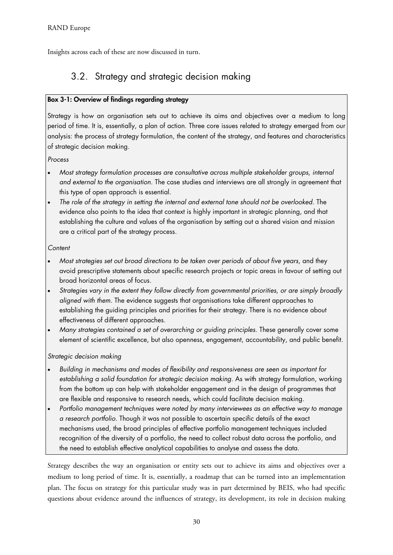Insights across each of these are now discussed in turn.

# 3.2. Strategy and strategic decision making

### Box 3-1: Overview of findings regarding strategy

Strategy is how an organisation sets out to achieve its aims and objectives over a medium to long period of time. It is, essentially, a plan of action. Three core issues related to strategy emerged from our analysis: the process of strategy formulation, the content of the strategy, and features and characteristics of strategic decision making.

Process

- Most strategy formulation processes are consultative across multiple stakeholder groups, internal and external to the organisation. The case studies and interviews are all strongly in agreement that this type of open approach is essential.
- The role of the strategy in setting the internal and external tone should not be overlooked. The evidence also points to the idea that context is highly important in strategic planning, and that establishing the culture and values of the organisation by setting out a shared vision and mission are a critical part of the strategy process.

# **Content**

- Most strategies set out broad directions to be taken over periods of about five years, and they avoid prescriptive statements about specific research projects or topic areas in favour of setting out broad horizontal areas of focus.
- Strategies vary in the extent they follow directly from governmental priorities, or are simply broadly aligned with them. The evidence suggests that organisations take different approaches to establishing the guiding principles and priorities for their strategy. There is no evidence about effectiveness of different approaches.
- Many strategies contained a set of overarching or guiding principles. These generally cover some element of scientific excellence, but also openness, engagement, accountability, and public benefit.

# Strategic decision making

- Building in mechanisms and modes of flexibility and responsiveness are seen as important for establishing a solid foundation for strategic decision making. As with strategy formulation, working from the bottom up can help with stakeholder engagement and in the design of programmes that are flexible and responsive to research needs, which could facilitate decision making.
- Portfolio management techniques were noted by many interviewees as an effective way to manage a research portfolio. Though it was not possible to ascertain specific details of the exact mechanisms used, the broad principles of effective portfolio management techniques included recognition of the diversity of a portfolio, the need to collect robust data across the portfolio, and the need to establish effective analytical capabilities to analyse and assess the data.

Strategy describes the way an organisation or entity sets out to achieve its aims and objectives over a medium to long period of time. It is, essentially, a roadmap that can be turned into an implementation plan. The focus on strategy for this particular study was in part determined by BEIS, who had specific questions about evidence around the influences of strategy, its development, its role in decision making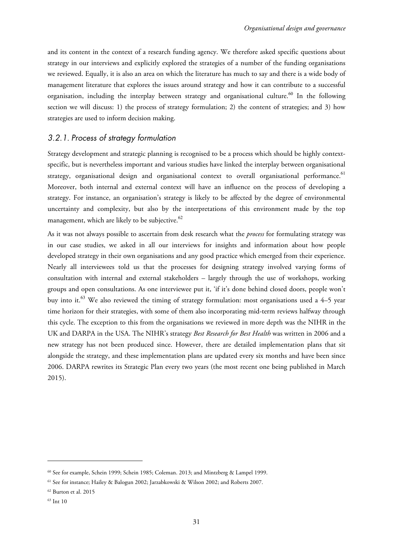and its content in the context of a research funding agency. We therefore asked specific questions about strategy in our interviews and explicitly explored the strategies of a number of the funding organisations we reviewed. Equally, it is also an area on which the literature has much to say and there is a wide body of management literature that explores the issues around strategy and how it can contribute to a successful organisation, including the interplay between strategy and organisational culture.<sup>60</sup> In the following section we will discuss: 1) the process of strategy formulation; 2) the content of strategies; and 3) how strategies are used to inform decision making.

# 3.2.1. Process of strategy formulation

Strategy development and strategic planning is recognised to be a process which should be highly contextspecific, but is nevertheless important and various studies have linked the interplay between organisational strategy, organisational design and organisational context to overall organisational performance.<sup>61</sup> Moreover, both internal and external context will have an influence on the process of developing a strategy. For instance, an organisation's strategy is likely to be affected by the degree of environmental uncertainty and complexity, but also by the interpretations of this environment made by the top management, which are likely to be subjective. $62$ 

As it was not always possible to ascertain from desk research what the *process* for formulating strategy was in our case studies, we asked in all our interviews for insights and information about how people developed strategy in their own organisations and any good practice which emerged from their experience. Nearly all interviewees told us that the processes for designing strategy involved varying forms of consultation with internal and external stakeholders – largely through the use of workshops, working groups and open consultations. As one interviewee put it, 'if it's done behind closed doors, people won't buy into it.<sup>63</sup> We also reviewed the timing of strategy formulation: most organisations used a 4–5 year time horizon for their strategies, with some of them also incorporating mid-term reviews halfway through this cycle. The exception to this from the organisations we reviewed in more depth was the NIHR in the UK and DARPA in the USA. The NIHR's strategy *Best Research for Best Health* was written in 2006 and a new strategy has not been produced since. However, there are detailed implementation plans that sit alongside the strategy, and these implementation plans are updated every six months and have been since 2006. DARPA rewrites its Strategic Plan every two years (the most recent one being published in March 2015).

<sup>60</sup> See for example, Schein 1999; Schein 1985; Coleman. 2013; and Mintzberg & Lampel 1999.

<sup>61</sup> See for instance; Hailey & Balogun 2002; Jarzabkowski & Wilson 2002; and Roberts 2007.

<sup>62</sup> Burton et al. 2015

<sup>63</sup> Int 10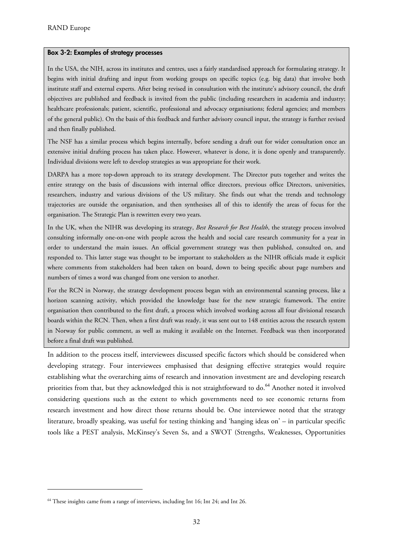#### Box 3-2: Examples of strategy processes

In the USA, the NIH, across its institutes and centres, uses a fairly standardised approach for formulating strategy. It begins with initial drafting and input from working groups on specific topics (e.g. big data) that involve both institute staff and external experts. After being revised in consultation with the institute's advisory council, the draft objectives are published and feedback is invited from the public (including researchers in academia and industry; healthcare professionals; patient, scientific, professional and advocacy organisations; federal agencies; and members of the general public). On the basis of this feedback and further advisory council input, the strategy is further revised and then finally published.

The NSF has a similar process which begins internally, before sending a draft out for wider consultation once an extensive initial drafting process has taken place. However, whatever is done, it is done openly and transparently. Individual divisions were left to develop strategies as was appropriate for their work.

DARPA has a more top-down approach to its strategy development. The Director puts together and writes the entire strategy on the basis of discussions with internal office directors, previous office Directors, universities, researchers, industry and various divisions of the US military. She finds out what the trends and technology trajectories are outside the organisation, and then synthesises all of this to identify the areas of focus for the organisation. The Strategic Plan is rewritten every two years.

In the UK, when the NIHR was developing its strategy, *Best Research for Best Health*, the strategy process involved consulting informally one-on-one with people across the health and social care research community for a year in order to understand the main issues. An official government strategy was then published, consulted on, and responded to. This latter stage was thought to be important to stakeholders as the NIHR officials made it explicit where comments from stakeholders had been taken on board, down to being specific about page numbers and numbers of times a word was changed from one version to another.

For the RCN in Norway, the strategy development process began with an environmental scanning process, like a horizon scanning activity, which provided the knowledge base for the new strategic framework. The entire organisation then contributed to the first draft, a process which involved working across all four divisional research boards within the RCN. Then, when a first draft was ready, it was sent out to 148 entities across the research system in Norway for public comment, as well as making it available on the Internet. Feedback was then incorporated before a final draft was published.

In addition to the process itself, interviewees discussed specific factors which should be considered when developing strategy. Four interviewees emphasised that designing effective strategies would require establishing what the overarching aims of research and innovation investment are and developing research priorities from that, but they acknowledged this is not straightforward to do.<sup>64</sup> Another noted it involved considering questions such as the extent to which governments need to see economic returns from research investment and how direct those returns should be. One interviewee noted that the strategy literature, broadly speaking, was useful for testing thinking and 'hanging ideas on' – in particular specific tools like a PEST analysis, McKinsey's Seven Ss, and a SWOT (Strengths, Weaknesses, Opportunities

<sup>&</sup>lt;sup>64</sup> These insights came from a range of interviews, including Int 16; Int 24; and Int 26.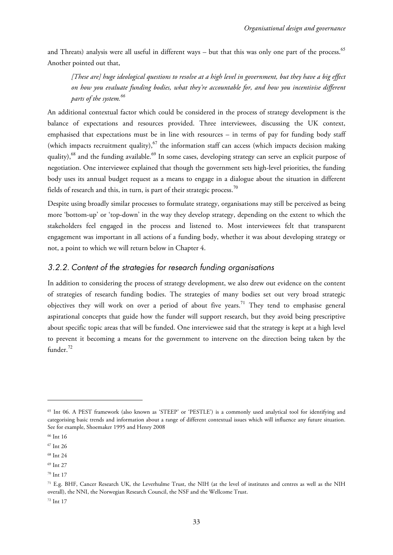and Threats) analysis were all useful in different ways – but that this was only one part of the process.<sup>65</sup> Another pointed out that,

*[These are] huge ideological questions to resolve at a high level in government, but they have a big effect on how you evaluate funding bodies, what they're accountable for, and how you incentivise different parts of the system.<sup>66</sup>*

An additional contextual factor which could be considered in the process of strategy development is the balance of expectations and resources provided. Three interviewees, discussing the UK context, emphasised that expectations must be in line with resources – in terms of pay for funding body staff (which impacts recruitment quality), $67$  the information staff can access (which impacts decision making quality),<sup>68</sup> and the funding available.<sup>69</sup> In some cases, developing strategy can serve an explicit purpose of negotiation. One interviewee explained that though the government sets high-level priorities, the funding body uses its annual budget request as a means to engage in a dialogue about the situation in different fields of research and this, in turn, is part of their strategic process.<sup>70</sup>

Despite using broadly similar processes to formulate strategy, organisations may still be perceived as being more 'bottom-up' or 'top-down' in the way they develop strategy, depending on the extent to which the stakeholders feel engaged in the process and listened to. Most interviewees felt that transparent engagement was important in all actions of a funding body, whether it was about developing strategy or not, a point to which we will return below in Chapter 4.

# 3.2.2. Content of the strategies for research funding organisations

In addition to considering the process of strategy development, we also drew out evidence on the content of strategies of research funding bodies. The strategies of many bodies set out very broad strategic objectives they will work on over a period of about five years.<sup>71</sup> They tend to emphasise general aspirational concepts that guide how the funder will support research, but they avoid being prescriptive about specific topic areas that will be funded. One interviewee said that the strategy is kept at a high level to prevent it becoming a means for the government to intervene on the direction being taken by the funder.<sup>72</sup>

<sup>65</sup> Int 06. A PEST framework (also known as 'STEEP' or 'PESTLE') is a commonly used analytical tool for identifying and categorising basic trends and information about a range of different contextual issues which will influence any future situation. See for example, Shoemaker 1995 and Henry 2008

<sup>&</sup>lt;sup>66</sup> Int 16

<sup>67</sup> Int 26

<sup>&</sup>lt;sup>68</sup> Int 24

<sup>&</sup>lt;sup>69</sup> Int 27

<sup>70</sup> Int 17

<sup>&</sup>lt;sup>71</sup> E.g. BHF, Cancer Research UK, the Leverhulme Trust, the NIH (at the level of institutes and centres as well as the NIH overall), the NNI, the Norwegian Research Council, the NSF and the Wellcome Trust.

<sup>72</sup> Int 17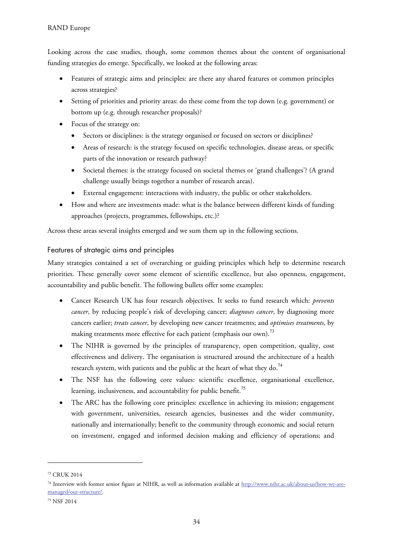Looking across the case studies, though, some common themes about the content of organisational funding strategies do emerge. Specifically, we looked at the following areas:

- Features of strategic aims and principles: are there any shared features or common principles across strategies?
- Setting of priorities and priority areas: do these come from the top down (e.g. government) or bottom up (e.g. through researcher proposals)?
- Focus of the strategy on:
	- Sectors or disciplines: is the strategy organised or focused on sectors or disciplines?
	- Areas of research: is the strategy focused on specific technologies, disease areas, or specific parts of the innovation or research pathway?
	- Societal themes: is the strategy focused on societal themes or 'grand challenges'? (A grand challenge usually brings together a number of research areas).
	- External engagement: interactions with industry, the public or other stakeholders.
- How and where are investments made: what is the balance between different kinds of funding approaches (projects, programmes, fellowships, etc.)?

Across these areas several insights emerged and we sum them up in the following sections.

# Features of strategic aims and principles

Many strategies contained a set of overarching or guiding principles which help to determine research priorities. These generally cover some element of scientific excellence, but also openness, engagement, accountability and public benefit. The following bullets offer some examples:

- Cancer Research UK has four research objectives. It seeks to fund research which: *prevents cancer*, by reducing people's risk of developing cancer; *diagnoses cancer*, by diagnosing more cancers earlier; *treats cancer*, by developing new cancer treatments; and *optimises treatments*, by making treatments more effective for each patient (emphasis our own).<sup>73</sup>
- The NIHR is governed by the principles of transparency, open competition, quality, cost effectiveness and delivery. The organisation is structured around the architecture of a health research system, with patients and the public at the heart of what they do.<sup>74</sup>
- The NSF has the following core values: scientific excellence, organisational excellence, learning, inclusiveness, and accountability for public benefit.<sup>75</sup>
- The ARC has the following core principles: excellence in achieving its mission; engagement with government, universities, research agencies, businesses and the wider community, nationally and internationally; benefit to the community through economic and social return on investment, engaged and informed decision making and efficiency of operations; and

<sup>73</sup> CRUK 2014

[<sup>74</sup> Interview with former senior figure at NIHR, as well as information available at http://www.nihr.ac.uk/about-us/how-we-are](http://www.nihr.ac.uk/about-us/how-we-are-managed/our-structure/)managed/our-structure/.

<sup>75</sup> NSF 2014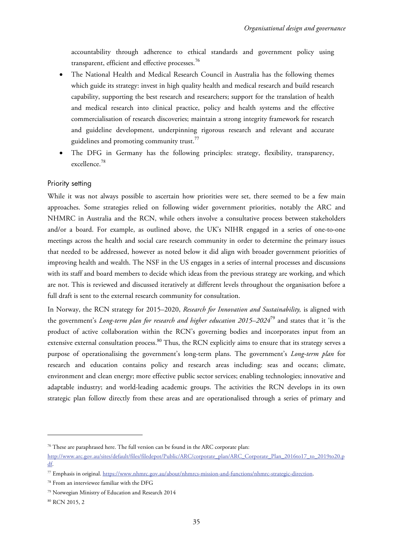accountability through adherence to ethical standards and government policy using transparent, efficient and effective processes.<sup>76</sup>

- The National Health and Medical Research Council in Australia has the following themes which guide its strategy: invest in high quality health and medical research and build research capability, supporting the best research and researchers; support for the translation of health and medical research into clinical practice, policy and health systems and the effective commercialisation of research discoveries; maintain a strong integrity framework for research and guideline development, underpinning rigorous research and relevant and accurate guidelines and promoting community trust.<sup>77</sup>
- The DFG in Germany has the following principles: strategy, flexibility, transparency, excellence.<sup>78</sup>

### Priority setting

While it was not always possible to ascertain how priorities were set, there seemed to be a few main approaches. Some strategies relied on following wider government priorities, notably the ARC and NHMRC in Australia and the RCN, while others involve a consultative process between stakeholders and/or a board. For example, as outlined above, the UK's NIHR engaged in a series of one-to-one meetings across the health and social care research community in order to determine the primary issues that needed to be addressed, however as noted below it did align with broader government priorities of improving health and wealth. The NSF in the US engages in a series of internal processes and discussions with its staff and board members to decide which ideas from the previous strategy are working, and which are not. This is reviewed and discussed iteratively at different levels throughout the organisation before a full draft is sent to the external research community for consultation.

In Norway, the RCN strategy for 2015–2020, *Research for Innovation and Sustainability,* is aligned with the government's *Long-term plan for research and higher education 2015–2024*<sup>79</sup> and states that it 'is the product of active collaboration within the RCN's governing bodies and incorporates input from an extensive external consultation process.<sup>80</sup> Thus, the RCN explicitly aims to ensure that its strategy serves a purpose of operationalising the government's long-term plans. The government's *Long-term plan* for research and education contains policy and research areas including: seas and oceans; climate, environment and clean energy; more effective public sector services; enabling technologies; innovative and adaptable industry; and world-leading academic groups. The activities the RCN develops in its own strategic plan follow directly from these areas and are operationalised through a series of primary and

<sup>76</sup> These are paraphrased here. The full version can be found in the ARC corporate plan:

[http://www.arc.gov.au/sites/default/files/filedepot/Public/ARC/corporate\\_plan/ARC\\_Corporate\\_Plan\\_2016to17\\_to\\_2019to20.p](http://www.arc.gov.au/sites/default/files/filedepot/Public/ARC/corporate_plan/ARC_Corporate_Plan_2016to17_to_2019to20.pdf) df.

<sup>77</sup> Emphasis in original. [https://www.nhmrc.gov.au/about/nhmrcs-mission-and-functions/nhmrc-strategic-direction.](https://www.nhmrc.gov.au/about/nhmrcs-mission-and-functions/nhmrc-strategic-direction) 

<sup>78</sup> From an interviewee familiar with the DFG

<sup>79</sup> Norwegian Ministry of Education and Research 2014

<sup>80</sup> RCN 2015, 2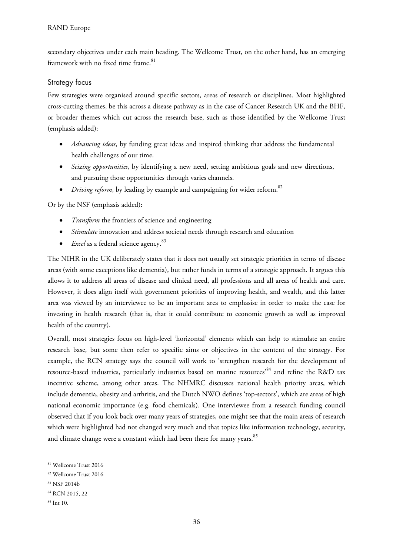secondary objectives under each main heading. The Wellcome Trust, on the other hand, has an emerging framework with no fixed time frame.<sup>81</sup>

# Strategy focus

Few strategies were organised around specific sectors, areas of research or disciplines. Most highlighted cross-cutting themes, be this across a disease pathway as in the case of Cancer Research UK and the BHF, or broader themes which cut across the research base, such as those identified by the Wellcome Trust (emphasis added):

- *Advancing ideas*, by funding great ideas and inspired thinking that address the fundamental health challenges of our time.
- *Seizing opportunities*, by identifying a new need, setting ambitious goals and new directions, and pursuing those opportunities through varies channels.
- *Driving reform*, by leading by example and campaigning for wider reform.<sup>82</sup>

Or by the NSF (emphasis added):

- *Transform* the frontiers of science and engineering
- *Stimulate* innovation and address societal needs through research and education
- *Excel* as a federal science agency.<sup>83</sup>

The NIHR in the UK deliberately states that it does not usually set strategic priorities in terms of disease areas (with some exceptions like dementia), but rather funds in terms of a strategic approach. It argues this allows it to address all areas of disease and clinical need, all professions and all areas of health and care. However, it does align itself with government priorities of improving health, and wealth, and this latter area was viewed by an interviewee to be an important area to emphasise in order to make the case for investing in health research (that is, that it could contribute to economic growth as well as improved health of the country).

Overall, most strategies focus on high-level 'horizontal' elements which can help to stimulate an entire research base, but some then refer to specific aims or objectives in the content of the strategy. For example, the RCN strategy says the council will work to 'strengthen research for the development of resource-based industries, particularly industries based on marine resources<sup>84</sup> and refine the R&D tax incentive scheme, among other areas. The NHMRC discusses national health priority areas, which include dementia, obesity and arthritis, and the Dutch NWO defines 'top-sectors', which are areas of high national economic importance (e.g. food chemicals). One interviewee from a research funding council observed that if you look back over many years of strategies, one might see that the main areas of research which were highlighted had not changed very much and that topics like information technology, security, and climate change were a constant which had been there for many years.<sup>85</sup>

<sup>81</sup> Wellcome Trust 2016

<sup>82</sup> Wellcome Trust 2016

<sup>83</sup> NSF 2014b

<sup>84</sup> RCN 2015, 22

<sup>85</sup> Int 10.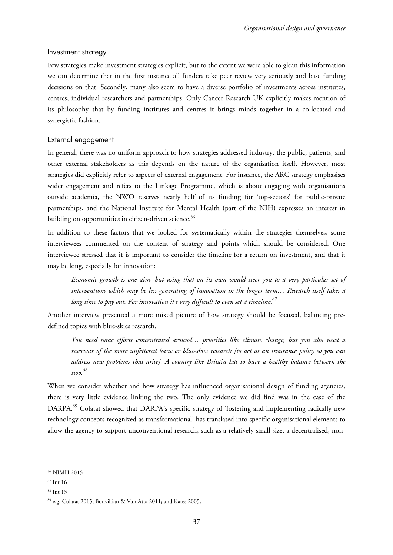#### Investment strategy

Few strategies make investment strategies explicit, but to the extent we were able to glean this information we can determine that in the first instance all funders take peer review very seriously and base funding decisions on that. Secondly, many also seem to have a diverse portfolio of investments across institutes, centres, individual researchers and partnerships. Only Cancer Research UK explicitly makes mention of its philosophy that by funding institutes and centres it brings minds together in a co-located and synergistic fashion.

#### External engagement

In general, there was no uniform approach to how strategies addressed industry, the public, patients, and other external stakeholders as this depends on the nature of the organisation itself. However, most strategies did explicitly refer to aspects of external engagement. For instance, the ARC strategy emphasises wider engagement and refers to the Linkage Programme, which is about engaging with organisations outside academia, the NWO reserves nearly half of its funding for 'top-sectors' for public-private partnerships, and the National Institute for Mental Health (part of the NIH) expresses an interest in building on opportunities in citizen-driven science.<sup>86</sup>

In addition to these factors that we looked for systematically within the strategies themselves, some interviewees commented on the content of strategy and points which should be considered. One interviewee stressed that it is important to consider the timeline for a return on investment, and that it may be long, especially for innovation:

*Economic growth is one aim, but using that on its own would steer you to a very particular set of interventions which may be less generating of innovation in the longer term… Research itself takes a long time to pay out. For innovation it's very difficult to even set a timeline.<sup>87</sup>*

Another interview presented a more mixed picture of how strategy should be focused, balancing predefined topics with blue-skies research.

*You need some efforts concentrated around… priorities like climate change, but you also need a reservoir of the more unfettered basic or blue-skies research [to act as an insurance policy so you can address new problems that arise]. A country like Britain has to have a healthy balance between the two.<sup>88</sup>* 

When we consider whether and how strategy has influenced organisational design of funding agencies, there is very little evidence linking the two. The only evidence we did find was in the case of the DARPA.<sup>89</sup> Colatat showed that DARPA's specific strategy of 'fostering and implementing radically new technology concepts recognized as transformational' has translated into specific organisational elements to allow the agency to support unconventional research, such as a relatively small size, a decentralised, non-

<sup>86</sup> NIMH 2015

<sup>87</sup> Int 16

<sup>88</sup> Int 13

<sup>89</sup> e.g. Colatat 2015; Bonvillian & Van Atta 2011; and Kates 2005.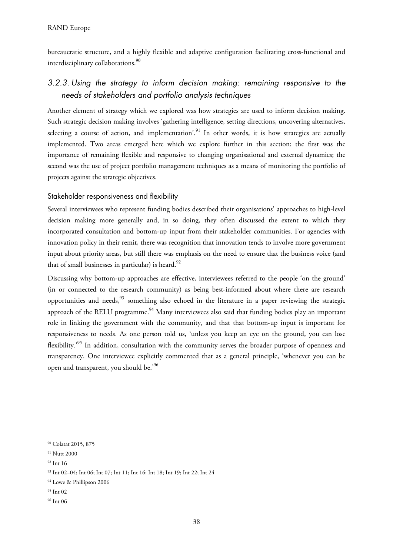bureaucratic structure, and a highly flexible and adaptive configuration facilitating cross-functional and interdisciplinary collaborations.<sup>90</sup>

# 3.2.3. Using the strategy to inform decision making: remaining responsive to the needs of stakeholders and portfolio analysis techniques

Another element of strategy which we explored was how strategies are used to inform decision making. Such strategic decision making involves 'gathering intelligence, setting directions, uncovering alternatives, selecting a course of action, and implementation'.<sup>91</sup> In other words, it is how strategies are actually implemented. Two areas emerged here which we explore further in this section: the first was the importance of remaining flexible and responsive to changing organisational and external dynamics; the second was the use of project portfolio management techniques as a means of monitoring the portfolio of projects against the strategic objectives.

# Stakeholder responsiveness and flexibility

Several interviewees who represent funding bodies described their organisations' approaches to high-level decision making more generally and, in so doing, they often discussed the extent to which they incorporated consultation and bottom-up input from their stakeholder communities. For agencies with innovation policy in their remit, there was recognition that innovation tends to involve more government input about priority areas, but still there was emphasis on the need to ensure that the business voice (and that of small businesses in particular) is heard. $92$ 

Discussing why bottom-up approaches are effective, interviewees referred to the people 'on the ground' (in or connected to the research community) as being best-informed about where there are research opportunities and needs,<sup>93</sup> something also echoed in the literature in a paper reviewing the strategic approach of the RELU programme.<sup>94</sup> Many interviewees also said that funding bodies play an important role in linking the government with the community, and that that bottom-up input is important for responsiveness to needs. As one person told us, 'unless you keep an eye on the ground, you can lose flexibility.<sup>'95</sup> In addition, consultation with the community serves the broader purpose of openness and transparency. One interviewee explicitly commented that as a general principle, 'whenever you can be open and transparent, you should be.'<sup>96</sup>

<u>.</u>

<sup>96</sup> Int 06

<sup>90</sup> Colatat 2015, 875

<sup>&</sup>lt;sup>91</sup> Nutt 2000

<sup>92</sup> Int 16

<sup>93</sup> Int 02–04; Int 06; Int 07; Int 11; Int 16; Int 18; Int 19; Int 22; Int 24

<sup>94</sup> Lowe & Phillipson 2006

<sup>95</sup> Int 02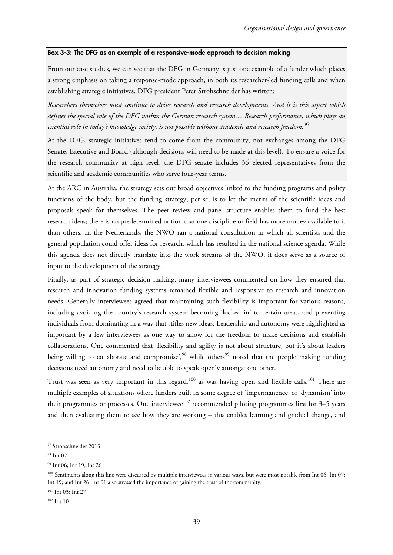#### Box 3-3: The DFG as an example of a responsive-mode approach to decision making

From our case studies, we can see that the DFG in Germany is just one example of a funder which places a strong emphasis on taking a response-mode approach, in both its researcher-led funding calls and when establishing strategic initiatives. DFG president Peter Strohschneider has written:

*Researchers themselves must continue to drive research and research developments. And it is this aspect which defines the special role of the DFG within the German research system… Research performance, which plays an essential role in today's knowledge society, is not possible without academic and research freedom.*<sup>97</sup>

At the DFG, strategic initiatives tend to come from the community, not exchanges among the DFG Senate, Executive and Board (although decisions will need to be made at this level). To ensure a voice for the research community at high level, the DFG senate includes 36 elected representatives from the scientific and academic communities who serve four-year terms.

At the ARC in Australia, the strategy sets out broad objectives linked to the funding programs and policy functions of the body, but the funding strategy, per se, is to let the merits of the scientific ideas and proposals speak for themselves. The peer review and panel structure enables them to fund the best research ideas; there is no predetermined notion that one discipline or field has more money available to it than others. In the Netherlands, the NWO ran a national consultation in which all scientists and the general population could offer ideas for research, which has resulted in the national science agenda. While this agenda does not directly translate into the work streams of the NWO, it does serve as a source of input to the development of the strategy.

Finally, as part of strategic decision making, many interviewees commented on how they ensured that research and innovation funding systems remained flexible and responsive to research and innovation needs. Generally interviewees agreed that maintaining such flexibility is important for various reasons, including avoiding the country's research system becoming 'locked in' to certain areas, and preventing individuals from dominating in a way that stifles new ideas. Leadership and autonomy were highlighted as important by a few interviewees as one way to allow for the freedom to make decisions and establish collaborations. One commented that 'flexibility and agility is not about structure, but it's about leaders being willing to collaborate and compromise',<sup>98</sup> while others<sup>99</sup> noted that the people making funding decisions need autonomy and need to be able to speak openly amongst one other.

Trust was seen as very important in this regard,<sup>100</sup> as was having open and flexible calls.<sup>101</sup> There are multiple examples of situations where funders built in some degree of 'impermanence' or 'dynamism' into their programmes or processes. One interviewee<sup>102</sup> recommended piloting programmes first for  $3-5$  years and then evaluating them to see how they are working – this enables learning and gradual change, and

<sup>97</sup> Strohschneider 2013

<sup>98</sup> Int 02

<sup>99</sup> Int 06; Int 19; Int 26

<sup>&</sup>lt;sup>100</sup> Sentiments along this line were discussed by multiple interviewees in various ways, but were most notable from Int 06; Int 07; Int 19; and Int 26. Int 01 also stressed the importance of gaining the trust of the community.

<sup>&</sup>lt;sup>101</sup> Int 03; Int 27

 $102$  Int 10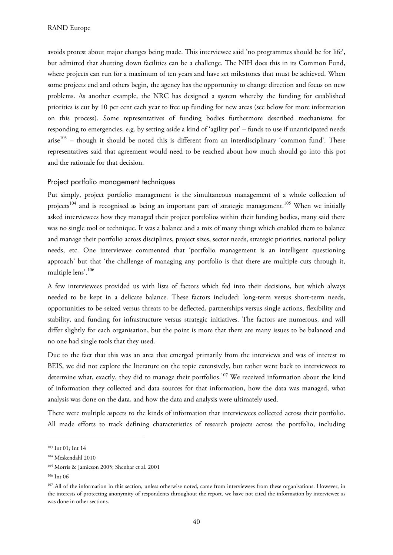avoids protest about major changes being made. This interviewee said 'no programmes should be for life', but admitted that shutting down facilities can be a challenge. The NIH does this in its Common Fund, where projects can run for a maximum of ten years and have set milestones that must be achieved. When some projects end and others begin, the agency has the opportunity to change direction and focus on new problems. As another example, the NRC has designed a system whereby the funding for established priorities is cut by 10 per cent each year to free up funding for new areas (see below for more information on this process). Some representatives of funding bodies furthermore described mechanisms for responding to emergencies, e.g. by setting aside a kind of 'agility pot' – funds to use if unanticipated needs  $arise<sup>103</sup>$  – though it should be noted this is different from an interdisciplinary 'common fund'. These representatives said that agreement would need to be reached about how much should go into this pot and the rationale for that decision.

#### Project portfolio management techniques

Put simply, project portfolio management is the simultaneous management of a whole collection of projects<sup>104</sup> and is recognised as being an important part of strategic management.<sup>105</sup> When we initially asked interviewees how they managed their project portfolios within their funding bodies, many said there was no single tool or technique. It was a balance and a mix of many things which enabled them to balance and manage their portfolio across disciplines, project sizes, sector needs, strategic priorities, national policy needs, etc. One interviewee commented that 'portfolio management is an intelligent questioning approach' but that 'the challenge of managing any portfolio is that there are multiple cuts through it, multiple lens'.<sup>106</sup>

A few interviewees provided us with lists of factors which fed into their decisions, but which always needed to be kept in a delicate balance. These factors included: long-term versus short-term needs, opportunities to be seized versus threats to be deflected, partnerships versus single actions, flexibility and stability, and funding for infrastructure versus strategic initiatives. The factors are numerous, and will differ slightly for each organisation, but the point is more that there are many issues to be balanced and no one had single tools that they used.

Due to the fact that this was an area that emerged primarily from the interviews and was of interest to BEIS, we did not explore the literature on the topic extensively, but rather went back to interviewees to determine what, exactly, they did to manage their portfolios.<sup>107</sup> We received information about the kind of information they collected and data sources for that information, how the data was managed, what analysis was done on the data, and how the data and analysis were ultimately used.

There were multiple aspects to the kinds of information that interviewees collected across their portfolio. All made efforts to track defining characteristics of research projects across the portfolio, including

<sup>103</sup> Int 01; Int 14

<sup>104</sup> Meskendahl 2010

<sup>105</sup> Morris & Jamieson 2005; Shenhar et al. 2001

<sup>106</sup> Int 06

<sup>&</sup>lt;sup>107</sup> All of the information in this section, unless otherwise noted, came from interviewees from these organisations. However, in the interests of protecting anonymity of respondents throughout the report, we have not cited the information by interviewee as was done in other sections.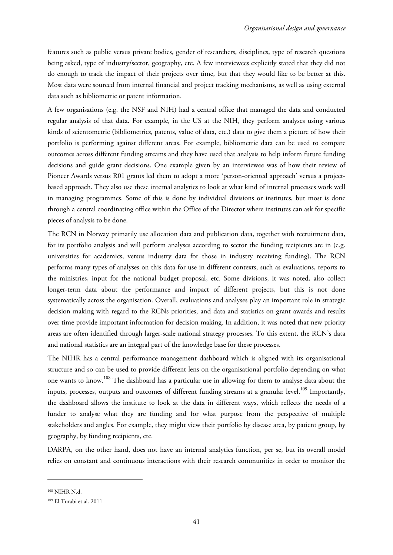features such as public versus private bodies, gender of researchers, disciplines, type of research questions being asked, type of industry/sector, geography, etc. A few interviewees explicitly stated that they did not do enough to track the impact of their projects over time, but that they would like to be better at this. Most data were sourced from internal financial and project tracking mechanisms, as well as using external data such as bibliometric or patent information.

A few organisations (e.g. the NSF and NIH) had a central office that managed the data and conducted regular analysis of that data. For example, in the US at the NIH, they perform analyses using various kinds of scientometric (bibliometrics, patents, value of data, etc.) data to give them a picture of how their portfolio is performing against different areas. For example, bibliometric data can be used to compare outcomes across different funding streams and they have used that analysis to help inform future funding decisions and guide grant decisions. One example given by an interviewee was of how their review of Pioneer Awards versus R01 grants led them to adopt a more 'person-oriented approach' versus a projectbased approach. They also use these internal analytics to look at what kind of internal processes work well in managing programmes. Some of this is done by individual divisions or institutes, but most is done through a central coordinating office within the Office of the Director where institutes can ask for specific pieces of analysis to be done.

The RCN in Norway primarily use allocation data and publication data, together with recruitment data, for its portfolio analysis and will perform analyses according to sector the funding recipients are in (e.g. universities for academics, versus industry data for those in industry receiving funding). The RCN performs many types of analyses on this data for use in different contexts, such as evaluations, reports to the ministries, input for the national budget proposal, etc. Some divisions, it was noted, also collect longer-term data about the performance and impact of different projects, but this is not done systematically across the organisation. Overall, evaluations and analyses play an important role in strategic decision making with regard to the RCNs priorities, and data and statistics on grant awards and results over time provide important information for decision making. In addition, it was noted that new priority areas are often identified through larger-scale national strategy processes. To this extent, the RCN's data and national statistics are an integral part of the knowledge base for these processes.

The NIHR has a central performance management dashboard which is aligned with its organisational structure and so can be used to provide different lens on the organisational portfolio depending on what one wants to know.<sup>108</sup> The dashboard has a particular use in allowing for them to analyse data about the inputs, processes, outputs and outcomes of different funding streams at a granular level.<sup>109</sup> Importantly, the dashboard allows the institute to look at the data in different ways, which reflects the needs of a funder to analyse what they are funding and for what purpose from the perspective of multiple stakeholders and angles. For example, they might view their portfolio by disease area, by patient group, by geography, by funding recipients, etc.

DARPA, on the other hand, does not have an internal analytics function, per se, but its overall model relies on constant and continuous interactions with their research communities in order to monitor the

<sup>108</sup> NIHR N.d.

<sup>109</sup> El Turabi et al. 2011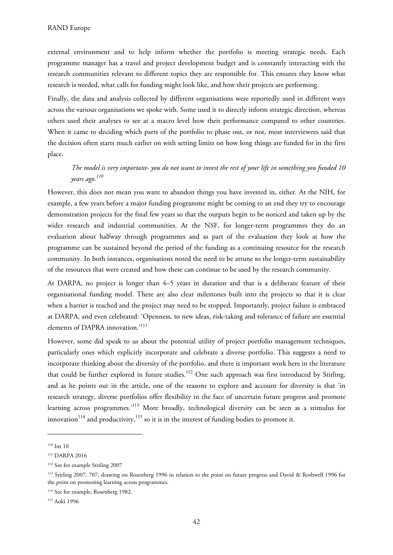external environment and to help inform whether the portfolio is meeting strategic needs. Each programme manager has a travel and project development budget and is constantly interacting with the research communities relevant to different topics they are responsible for. This ensures they know what research is needed, what calls for funding might look like, and how their projects are performing.

Finally, the data and analysis collected by different organisations were reportedly used in different ways across the various organisations we spoke with. Some used it to directly inform strategic direction, whereas others used their analyses to see at a macro level how their performance compared to other countries. When it came to deciding which parts of the portfolio to phase out, or not, most interviewees said that the decision often starts much earlier on with setting limits on how long things are funded for in the first place.

# *The model is very important- you do not want to invest the rest of your life in something you funded 10 years ago. 110*

However, this does not mean you want to abandon things you have invested in, either. At the NIH, for example, a few years before a major funding programme might be coming to an end they try to encourage demonstration projects for the final few years so that the outputs begin to be noticed and taken up by the wider research and industrial communities. At the NSF, for longer-term programmes they do an evaluation about halfway through programmes and as part of the evaluation they look at how the programme can be sustained beyond the period of the funding as a continuing resource for the research community. In both instances, organisations noted the need to be attune to the longer-term sustainability of the resources that were created and how these can continue to be used by the research community.

At DARPA, no project is longer than 4–5 years in duration and that is a deliberate feature of their organisational funding model. There are also clear milestones built into the projects so that it is clear when a barrier is reached and the project may need to be stopped. Importantly, project failure is embraced at DARPA, and even celebrated: 'Openness, to new ideas, risk-taking and tolerance of failure are essential elements of DAPRA innovation.<sup>'111</sup>

However, some did speak to us about the potential utility of project portfolio management techniques, particularly ones which explicitly incorporate and celebrate a diverse portfolio. This suggests a need to incorporate thinking about the diversity of the portfolio, and there is important work here in the literature that could be further explored in future studies.<sup>112</sup> One such approach was first introduced by Stirling, and as he points out in the article, one of the reasons to explore and account for diversity is that 'in research strategy, diverse portfolios offer flexibility in the face of uncertain future progress and promote learning across programmes.<sup>113</sup> More broadly, technological diversity can be seen as a stimulus for innovation<sup>114</sup> and productivity,<sup>115</sup> so it is in the interest of funding bodies to promote it.

<sup>&</sup>lt;sup>110</sup> Int 10

<sup>111</sup> DARPA 2016

<sup>112</sup> See for example Stirling 2007

<sup>&</sup>lt;sup>113</sup> Stirling 2007, 707, drawing on Rosenberg 1996 in relation to the point on future progress and David & Rothwell 1996 for the point on promoting learning across programmes.

<sup>&</sup>lt;sup>114</sup> See for example, Rosenberg 1982.

<sup>115</sup> Aoki 1996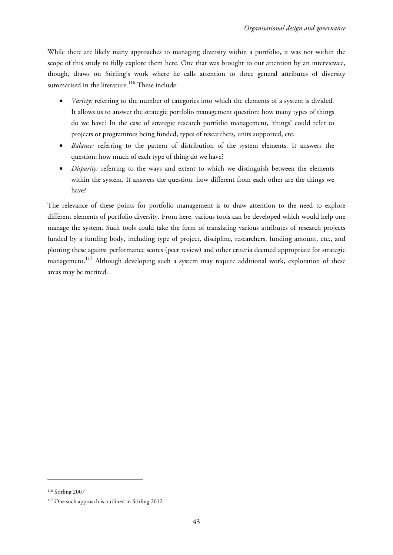While there are likely many approaches to managing diversity within a portfolio, it was not within the scope of this study to fully explore them here. One that was brought to our attention by an interviewee, though, draws on Stirling's work where he calls attention to three general attributes of diversity summarised in the literature.<sup>116</sup> These include:

- *Variety:* referring to the number of categories into which the elements of a system is divided. It allows us to answer the strategic portfolio management question: how many types of things do we have? In the case of strategic research portfolio management, 'things' could refer to projects or programmes being funded, types of researchers, units supported, etc.
- *Balance:* referring to the pattern of distribution of the system elements. It answers the question: how much of each type of thing do we have?
- *Disparity:* referring to the ways and extent to which we distinguish between the elements within the system. It answers the question: how different from each other are the things we have?

The relevance of these points for portfolio management is to draw attention to the need to explore different elements of portfolio diversity. From here, various tools can be developed which would help one manage the system. Such tools could take the form of translating various attributes of research projects funded by a funding body, including type of project, discipline, researchers, funding amount, etc., and plotting these against performance scores (peer review) and other criteria deemed appropriate for strategic management.<sup>117</sup> Although developing such a system may require additional work, exploration of these areas may be merited.

<sup>116</sup> Stirling 2007

<sup>&</sup>lt;sup>117</sup> One such approach is outlined in Stirling 2012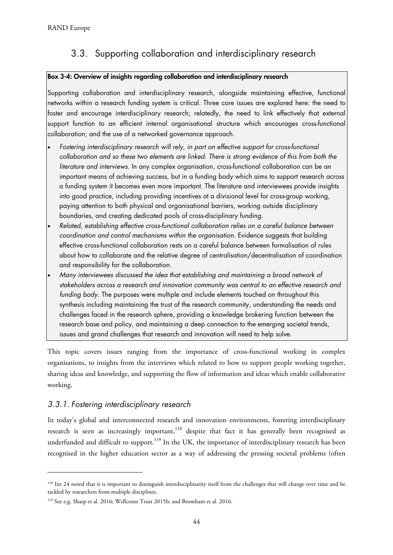# 3.3. Supporting collaboration and interdisciplinary research

# Box 3-4: Overview of insights regarding collaboration and interdisciplinary research

Supporting collaboration and interdisciplinary research, alongside maintaining effective, functional networks within a research funding system is critical. Three core issues are explored here: the need to foster and encourage interdisciplinary research; relatedly, the need to link effectively that external support function to an efficient internal organisational structure which encourages cross-functional collaboration; and the use of a networked governance approach.

- Fostering interdisciplinary research will rely, in part on effective support for cross-functional collaboration and so these two elements are linked. There is strong evidence of this from both the literature and interviews. In any complex organisation, cross-functional collaboration can be an important means of achieving success, but in a funding body which aims to support research across a funding system it becomes even more important. The literature and interviewees provide insights into good practice, including providing incentives at a divisional level for cross-group working, paying attention to both physical and organisational barriers, working outside disciplinary boundaries, and creating dedicated pools of cross-disciplinary funding.
- Related, establishing effective cross-functional collaboration relies on a careful balance between coordination and control mechanisms within the organisation. Evidence suggests that building effective cross-functional collaboration rests on a careful balance between formalisation of rules about how to collaborate and the relative degree of centralisation/decentralisation of coordination and responsibility for the collaboration.
- Many interviewees discussed the idea that establishing and maintaining a broad network of stakeholders across a research and innovation community was central to an effective research and funding body. The purposes were multiple and include elements touched on throughout this synthesis including maintaining the trust of the research community, understanding the needs and challenges faced in the research sphere, providing a knowledge brokering function between the research base and policy, and maintaining a deep connection to the emerging societal trends, issues and grand challenges that research and innovation will need to help solve.

This topic covers issues ranging from the importance of cross-functional working in complex organisations, to insights from the interviews which related to how to support people working together, sharing ideas and knowledge, and supporting the flow of information and ideas which enable collaborative working.

# 3.3.1. Fostering interdisciplinary research

<u>.</u>

In today's global and interconnected research and innovation environments, fostering interdisciplinary research is seen as increasingly important,<sup>118</sup> despite that fact it has generally been recognised as underfunded and difficult to support.<sup>119</sup> In the UK, the importance of interdisciplinary research has been recognised in the higher education sector as a way of addressing the pressing societal problems (often

<sup>&</sup>lt;sup>118</sup> Int 24 noted that it is important to distinguish interdisciplinarity itself from the challenges that will change over time and be tackled by researchers from multiple disciplines.

<sup>119</sup> See e.g. Sharp et al. 2016; Wellcome Trust 2015b; and Bromham et al. 2016.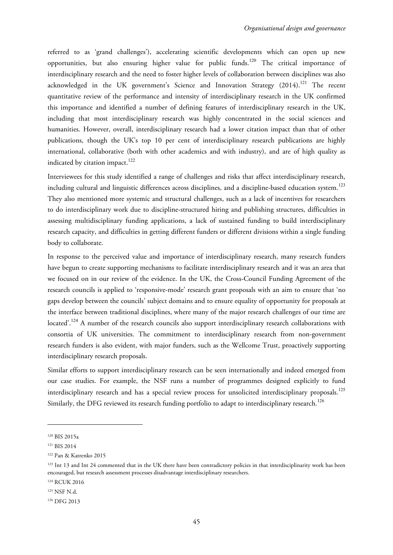referred to as 'grand challenges'), accelerating scientific developments which can open up new opportunities, but also ensuring higher value for public funds.<sup>120</sup> The critical importance of interdisciplinary research and the need to foster higher levels of collaboration between disciplines was also acknowledged in the UK government's Science and Innovation Strategy (2014).<sup>121</sup> The recent quantitative review of the performance and intensity of interdisciplinary research in the UK confirmed this importance and identified a number of defining features of interdisciplinary research in the UK, including that most interdisciplinary research was highly concentrated in the social sciences and humanities. However, overall, interdisciplinary research had a lower citation impact than that of other publications, though the UK's top 10 per cent of interdisciplinary research publications are highly international, collaborative (both with other academics and with industry), and are of high quality as indicated by citation impact.<sup>122</sup>

Interviewees for this study identified a range of challenges and risks that affect interdisciplinary research, including cultural and linguistic differences across disciplines, and a discipline-based education system.<sup>123</sup> They also mentioned more systemic and structural challenges, such as a lack of incentives for researchers to do interdisciplinary work due to discipline-structured hiring and publishing structures, difficulties in assessing multidisciplinary funding applications, a lack of sustained funding to build interdisciplinary research capacity, and difficulties in getting different funders or different divisions within a single funding body to collaborate.

In response to the perceived value and importance of interdisciplinary research, many research funders have begun to create supporting mechanisms to facilitate interdisciplinary research and it was an area that we focused on in our review of the evidence. In the UK, the Cross-Council Funding Agreement of the research councils is applied to 'responsive-mode' research grant proposals with an aim to ensure that 'no gaps develop between the councils' subject domains and to ensure equality of opportunity for proposals at the interface between traditional disciplines, where many of the major research challenges of our time are located'.<sup>124</sup> A number of the research councils also support interdisciplinary research collaborations with consortia of UK universities. The commitment to interdisciplinary research from non-government research funders is also evident, with major funders, such as the Wellcome Trust, proactively supporting interdisciplinary research proposals.

Similar efforts to support interdisciplinary research can be seen internationally and indeed emerged from our case studies. For example, the NSF runs a number of programmes designed explicitly to fund interdisciplinary research and has a special review process for unsolicited interdisciplinary proposals.<sup>125</sup> Similarly, the DFG reviewed its research funding portfolio to adapt to interdisciplinary research.<sup>126</sup>

<sup>120</sup> BIS 2015a

<sup>121</sup> BIS 2014

<sup>122</sup> Pan & Katrenko 2015

<sup>&</sup>lt;sup>123</sup> Int 13 and Int 24 commented that in the UK there have been contradictory policies in that interdisciplinarity work has been encouraged, but research assessment processes disadvantage interdisciplinary researchers.

<sup>124</sup> RCUK 2016

<sup>125</sup> NSF N.d.

<sup>&</sup>lt;sup>126</sup> DFG 2013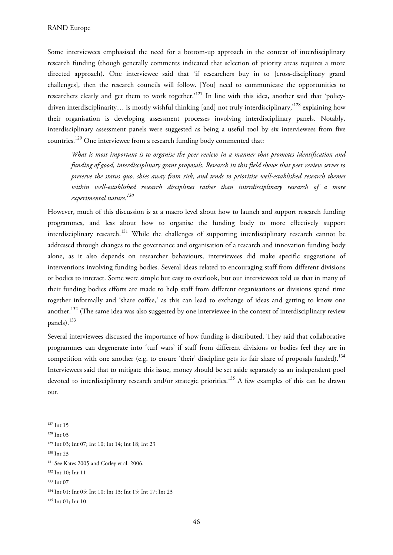Some interviewees emphasised the need for a bottom-up approach in the context of interdisciplinary research funding (though generally comments indicated that selection of priority areas requires a more directed approach). One interviewee said that 'if researchers buy in to [cross-disciplinary grand challenges], then the research councils will follow. [You] need to communicate the opportunities to researchers clearly and get them to work together.'<sup>127</sup> In line with this idea, another said that 'policydriven interdisciplinarity… is mostly wishful thinking [and] not truly interdisciplinary,'<sup>128</sup> explaining how their organisation is developing assessment processes involving interdisciplinary panels. Notably, interdisciplinary assessment panels were suggested as being a useful tool by six interviewees from five countries.<sup>129</sup> One interviewee from a research funding body commented that:

*What is most important is to organise the peer review in a manner that promotes identification and funding of good, interdisciplinary grant proposals. Research in this field shows that peer review serves to preserve the status quo, shies away from risk, and tends to prioritise well-established research themes within well-established research disciplines rather than interdisciplinary research of a more experimental nature.<sup>130</sup>*

However, much of this discussion is at a macro level about how to launch and support research funding programmes, and less about how to organise the funding body to more effectively support interdisciplinary research.<sup>131</sup> While the challenges of supporting interdisciplinary research cannot be addressed through changes to the governance and organisation of a research and innovation funding body alone, as it also depends on researcher behaviours, interviewees did make specific suggestions of interventions involving funding bodies. Several ideas related to encouraging staff from different divisions or bodies to interact. Some were simple but easy to overlook, but our interviewees told us that in many of their funding bodies efforts are made to help staff from different organisations or divisions spend time together informally and 'share coffee,' as this can lead to exchange of ideas and getting to know one another.<sup>132</sup> (The same idea was also suggested by one interviewee in the context of interdisciplinary review panels).<sup>133</sup>

Several interviewees discussed the importance of how funding is distributed. They said that collaborative programmes can degenerate into 'turf wars' if staff from different divisions or bodies feel they are in competition with one another (e.g. to ensure 'their' discipline gets its fair share of proposals funded).<sup>134</sup> Interviewees said that to mitigate this issue, money should be set aside separately as an independent pool devoted to interdisciplinary research and/or strategic priorities.<sup>135</sup> A few examples of this can be drawn out.

<u>.</u>

<sup>130</sup> Int 23

132 Int 10; Int 11

<sup>127</sup> Int 15

<sup>&</sup>lt;sup>128</sup> Int 03

<sup>129</sup> Int 03; Int 07; Int 10; Int 14; Int 18; Int 23

<sup>&</sup>lt;sup>131</sup> See Kates 2005 and Corley et al. 2006.

<sup>&</sup>lt;sup>133</sup> Int 07

<sup>134</sup> Int 01; Int 05; Int 10; Int 13; Int 15; Int 17; Int 23

<sup>&</sup>lt;sup>135</sup> Int 01; Int 10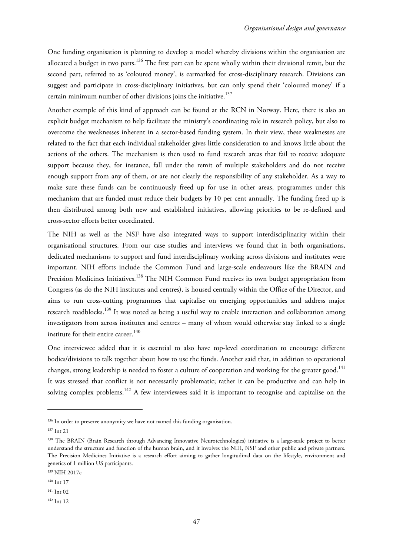One funding organisation is planning to develop a model whereby divisions within the organisation are allocated a budget in two parts.<sup>136</sup> The first part can be spent wholly within their divisional remit, but the second part, referred to as 'coloured money', is earmarked for cross-disciplinary research. Divisions can suggest and participate in cross-disciplinary initiatives, but can only spend their 'coloured money' if a certain minimum number of other divisions joins the initiative.<sup>137</sup>

Another example of this kind of approach can be found at the RCN in Norway. Here, there is also an explicit budget mechanism to help facilitate the ministry's coordinating role in research policy, but also to overcome the weaknesses inherent in a sector-based funding system. In their view, these weaknesses are related to the fact that each individual stakeholder gives little consideration to and knows little about the actions of the others. The mechanism is then used to fund research areas that fail to receive adequate support because they, for instance, fall under the remit of multiple stakeholders and do not receive enough support from any of them, or are not clearly the responsibility of any stakeholder. As a way to make sure these funds can be continuously freed up for use in other areas, programmes under this mechanism that are funded must reduce their budgets by 10 per cent annually. The funding freed up is then distributed among both new and established initiatives, allowing priorities to be re-defined and cross-sector efforts better coordinated.

The NIH as well as the NSF have also integrated ways to support interdisciplinarity within their organisational structures. From our case studies and interviews we found that in both organisations, dedicated mechanisms to support and fund interdisciplinary working across divisions and institutes were important. NIH efforts include the Common Fund and large-scale endeavours like the BRAIN and Precision Medicines Initiatives.<sup>138</sup> The NIH Common Fund receives its own budget appropriation from Congress (as do the NIH institutes and centres), is housed centrally within the Office of the Director, and aims to run cross-cutting programmes that capitalise on emerging opportunities and address major research roadblocks.<sup>139</sup> It was noted as being a useful way to enable interaction and collaboration among investigators from across institutes and centres – many of whom would otherwise stay linked to a single institute for their entire career.<sup>140</sup>

One interviewee added that it is essential to also have top-level coordination to encourage different bodies/divisions to talk together about how to use the funds. Another said that, in addition to operational changes, strong leadership is needed to foster a culture of cooperation and working for the greater good.<sup>141</sup> It was stressed that conflict is not necessarily problematic; rather it can be productive and can help in solving complex problems.<sup>142</sup> A few interviewees said it is important to recognise and capitalise on the

<sup>&</sup>lt;sup>136</sup> In order to preserve anonymity we have not named this funding organisation.

<sup>137</sup> Int 21

<sup>&</sup>lt;sup>138</sup> The BRAIN (Brain Research through Advancing Innovative Neurotechnologies) initiative is a large-scale project to better understand the structure and function of the human brain, and it involves the NIH, NSF and other public and private partners. The Precision Medicines Initiative is a research effort aiming to gather longitudinal data on the lifestyle, environment and genetics of 1 million US participants.

<sup>139</sup> NIH 2017c

<sup>&</sup>lt;sup>140</sup> Int 17

<sup>&</sup>lt;sup>141</sup> Int 02

<sup>142</sup> Int 12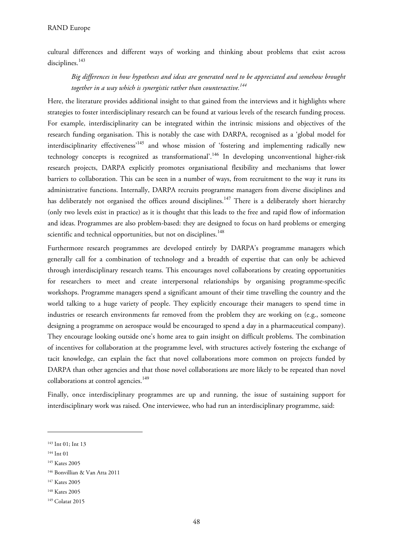cultural differences and different ways of working and thinking about problems that exist across disciplines.<sup>143</sup>

# *Big differences in how hypotheses and ideas are generated need to be appreciated and somehow brought together in a way which is synergistic rather than counteractive.<sup>144</sup>*

Here, the literature provides additional insight to that gained from the interviews and it highlights where strategies to foster interdisciplinary research can be found at various levels of the research funding process. For example, interdisciplinarity can be integrated within the intrinsic missions and objectives of the research funding organisation. This is notably the case with DARPA, recognised as a 'global model for interdisciplinarity effectiveness<sup>'145</sup> and whose mission of 'fostering and implementing radically new technology concepts is recognized as transformational'.<sup>146</sup> In developing unconventional higher-risk research projects, DARPA explicitly promotes organisational flexibility and mechanisms that lower barriers to collaboration. This can be seen in a number of ways, from recruitment to the way it runs its administrative functions. Internally, DARPA recruits programme managers from diverse disciplines and has deliberately not organised the offices around disciplines.<sup>147</sup> There is a deliberately short hierarchy (only two levels exist in practice) as it is thought that this leads to the free and rapid flow of information and ideas. Programmes are also problem-based: they are designed to focus on hard problems or emerging scientific and technical opportunities, but not on disciplines.<sup>148</sup>

Furthermore research programmes are developed entirely by DARPA's programme managers which generally call for a combination of technology and a breadth of expertise that can only be achieved through interdisciplinary research teams. This encourages novel collaborations by creating opportunities for researchers to meet and create interpersonal relationships by organising programme-specific workshops. Programme managers spend a significant amount of their time travelling the country and the world talking to a huge variety of people. They explicitly encourage their managers to spend time in industries or research environments far removed from the problem they are working on (e.g., someone designing a programme on aerospace would be encouraged to spend a day in a pharmaceutical company). They encourage looking outside one's home area to gain insight on difficult problems. The combination of incentives for collaboration at the programme level, with structures actively fostering the exchange of tacit knowledge, can explain the fact that novel collaborations more common on projects funded by DARPA than other agencies and that those novel collaborations are more likely to be repeated than novel collaborations at control agencies.<sup>149</sup>

Finally, once interdisciplinary programmes are up and running, the issue of sustaining support for interdisciplinary work was raised. One interviewee, who had run an interdisciplinary programme, said:

<sup>&</sup>lt;sup>143</sup> Int 01; Int 13

<sup>144</sup> Int 01

<sup>&</sup>lt;sup>145</sup> Kates 2005

<sup>146</sup> Bonvillian & Van Atta 2011

<sup>147</sup> Kates 2005

<sup>148</sup> Kates 2005

<sup>149</sup> Colatat 2015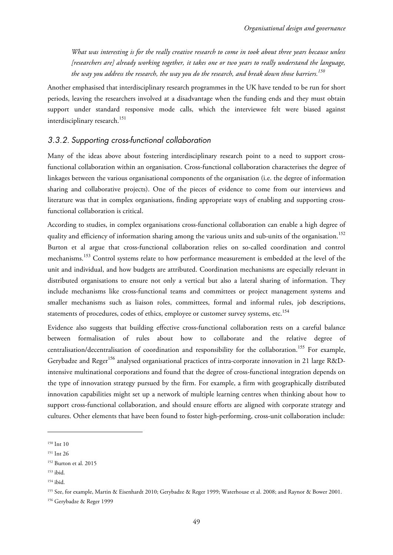*What was interesting is for the really creative research to come in took about three years because unless [researchers are] already working together, it takes one or two years to really understand the language, the way you address the research, the way you do the research, and break down those barriers.<sup>150</sup>* 

Another emphasised that interdisciplinary research programmes in the UK have tended to be run for short periods, leaving the researchers involved at a disadvantage when the funding ends and they must obtain support under standard responsive mode calls, which the interviewee felt were biased against interdisciplinary research.<sup>151</sup>

### 3.3.2. Supporting cross-functional collaboration

Many of the ideas above about fostering interdisciplinary research point to a need to support crossfunctional collaboration within an organisation. Cross-functional collaboration characterises the degree of linkages between the various organisational components of the organisation (i.e. the degree of information sharing and collaborative projects). One of the pieces of evidence to come from our interviews and literature was that in complex organisations, finding appropriate ways of enabling and supporting crossfunctional collaboration is critical.

According to studies, in complex organisations cross-functional collaboration can enable a high degree of quality and efficiency of information sharing among the various units and sub-units of the organisation.<sup>152</sup> Burton et al argue that cross-functional collaboration relies on so-called coordination and control mechanisms.<sup>153</sup> Control systems relate to how performance measurement is embedded at the level of the unit and individual, and how budgets are attributed. Coordination mechanisms are especially relevant in distributed organisations to ensure not only a vertical but also a lateral sharing of information. They include mechanisms like cross-functional teams and committees or project management systems and smaller mechanisms such as liaison roles, committees, formal and informal rules, job descriptions, statements of procedures, codes of ethics, employee or customer survey systems, etc.<sup>154</sup>

Evidence also suggests that building effective cross-functional collaboration rests on a careful balance between formalisation of rules about how to collaborate and the relative degree of centralisation/decentralisation of coordination and responsibility for the collaboration.<sup>155</sup> For example, Gerybadze and Reger<sup>156</sup> analysed organisational practices of intra-corporate innovation in 21 large R&Dintensive multinational corporations and found that the degree of cross-functional integration depends on the type of innovation strategy pursued by the firm. For example, a firm with geographically distributed innovation capabilities might set up a network of multiple learning centres when thinking about how to support cross-functional collaboration, and should ensure efforts are aligned with corporate strategy and cultures. Other elements that have been found to foster high-performing, cross-unit collaboration include:

<sup>&</sup>lt;sup>150</sup> Int 10

<sup>&</sup>lt;sup>151</sup> Int 26

<sup>152</sup> Burton et al. 2015

<sup>153</sup> ibid.

<sup>154</sup> ibid.

<sup>155</sup> See, for example, Martin & Eisenhardt 2010; Gerybadze & Reger 1999; Waterhouse et al. 2008; and Raynor & Bower 2001.

<sup>156</sup> Gerybadze & Reger 1999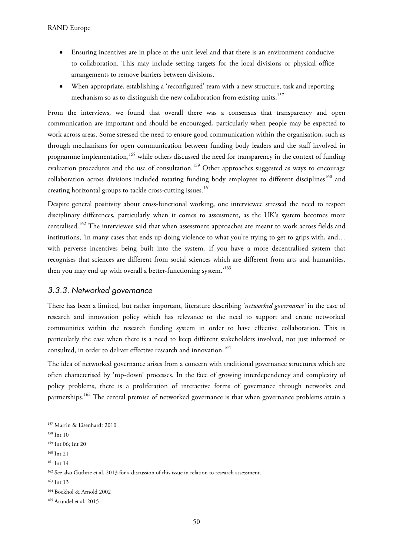- Ensuring incentives are in place at the unit level and that there is an environment conducive to collaboration. This may include setting targets for the local divisions or physical office arrangements to remove barriers between divisions.
- When appropriate, establishing a 'reconfigured' team with a new structure, task and reporting mechanism so as to distinguish the new collaboration from existing units.<sup>157</sup>

From the interviews, we found that overall there was a consensus that transparency and open communication are important and should be encouraged, particularly when people may be expected to work across areas. Some stressed the need to ensure good communication within the organisation, such as through mechanisms for open communication between funding body leaders and the staff involved in programme implementation,<sup>158</sup> while others discussed the need for transparency in the context of funding evaluation procedures and the use of consultation.<sup>159</sup> Other approaches suggested as ways to encourage collaboration across divisions included rotating funding body employees to different disciplines<sup>160</sup> and creating horizontal groups to tackle cross-cutting issues.<sup>161</sup>

Despite general positivity about cross-functional working, one interviewee stressed the need to respect disciplinary differences, particularly when it comes to assessment, as the UK's system becomes more centralised.<sup>162</sup> The interviewee said that when assessment approaches are meant to work across fields and institutions, 'in many cases that ends up doing violence to what you're trying to get to grips with, and… with perverse incentives being built into the system. If you have a more decentralised system that recognises that sciences are different from social sciences which are different from arts and humanities, then you may end up with overall a better-functioning system.'<sup>163</sup>

### 3.3.3. Networked governance

There has been a limited, but rather important, literature describing *'networked governance'* in the case of research and innovation policy which has relevance to the need to support and create networked communities within the research funding system in order to have effective collaboration. This is particularly the case when there is a need to keep different stakeholders involved, not just informed or consulted, in order to deliver effective research and innovation.<sup>164</sup>

The idea of networked governance arises from a concern with traditional governance structures which are often characterised by 'top-down' processes. In the face of growing interdependency and complexity of policy problems, there is a proliferation of interactive forms of governance through networks and partnerships.<sup>165</sup> The central premise of networked governance is that when governance problems attain a

<u>.</u>

161 Int 14

<sup>157</sup> Martin & Eisenhardt 2010

<sup>158</sup> Int 10

<sup>159</sup> Int 06; Int 20

<sup>160</sup> Int 21

<sup>&</sup>lt;sup>162</sup> See also Guthrie et al. 2013 for a discussion of this issue in relation to research assessment.

<sup>&</sup>lt;sup>163</sup> Int 13

<sup>164</sup> Boekhol & Arnold 2002

<sup>165</sup> Arundel et al. 2015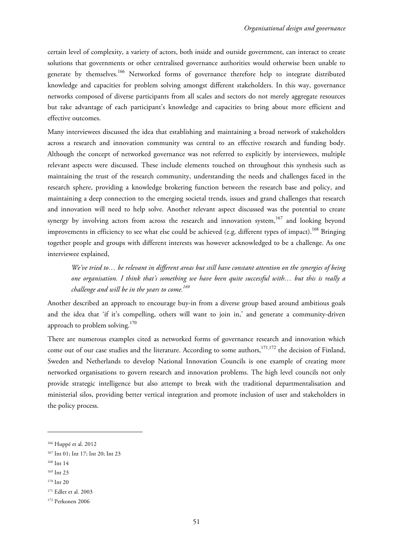certain level of complexity, a variety of actors, both inside and outside government, can interact to create solutions that governments or other centralised governance authorities would otherwise been unable to generate by themselves.<sup>166</sup> Networked forms of governance therefore help to integrate distributed knowledge and capacities for problem solving amongst different stakeholders. In this way, governance networks composed of diverse participants from all scales and sectors do not merely aggregate resources but take advantage of each participant's knowledge and capacities to bring about more efficient and effective outcomes.

Many interviewees discussed the idea that establishing and maintaining a broad network of stakeholders across a research and innovation community was central to an effective research and funding body. Although the concept of networked governance was not referred to explicitly by interviewees, multiple relevant aspects were discussed. These include elements touched on throughout this synthesis such as maintaining the trust of the research community, understanding the needs and challenges faced in the research sphere, providing a knowledge brokering function between the research base and policy, and maintaining a deep connection to the emerging societal trends, issues and grand challenges that research and innovation will need to help solve. Another relevant aspect discussed was the potential to create synergy by involving actors from across the research and innovation system,<sup>167</sup> and looking beyond improvements in efficiency to see what else could be achieved (e.g. different types of impact).<sup>168</sup> Bringing together people and groups with different interests was however acknowledged to be a challenge. As one interviewee explained,

*We've tried to… be relevant in different areas but still have constant attention on the synergies of being one organisation. I think that's something we have been quite successful with… but this is really a challenge and will be in the years to come.<sup>169</sup>* 

Another described an approach to encourage buy-in from a diverse group based around ambitious goals and the idea that 'if it's compelling, others will want to join in,' and generate a community-driven approach to problem solving. $170$ 

There are numerous examples cited as networked forms of governance research and innovation which come out of our case studies and the literature. According to some authors,<sup>171,172</sup> the decision of Finland, Sweden and Netherlands to develop National Innovation Councils is one example of creating more networked organisations to govern research and innovation problems. The high level councils not only provide strategic intelligence but also attempt to break with the traditional departmentalisation and ministerial silos, providing better vertical integration and promote inclusion of user and stakeholders in the policy process.

<sup>166</sup> Huppé et al. 2012

<sup>167</sup> Int 01; Int 17; Int 20; Int 23

<sup>168</sup> Int 14

<sup>169</sup> Int 23

<sup>170</sup> Int 20

<sup>171</sup> Edler et al. 2003

<sup>172</sup> Perkonen 2006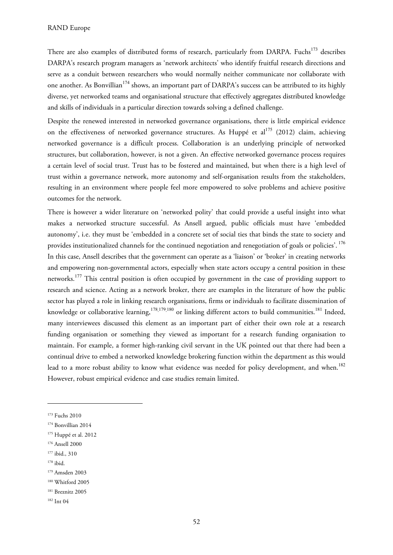There are also examples of distributed forms of research, particularly from DARPA. Fuchs<sup>173</sup> describes DARPA's research program managers as 'network architects' who identify fruitful research directions and serve as a conduit between researchers who would normally neither communicate nor collaborate with one another. As Bonvillian<sup>174</sup> shows, an important part of DARPA's success can be attributed to its highly diverse, yet networked teams and organisational structure that effectively aggregates distributed knowledge and skills of individuals in a particular direction towards solving a defined challenge.

Despite the renewed interested in networked governance organisations, there is little empirical evidence on the effectiveness of networked governance structures. As Huppé et al<sup>175</sup> (2012) claim, achieving networked governance is a difficult process. Collaboration is an underlying principle of networked structures, but collaboration, however, is not a given. An effective networked governance process requires a certain level of social trust. Trust has to be fostered and maintained, but when there is a high level of trust within a governance network, more autonomy and self-organisation results from the stakeholders, resulting in an environment where people feel more empowered to solve problems and achieve positive outcomes for the network.

There is however a wider literature on 'networked polity' that could provide a useful insight into what makes a networked structure successful. As Ansell argued, public officials must have 'embedded autonomy', i.e. they must be 'embedded in a concrete set of social ties that binds the state to society and provides institutionalized channels for the continued negotiation and renegotiation of goals or policies'.<sup>176</sup> In this case, Ansell describes that the government can operate as a 'liaison' or 'broker' in creating networks and empowering non-governmental actors, especially when state actors occupy a central position in these networks.<sup>177</sup> This central position is often occupied by government in the case of providing support to research and science. Acting as a network broker, there are examples in the literature of how the public sector has played a role in linking research organisations, firms or individuals to facilitate dissemination of knowledge or collaborative learning,<sup>178,179,180</sup> or linking different actors to build communities.<sup>181</sup> Indeed, many interviewees discussed this element as an important part of either their own role at a research funding organisation or something they viewed as important for a research funding organisation to maintain. For example, a former high-ranking civil servant in the UK pointed out that there had been a continual drive to embed a networked knowledge brokering function within the department as this would lead to a more robust ability to know what evidence was needed for policy development, and when.<sup>182</sup> However, robust empirical evidence and case studies remain limited.

 $178$  ibid.

<sup>173</sup> Fuchs 2010

<sup>174</sup> Bonvillian 2014

<sup>175</sup> Huppé et al. 2012

<sup>176</sup> Ansell 2000

<sup>177</sup> ibid., 310

<sup>179</sup> Amsden 2003

<sup>180</sup> Whitford 2005

<sup>181</sup> Breznitz 2005

<sup>182</sup> Int 04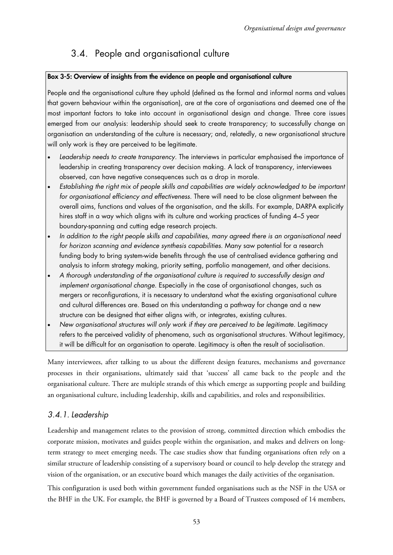# 3.4. People and organisational culture

# Box 3-5: Overview of insights from the evidence on people and organisational culture

People and the organisational culture they uphold (defined as the formal and informal norms and values that govern behaviour within the organisation), are at the core of organisations and deemed one of the most important factors to take into account in organisational design and change. Three core issues emerged from our analysis: leadership should seek to create transparency; to successfully change an organisation an understanding of the culture is necessary; and, relatedly, a new organisational structure will only work is they are perceived to be legitimate.

- Leadership needs to create transparency. The interviews in particular emphasised the importance of leadership in creating transparency over decision making. A lack of transparency, interviewees observed, can have negative consequences such as a drop in morale.
- Establishing the right mix of people skills and capabilities are widely acknowledged to be important for organisational efficiency and effectiveness. There will need to be close alignment between the overall aims, functions and values of the organisation, and the skills. For example, DARPA explicitly hires staff in a way which aligns with its culture and working practices of funding 4–5 year boundary-spanning and cutting edge research projects.
- In addition to the right people skills and capabilities, many agreed there is an organisational need for horizon scanning and evidence synthesis capabilities. Many saw potential for a research funding body to bring system-wide benefits through the use of centralised evidence gathering and analysis to inform strategy making, priority setting, portfolio management, and other decisions.
- A thorough understanding of the organisational culture is required to successfully design and implement organisational change. Especially in the case of organisational changes, such as mergers or reconfigurations, it is necessary to understand what the existing organisational culture and cultural differences are. Based on this understanding a pathway for change and a new structure can be designed that either aligns with, or integrates, existing cultures.
- New organisational structures will only work if they are perceived to be legitimate. Legitimacy refers to the perceived validity of phenomena, such as organisational structures. Without legitimacy, it will be difficult for an organisation to operate. Legitimacy is often the result of socialisation.

Many interviewees, after talking to us about the different design features, mechanisms and governance processes in their organisations, ultimately said that 'success' all came back to the people and the organisational culture. There are multiple strands of this which emerge as supporting people and building an organisational culture, including leadership, skills and capabilities, and roles and responsibilities.

# 3.4.1. Leadership

Leadership and management relates to the provision of strong, committed direction which embodies the corporate mission, motivates and guides people within the organisation, and makes and delivers on longterm strategy to meet emerging needs. The case studies show that funding organisations often rely on a similar structure of leadership consisting of a supervisory board or council to help develop the strategy and vision of the organisation, or an executive board which manages the daily activities of the organisation.

This configuration is used both within government funded organisations such as the NSF in the USA or the BHF in the UK. For example, the BHF is governed by a Board of Trustees composed of 14 members,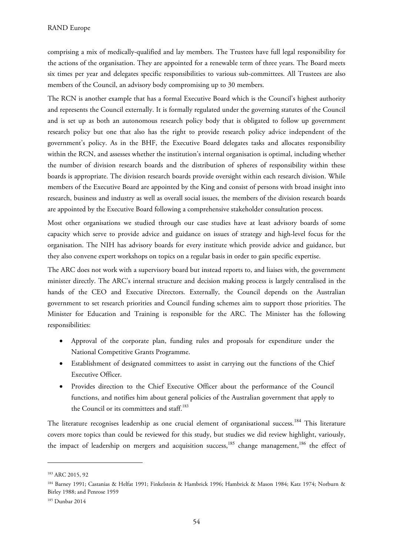comprising a mix of medically-qualified and lay members. The Trustees have full legal responsibility for the actions of the organisation. They are appointed for a renewable term of three years. The Board meets six times per year and delegates specific responsibilities to various sub-committees. All Trustees are also members of the Council, an advisory body compromising up to 30 members.

The RCN is another example that has a formal Executive Board which is the Council's highest authority and represents the Council externally. It is formally regulated under the governing statutes of the Council and is set up as both an autonomous research policy body that is obligated to follow up government research policy but one that also has the right to provide research policy advice independent of the government's policy. As in the BHF, the Executive Board delegates tasks and allocates responsibility within the RCN, and assesses whether the institution's internal organisation is optimal, including whether the number of division research boards and the distribution of spheres of responsibility within these boards is appropriate. The division research boards provide oversight within each research division. While members of the Executive Board are appointed by the King and consist of persons with broad insight into research, business and industry as well as overall social issues, the members of the division research boards are appointed by the Executive Board following a comprehensive stakeholder consultation process.

Most other organisations we studied through our case studies have at least advisory boards of some capacity which serve to provide advice and guidance on issues of strategy and high-level focus for the organisation. The NIH has advisory boards for every institute which provide advice and guidance, but they also convene expert workshops on topics on a regular basis in order to gain specific expertise.

The ARC does not work with a supervisory board but instead reports to, and liaises with, the government minister directly. The ARC's internal structure and decision making process is largely centralised in the hands of the CEO and Executive Directors. Externally, the Council depends on the Australian government to set research priorities and Council funding schemes aim to support those priorities. The Minister for Education and Training is responsible for the ARC. The Minister has the following responsibilities:

- Approval of the corporate plan, funding rules and proposals for expenditure under the National Competitive Grants Programme.
- Establishment of designated committees to assist in carrying out the functions of the Chief Executive Officer.
- Provides direction to the Chief Executive Officer about the performance of the Council functions, and notifies him about general policies of the Australian government that apply to the Council or its committees and staff.<sup>183</sup>

The literature recognises leadership as one crucial element of organisational success.<sup>184</sup> This literature covers more topics than could be reviewed for this study, but studies we did review highlight, variously, the impact of leadership on mergers and acquisition success, $185$  change management,  $186$  the effect of

<sup>183</sup> ARC 2015, 92

<sup>184</sup> Barney 1991; Castanias & Helfat 1991; Finkelstein & Hambrick 1996; Hambrick & Mason 1984; Katz 1974; Norburn & Birley 1988; and Penrose 1959

<sup>185</sup> Dunbar 2014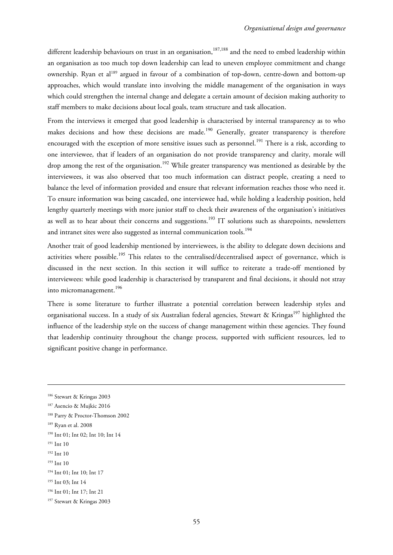different leadership behaviours on trust in an organisation,<sup>187,188</sup> and the need to embed leadership within an organisation as too much top down leadership can lead to uneven employee commitment and change ownership. Ryan et al<sup>189</sup> argued in favour of a combination of top-down, centre-down and bottom-up approaches, which would translate into involving the middle management of the organisation in ways which could strengthen the internal change and delegate a certain amount of decision making authority to staff members to make decisions about local goals, team structure and task allocation.

From the interviews it emerged that good leadership is characterised by internal transparency as to who makes decisions and how these decisions are made.<sup>190</sup> Generally, greater transparency is therefore encouraged with the exception of more sensitive issues such as personnel.<sup>191</sup> There is a risk, according to one interviewee, that if leaders of an organisation do not provide transparency and clarity, morale will drop among the rest of the organisation.<sup>192</sup> While greater transparency was mentioned as desirable by the interviewees, it was also observed that too much information can distract people, creating a need to balance the level of information provided and ensure that relevant information reaches those who need it. To ensure information was being cascaded, one interviewee had, while holding a leadership position, held lengthy quarterly meetings with more junior staff to check their awareness of the organisation's initiatives as well as to hear about their concerns and suggestions.<sup>193</sup> IT solutions such as sharepoints, newsletters and intranet sites were also suggested as internal communication tools.<sup>194</sup>

Another trait of good leadership mentioned by interviewees, is the ability to delegate down decisions and activities where possible.<sup>195</sup> This relates to the centralised/decentralised aspect of governance, which is discussed in the next section. In this section it will suffice to reiterate a trade-off mentioned by interviewees: while good leadership is characterised by transparent and final decisions, it should not stray into micromanagement.<sup>196</sup>

There is some literature to further illustrate a potential correlation between leadership styles and organisational success. In a study of six Australian federal agencies, Stewart & Kringas<sup>197</sup> highlighted the influence of the leadership style on the success of change management within these agencies. They found that leadership continuity throughout the change process, supported with sufficient resources, led to significant positive change in performance.

<sup>186</sup> Stewart & Kringas 2003

<sup>187</sup> Asencio & Mujkic 2016

<sup>188</sup> Parry & Proctor-Thomson 2002

<sup>189</sup> Ryan et al. 2008

<sup>&</sup>lt;sup>190</sup> Int 01; Int 02; Int 10; Int 14

<sup>&</sup>lt;sup>191</sup> Int 10

<sup>&</sup>lt;sup>192</sup> Int 10

<sup>193</sup> Int 10

<sup>&</sup>lt;sup>194</sup> Int 01; Int 10; Int 17

<sup>&</sup>lt;sup>195</sup> Int 03; Int 14

<sup>196</sup> Int 01; Int 17; Int 21

<sup>197</sup> Stewart & Kringas 2003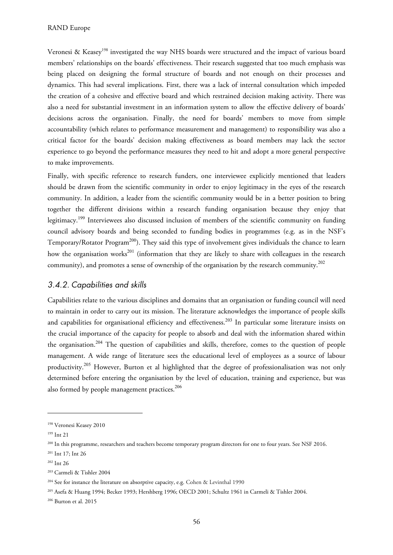Veronesi & Keasey<sup>198</sup> investigated the way NHS boards were structured and the impact of various board members' relationships on the boards' effectiveness. Their research suggested that too much emphasis was being placed on designing the formal structure of boards and not enough on their processes and dynamics. This had several implications. First, there was a lack of internal consultation which impeded the creation of a cohesive and effective board and which restrained decision making activity. There was also a need for substantial investment in an information system to allow the effective delivery of boards' decisions across the organisation. Finally, the need for boards' members to move from simple accountability (which relates to performance measurement and management) to responsibility was also a critical factor for the boards' decision making effectiveness as board members may lack the sector experience to go beyond the performance measures they need to hit and adopt a more general perspective to make improvements.

Finally, with specific reference to research funders, one interviewee explicitly mentioned that leaders should be drawn from the scientific community in order to enjoy legitimacy in the eyes of the research community. In addition, a leader from the scientific community would be in a better position to bring together the different divisions within a research funding organisation because they enjoy that legitimacy.<sup>199</sup> Interviewees also discussed inclusion of members of the scientific community on funding council advisory boards and being seconded to funding bodies in programmes (e.g. as in the NSF's Temporary/Rotator Program<sup>200</sup>). They said this type of involvement gives individuals the chance to learn how the organisation works<sup>201</sup> (information that they are likely to share with colleagues in the research community), and promotes a sense of ownership of the organisation by the research community.<sup>202</sup>

#### 3.4.2. Capabilities and skills

Capabilities relate to the various disciplines and domains that an organisation or funding council will need to maintain in order to carry out its mission. The literature acknowledges the importance of people skills and capabilities for organisational efficiency and effectiveness.<sup>203</sup> In particular some literature insists on the crucial importance of the capacity for people to absorb and deal with the information shared within the organisation.<sup>204</sup> The question of capabilities and skills, therefore, comes to the question of people management. A wide range of literature sees the educational level of employees as a source of labour productivity.<sup>205</sup> However, Burton et al highlighted that the degree of professionalisation was not only determined before entering the organisation by the level of education, training and experience, but was also formed by people management practices.<sup>206</sup>

<sup>198</sup> Veronesi Keasey 2010

<sup>199</sup> Int 21

<sup>&</sup>lt;sup>200</sup> In this programme, researchers and teachers become temporary program directors for one to four years. See NSF 2016.

<sup>201</sup> Int 17; Int 26

<sup>202</sup> Int 26

<sup>203</sup> Carmeli & Tishler 2004

<sup>&</sup>lt;sup>204</sup> See for instance the literature on absorptive capacity, e.g. Cohen & Levinthal 1990

<sup>205</sup> Asefa & Huang 1994; Becker 1993; Hershberg 1996; OECD 2001; Schultz 1961 in Carmeli & Tishler 2004.

<sup>206</sup> Burton et al. 2015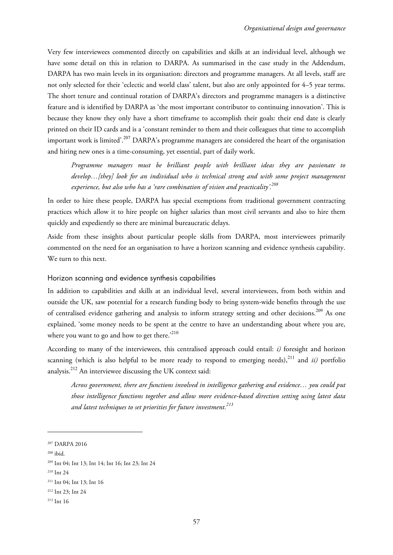Very few interviewees commented directly on capabilities and skills at an individual level, although we have some detail on this in relation to DARPA. As summarised in the case study in the Addendum, DARPA has two main levels in its organisation: directors and programme managers. At all levels, staff are not only selected for their 'eclectic and world class' talent, but also are only appointed for 4–5 year terms. The short tenure and continual rotation of DARPA's directors and programme managers is a distinctive feature and is identified by DARPA as 'the most important contributor to continuing innovation'. This is because they know they only have a short timeframe to accomplish their goals: their end date is clearly printed on their ID cards and is a 'constant reminder to them and their colleagues that time to accomplish important work is limited'.<sup>207</sup> DARPA's programme managers are considered the heart of the organisation and hiring new ones is a time-consuming, yet essential, part of daily work.

*Programme managers must be brilliant people with brilliant ideas they are passionate to develop…[they] look for an individual who is technical strong and with some project management experience, but also who has a 'rare combination of vision and practicality'.<sup>208</sup>*

In order to hire these people, DARPA has special exemptions from traditional government contracting practices which allow it to hire people on higher salaries than most civil servants and also to hire them quickly and expediently so there are minimal bureaucratic delays.

Aside from these insights about particular people skills from DARPA, most interviewees primarily commented on the need for an organisation to have a horizon scanning and evidence synthesis capability. We turn to this next.

Horizon scanning and evidence synthesis capabilities

In addition to capabilities and skills at an individual level, several interviewees, from both within and outside the UK, saw potential for a research funding body to bring system-wide benefits through the use of centralised evidence gathering and analysis to inform strategy setting and other decisions.<sup>209</sup> As one explained, 'some money needs to be spent at the centre to have an understanding about where you are, where you want to go and how to get there.<sup>'210</sup>

According to many of the interviewees, this centralised approach could entail: *i)* foresight and horizon scanning (which is also helpful to be more ready to respond to emerging needs),<sup>211</sup> and *ii*) portfolio analysis.<sup>212</sup> An interviewee discussing the UK context said:

*Across government, there are functions involved in intelligence gathering and evidence… you could put those intelligence functions together and allow more evidence-based direction setting using latest data and latest techniques to set priorities for future investment.<sup>213</sup>* 

<sup>207</sup> DARPA 2016

<sup>208</sup> ibid.

<sup>209</sup> Int 04; Int 13; Int 14; Int 16; Int 23; Int 24

<sup>210</sup> Int 24

<sup>211</sup> Int 04; Int 13; Int 16

<sup>212</sup> Int 23; Int 24

<sup>213</sup> Int 16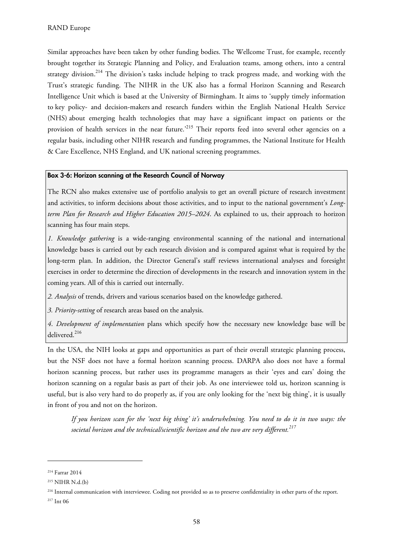Similar approaches have been taken by other funding bodies. The Wellcome Trust, for example, recently brought together its Strategic Planning and Policy, and Evaluation teams, among others, into a central strategy division.<sup>214</sup> The division's tasks include helping to track progress made, and working with the Trust's strategic funding. The NIHR in the UK also has a formal Horizon Scanning and Research Intelligence Unit which is based at the University of Birmingham. It aims to 'supply timely information to key policy- and decision-makers and research funders within the English National Health Service (NHS) about emerging health technologies that may have a significant impact on patients or the provision of health services in the near future.<sup>215</sup> Their reports feed into several other agencies on a regular basis, including other NIHR research and funding programmes, the National Institute for Health & Care Excellence, NHS England, and UK national screening programmes.

#### Box 3-6: Horizon scanning at the Research Council of Norway

The RCN also makes extensive use of portfolio analysis to get an overall picture of research investment and activities, to inform decisions about those activities, and to input to the national government's *Longterm Plan for Research and Higher Education 2015–2024*. As explained to us, their approach to horizon scanning has four main steps.

*1. Knowledge gathering* is a wide-ranging environmental scanning of the national and international knowledge bases is carried out by each research division and is compared against what is required by the long-term plan. In addition, the Director General's staff reviews international analyses and foresight exercises in order to determine the direction of developments in the research and innovation system in the coming years. All of this is carried out internally.

*2. Analysis* of trends, drivers and various scenarios based on the knowledge gathered.

*3. Priority-setting* of research areas based on the analysis.

*4*. *Development of implementation* plans which specify how the necessary new knowledge base will be delivered.<sup>216</sup>

In the USA, the NIH looks at gaps and opportunities as part of their overall strategic planning process, but the NSF does not have a formal horizon scanning process. DARPA also does not have a formal horizon scanning process, but rather uses its programme managers as their 'eyes and ears' doing the horizon scanning on a regular basis as part of their job. As one interviewee told us, horizon scanning is useful, but is also very hard to do properly as, if you are only looking for the 'next big thing', it is usually in front of you and not on the horizon.

*If you horizon scan for the 'next big thing' it's underwhelming. You need to do it in two ways: the societal horizon and the technical/scientific horizon and the two are very different.<sup>217</sup>* 

<sup>214</sup> Farrar 2014

<sup>215</sup> NIHR N.d.(b)

<sup>&</sup>lt;sup>216</sup> Internal communication with interviewee. Coding not provided so as to preserve confidentiality in other parts of the report.

<sup>217</sup> Int 06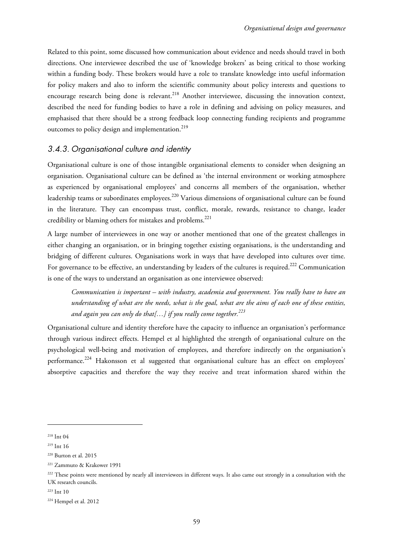Related to this point, some discussed how communication about evidence and needs should travel in both directions. One interviewee described the use of 'knowledge brokers' as being critical to those working within a funding body. These brokers would have a role to translate knowledge into useful information for policy makers and also to inform the scientific community about policy interests and questions to encourage research being done is relevant.<sup>218</sup> Another interviewee, discussing the innovation context, described the need for funding bodies to have a role in defining and advising on policy measures, and emphasised that there should be a strong feedback loop connecting funding recipients and programme outcomes to policy design and implementation.<sup>219</sup>

## 3.4.3. Organisational culture and identity

Organisational culture is one of those intangible organisational elements to consider when designing an organisation. Organisational culture can be defined as 'the internal environment or working atmosphere as experienced by organisational employees' and concerns all members of the organisation, whether leadership teams or subordinates employees.<sup>220</sup> Various dimensions of organisational culture can be found in the literature. They can encompass trust, conflict, morale, rewards, resistance to change, leader credibility or blaming others for mistakes and problems.<sup>221</sup>

A large number of interviewees in one way or another mentioned that one of the greatest challenges in either changing an organisation, or in bringing together existing organisations, is the understanding and bridging of different cultures. Organisations work in ways that have developed into cultures over time. For governance to be effective, an understanding by leaders of the cultures is required.<sup>222</sup> Communication is one of the ways to understand an organisation as one interviewee observed:

*Communication is important – with industry, academia and government. You really have to have an understanding of what are the needs, what is the goal, what are the aims of each one of these entities, and again you can only do that[…] if you really come together.<sup>223</sup>*

Organisational culture and identity therefore have the capacity to influence an organisation's performance through various indirect effects. Hempel et al highlighted the strength of organisational culture on the psychological well-being and motivation of employees, and therefore indirectly on the organisation's performance.<sup>224</sup> Hakonsson et al suggested that organisational culture has an effect on employees' absorptive capacities and therefore the way they receive and treat information shared within the

<sup>218</sup> Int 04

<sup>&</sup>lt;sup>219</sup> Int 16

<sup>220</sup> Burton et al. 2015

<sup>221</sup> Zammuto & Krakower 1991

<sup>&</sup>lt;sup>222</sup> These points were mentioned by nearly all interviewees in different ways. It also came out strongly in a consultation with the UK research councils.

<sup>223</sup> Int 10

<sup>224</sup> Hempel et al. 2012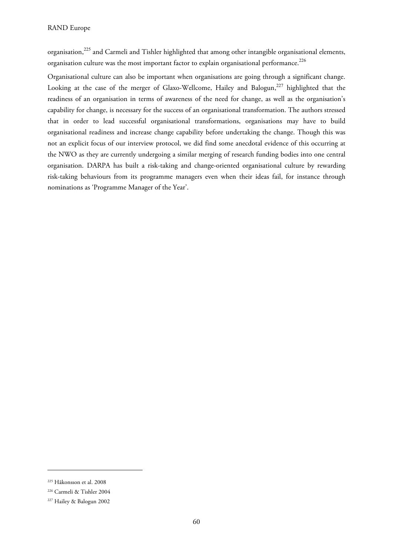organisation,<sup>225</sup> and Carmeli and Tishler highlighted that among other intangible organisational elements, organisation culture was the most important factor to explain organisational performance.<sup>226</sup>

Organisational culture can also be important when organisations are going through a significant change. Looking at the case of the merger of Glaxo-Wellcome, Hailey and Balogun,<sup>227</sup> highlighted that the readiness of an organisation in terms of awareness of the need for change, as well as the organisation's capability for change, is necessary for the success of an organisational transformation. The authors stressed that in order to lead successful organisational transformations, organisations may have to build organisational readiness and increase change capability before undertaking the change. Though this was not an explicit focus of our interview protocol, we did find some anecdotal evidence of this occurring at the NWO as they are currently undergoing a similar merging of research funding bodies into one central organisation. DARPA has built a risk-taking and change-oriented organisational culture by rewarding risk-taking behaviours from its programme managers even when their ideas fail, for instance through nominations as 'Programme Manager of the Year'.

<sup>225</sup> Håkonsson et al. 2008

<sup>226</sup> Carmeli & Tishler 2004

<sup>227</sup> Hailey & Balogun 2002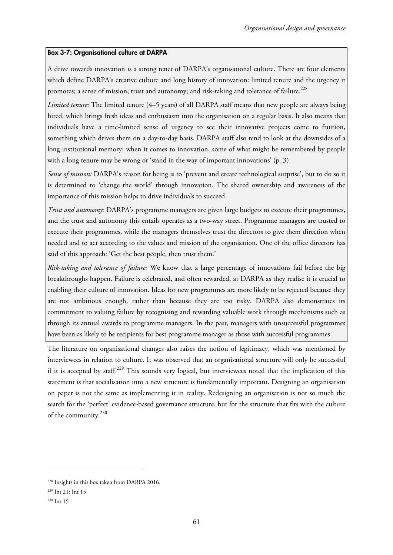#### Box 3-7: Organisational culture at DARPA

A drive towards innovation is a strong tenet of DARPA's organisational culture. There are four elements which define DARPA's creative culture and long history of innovation: limited tenure and the urgency it promotes; a sense of mission; trust and autonomy; and risk-taking and tolerance of failure.<sup>228</sup>

*Limited tenure:* The limited tenure (4–5 years) of all DARPA staff means that new people are always being hired, which brings fresh ideas and enthusiasm into the organisation on a regular basis. It also means that individuals have a time-limited sense of urgency to see their innovative projects come to fruition, something which drives them on a day-to-day basis. DARPA staff also tend to look at the downsides of a long institutional memory: when it comes to innovation, some of what might be remembered by people with a long tenure may be wrong or 'stand in the way of important innovations' (p. 3).

*Sense of mission:* DARPA's reason for being is to 'prevent and create technological surprise', but to do so it is determined to 'change the world' through innovation. The shared ownership and awareness of the importance of this mission helps to drive individuals to succeed.

*Trust and autonomy:* DARPA's programme managers are given large budgets to execute their programmes, and the trust and autonomy this entails operates as a two-way street. Programme managers are trusted to execute their programmes, while the managers themselves trust the directors to give them direction when needed and to act according to the values and mission of the organisation. One of the office directors has said of this approach: 'Get the best people, then trust them.'

*Risk-taking and tolerance of failure:* We know that a large percentage of innovations fail before the big breakthroughs happen. Failure is celebrated, and often rewarded, at DARPA as they realise it is crucial to enabling their culture of innovation. Ideas for new programmes are more likely to be rejected because they are not ambitious enough, rather than because they are too risky. DARPA also demonstrates its commitment to valuing failure by recognising and rewarding valuable work through mechanisms such as through its annual awards to programme managers. In the past, managers with unsuccessful programmes have been as likely to be recipients for best programme manager as those with successful programmes.

The literature on organisational changes also raises the notion of legitimacy, which was mentioned by interviewees in relation to culture. It was observed that an organisational structure will only be successful if it is accepted by staff.<sup>229</sup> This sounds very logical, but interviewees noted that the implication of this statement is that socialisation into a new structure is fundamentally important. Designing an organisation on paper is not the same as implementing it in reality. Redesigning an organisation is not so much the search for the 'perfect' evidence-based governance structure, but for the structure that fits with the culture of the community.<sup>230</sup>

<sup>228</sup> Insights in this box taken from DARPA 2016.

<sup>229</sup> Int 21; Int 15

<sup>&</sup>lt;sup>230</sup> Int 15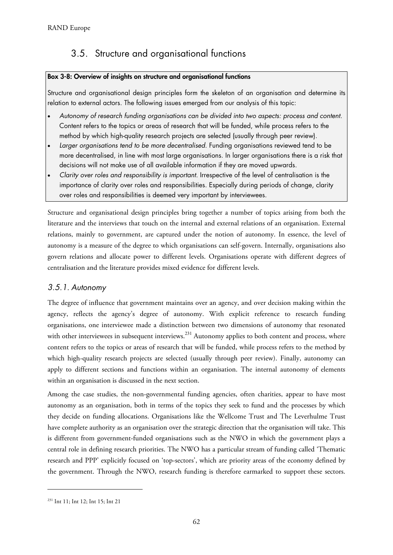# 3.5. Structure and organisational functions

#### Box 3-8: Overview of insights on structure and organisational functions

Structure and organisational design principles form the skeleton of an organisation and determine its relation to external actors. The following issues emerged from our analysis of this topic:

- Autonomy of research funding organisations can be divided into two aspects: process and content. Content refers to the topics or areas of research that will be funded, while process refers to the method by which high-quality research projects are selected (usually through peer review).
- Larger organisations tend to be more decentralised. Funding organisations reviewed tend to be more decentralised, in line with most large organisations. In larger organisations there is a risk that decisions will not make use of all available information if they are moved upwards.
- Clarity over roles and responsibility is important. Irrespective of the level of centralisation is the importance of clarity over roles and responsibilities. Especially during periods of change, clarity over roles and responsibilities is deemed very important by interviewees.

Structure and organisational design principles bring together a number of topics arising from both the literature and the interviews that touch on the internal and external relations of an organisation. External relations, mainly to government, are captured under the notion of autonomy. In essence, the level of autonomy is a measure of the degree to which organisations can self-govern. Internally, organisations also govern relations and allocate power to different levels. Organisations operate with different degrees of centralisation and the literature provides mixed evidence for different levels.

## 3.5.1. Autonomy

The degree of influence that government maintains over an agency, and over decision making within the agency, reflects the agency's degree of autonomy. With explicit reference to research funding organisations, one interviewee made a distinction between two dimensions of autonomy that resonated with other interviewees in subsequent interviews.<sup>231</sup> Autonomy applies to both content and process, where content refers to the topics or areas of research that will be funded, while process refers to the method by which high-quality research projects are selected (usually through peer review). Finally, autonomy can apply to different sections and functions within an organisation. The internal autonomy of elements within an organisation is discussed in the next section.

Among the case studies, the non-governmental funding agencies, often charities, appear to have most autonomy as an organisation, both in terms of the topics they seek to fund and the processes by which they decide on funding allocations. Organisations like the Wellcome Trust and The Leverhulme Trust have complete authority as an organisation over the strategic direction that the organisation will take. This is different from government-funded organisations such as the NWO in which the government plays a central role in defining research priorities. The NWO has a particular stream of funding called 'Thematic research and PPP' explicitly focused on 'top-sectors', which are priority areas of the economy defined by the government. Through the NWO, research funding is therefore earmarked to support these sectors.

<sup>&</sup>lt;sup>231</sup> Int 11; Int 12; Int 15; Int 21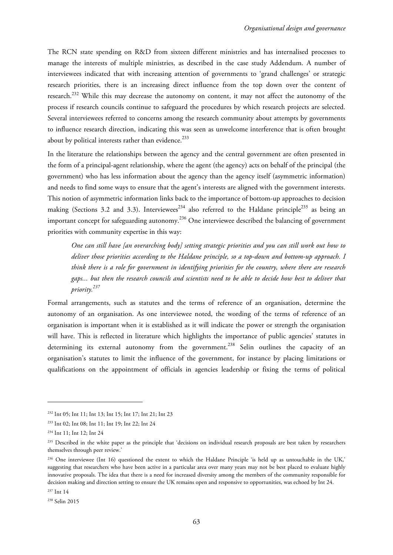The RCN state spending on R&D from sixteen different ministries and has internalised processes to manage the interests of multiple ministries, as described in the case study Addendum. A number of interviewees indicated that with increasing attention of governments to 'grand challenges' or strategic research priorities, there is an increasing direct influence from the top down over the content of research.<sup>232</sup> While this may decrease the autonomy on content, it may not affect the autonomy of the process if research councils continue to safeguard the procedures by which research projects are selected. Several interviewees referred to concerns among the research community about attempts by governments to influence research direction, indicating this was seen as unwelcome interference that is often brought about by political interests rather than evidence.<sup>233</sup>

In the literature the relationships between the agency and the central government are often presented in the form of a principal-agent relationship, where the agent (the agency) acts on behalf of the principal (the government) who has less information about the agency than the agency itself (asymmetric information) and needs to find some ways to ensure that the agent's interests are aligned with the government interests. This notion of asymmetric information links back to the importance of bottom-up approaches to decision making (Sections 3.2 and 3.3). Interviewees<sup>234</sup> also referred to the Haldane principle<sup>235</sup> as being an important concept for safeguarding autonomy.<sup>236</sup> One interviewee described the balancing of government priorities with community expertise in this way:

*One can still have [an overarching body] setting strategic priorities and you can still work out how to deliver those priorities according to the Haldane principle, so a top-down and bottom-up approach. I think there is a role for government in identifying priorities for the country, where there are research gaps... but then the research councils and scientists need to be able to decide how best to deliver that priority.<sup>237</sup>*

Formal arrangements, such as statutes and the terms of reference of an organisation, determine the autonomy of an organisation. As one interviewee noted, the wording of the terms of reference of an organisation is important when it is established as it will indicate the power or strength the organisation will have. This is reflected in literature which highlights the importance of public agencies' statutes in determining its external autonomy from the government.<sup>238</sup> Selin outlines the capacity of an organisation's statutes to limit the influence of the government, for instance by placing limitations or qualifications on the appointment of officials in agencies leadership or fixing the terms of political

<sup>232</sup> Int 05; Int 11; Int 13; Int 15; Int 17; Int 21; Int 23

<sup>233</sup> Int 02; Int 08; Int 11; Int 19; Int 22; Int 24

<sup>234</sup> Int 11; Int 12; Int 24

<sup>&</sup>lt;sup>235</sup> Described in the white paper as the principle that 'decisions on individual research proposals are best taken by researchers themselves through peer review.'

<sup>&</sup>lt;sup>236</sup> One interviewee (Int 16) questioned the extent to which the Haldane Principle 'is held up as untouchable in the UK,' suggesting that researchers who have been active in a particular area over many years may not be best placed to evaluate highly innovative proposals. The idea that there is a need for increased diversity among the members of the community responsible for decision making and direction setting to ensure the UK remains open and responsive to opportunities, was echoed by Int 24.

<sup>237</sup> Int 14

<sup>238</sup> Selin 2015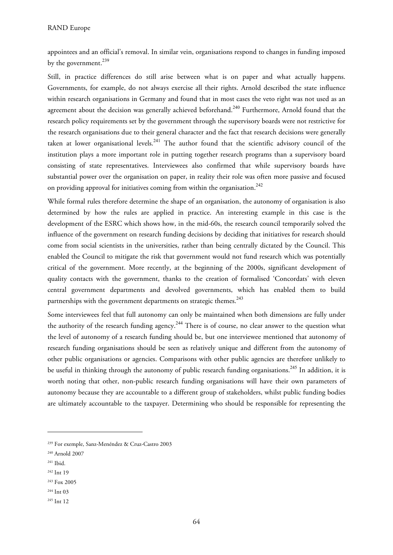appointees and an official's removal. In similar vein, organisations respond to changes in funding imposed by the government.<sup>239</sup>

Still, in practice differences do still arise between what is on paper and what actually happens. Governments, for example, do not always exercise all their rights. Arnold described the state influence within research organisations in Germany and found that in most cases the veto right was not used as an agreement about the decision was generally achieved beforehand.<sup>240</sup> Furthermore, Arnold found that the research policy requirements set by the government through the supervisory boards were not restrictive for the research organisations due to their general character and the fact that research decisions were generally taken at lower organisational levels.<sup>241</sup> The author found that the scientific advisory council of the institution plays a more important role in putting together research programs than a supervisory board consisting of state representatives. Interviewees also confirmed that while supervisory boards have substantial power over the organisation on paper, in reality their role was often more passive and focused on providing approval for initiatives coming from within the organisation.<sup>242</sup>

While formal rules therefore determine the shape of an organisation, the autonomy of organisation is also determined by how the rules are applied in practice. An interesting example in this case is the development of the ESRC which shows how, in the mid-60s, the research council temporarily solved the influence of the government on research funding decisions by deciding that initiatives for research should come from social scientists in the universities, rather than being centrally dictated by the Council. This enabled the Council to mitigate the risk that government would not fund research which was potentially critical of the government. More recently, at the beginning of the 2000s, significant development of quality contacts with the government, thanks to the creation of formalised 'Concordats' with eleven central government departments and devolved governments, which has enabled them to build partnerships with the government departments on strategic themes.<sup>243</sup>

Some interviewees feel that full autonomy can only be maintained when both dimensions are fully under the authority of the research funding agency.<sup>244</sup> There is of course, no clear answer to the question what the level of autonomy of a research funding should be, but one interviewee mentioned that autonomy of research funding organisations should be seen as relatively unique and different from the autonomy of other public organisations or agencies. Comparisons with other public agencies are therefore unlikely to be useful in thinking through the autonomy of public research funding organisations.<sup>245</sup> In addition, it is worth noting that other, non-public research funding organisations will have their own parameters of autonomy because they are accountable to a different group of stakeholders, whilst public funding bodies are ultimately accountable to the taxpayer. Determining who should be responsible for representing the

<sup>239</sup> For exemple, Sanz-Menéndez & Cruz-Castro 2003

<sup>240</sup> Arnold 2007

<sup>241</sup> Ibid.

<sup>&</sup>lt;sup>242</sup> Int 19

<sup>243</sup> Fox 2005

<sup>&</sup>lt;sup>244</sup> Int 03

<sup>&</sup>lt;sup>245</sup> Int 12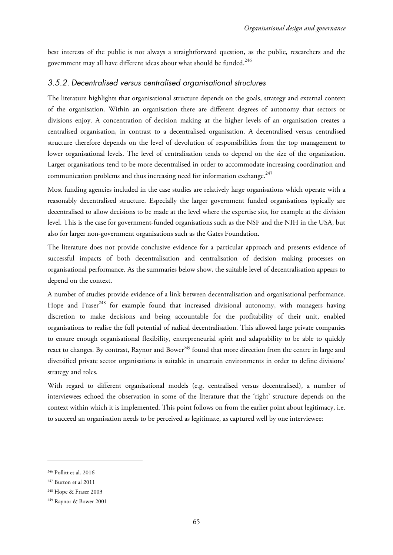best interests of the public is not always a straightforward question, as the public, researchers and the government may all have different ideas about what should be funded.<sup>246</sup>

### 3.5.2. Decentralised versus centralised organisational structures

The literature highlights that organisational structure depends on the goals, strategy and external context of the organisation. Within an organisation there are different degrees of autonomy that sectors or divisions enjoy. A concentration of decision making at the higher levels of an organisation creates a centralised organisation, in contrast to a decentralised organisation. A decentralised versus centralised structure therefore depends on the level of devolution of responsibilities from the top management to lower organisational levels. The level of centralisation tends to depend on the size of the organisation. Larger organisations tend to be more decentralised in order to accommodate increasing coordination and communication problems and thus increasing need for information exchange.<sup>247</sup>

Most funding agencies included in the case studies are relatively large organisations which operate with a reasonably decentralised structure. Especially the larger government funded organisations typically are decentralised to allow decisions to be made at the level where the expertise sits, for example at the division level. This is the case for government-funded organisations such as the NSF and the NIH in the USA, but also for larger non-government organisations such as the Gates Foundation.

The literature does not provide conclusive evidence for a particular approach and presents evidence of successful impacts of both decentralisation and centralisation of decision making processes on organisational performance. As the summaries below show, the suitable level of decentralisation appears to depend on the context.

A number of studies provide evidence of a link between decentralisation and organisational performance. Hope and Fraser<sup>248</sup> for example found that increased divisional autonomy, with managers having discretion to make decisions and being accountable for the profitability of their unit, enabled organisations to realise the full potential of radical decentralisation. This allowed large private companies to ensure enough organisational flexibility, entrepreneurial spirit and adaptability to be able to quickly react to changes. By contrast, Raynor and Bower<sup>249</sup> found that more direction from the centre in large and diversified private sector organisations is suitable in uncertain environments in order to define divisions' strategy and roles.

With regard to different organisational models (e.g. centralised versus decentralised), a number of interviewees echoed the observation in some of the literature that the 'right' structure depends on the context within which it is implemented. This point follows on from the earlier point about legitimacy, i.e. to succeed an organisation needs to be perceived as legitimate, as captured well by one interviewee:

<sup>246</sup> Pollitt et al. 2016

<sup>247</sup> Burton et al 2011

<sup>248</sup> Hope & Fraser 2003

<sup>249</sup> Raynor & Bower 2001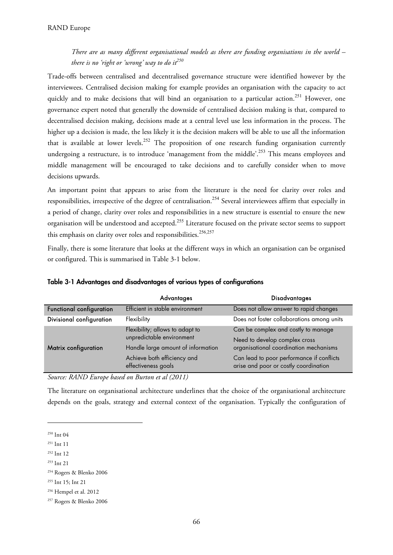*There are as many different organisational models as there are funding organisations in the world – there is no 'right or 'wrong' way to do it<sup>250</sup>* 

Trade-offs between centralised and decentralised governance structure were identified however by the interviewees. Centralised decision making for example provides an organisation with the capacity to act quickly and to make decisions that will bind an organisation to a particular action.<sup>251</sup> However, one governance expert noted that generally the downside of centralised decision making is that, compared to decentralised decision making, decisions made at a central level use less information in the process. The higher up a decision is made, the less likely it is the decision makers will be able to use all the information that is available at lower levels.<sup>252</sup> The proposition of one research funding organisation currently undergoing a restructure, is to introduce 'management from the middle'.<sup>253</sup> This means employees and middle management will be encouraged to take decisions and to carefully consider when to move decisions upwards.

An important point that appears to arise from the literature is the need for clarity over roles and responsibilities, irrespective of the degree of centralisation.<sup>254</sup> Several interviewees affirm that especially in a period of change, clarity over roles and responsibilities in a new structure is essential to ensure the new organisation will be understood and accepted.<sup>255</sup> Literature focused on the private sector seems to support this emphasis on clarity over roles and responsibilities.<sup>256,257</sup>

Finally, there is some literature that looks at the different ways in which an organisation can be organised or configured. This is summarised in Table 3-1 below.

|                                 | <b>Advantages</b>                                                                                  | <b>Disadvantages</b>                                                               |
|---------------------------------|----------------------------------------------------------------------------------------------------|------------------------------------------------------------------------------------|
| <b>Functional configuration</b> | Efficient in stable environment                                                                    | Does not allow answer to rapid changes                                             |
| Divisional configuration        | Flexibility                                                                                        | Does not foster collaborations among units                                         |
| Matrix configuration            | Flexibility; allows to adapt to<br>unpredictable environment<br>Handle large amount of information | Can be complex and costly to manage                                                |
|                                 |                                                                                                    | Need to develop complex cross<br>organisational coordination mechanisms            |
|                                 | Achieve both efficiency and<br>effectiveness goals                                                 | Can lead to poor performance if conflicts<br>arise and poor or costly coordination |

#### Table 3-1 Advantages and disadvantages of various types of configurations

*Source: RAND Europe based on Burton et al (2011)* 

The literature on organisational architecture underlines that the choice of the organisational architecture depends on the goals, strategy and external context of the organisation. Typically the configuration of

-

253 Int 21

<sup>250</sup> Int 04

<sup>251</sup> Int 11

<sup>252</sup> Int 12

<sup>254</sup> Rogers & Blenko 2006

<sup>255</sup> Int 15; Int 21

<sup>256</sup> Hempel et al. 2012

<sup>257</sup> Rogers & Blenko 2006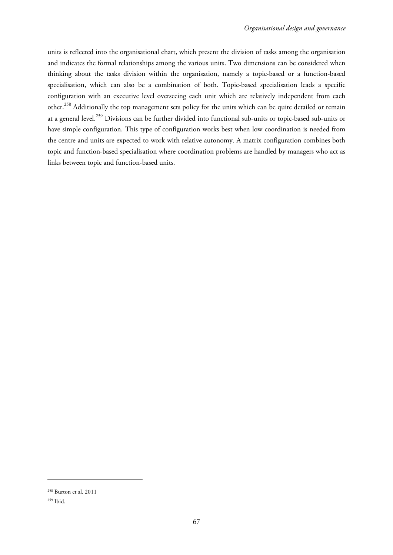units is reflected into the organisational chart, which present the division of tasks among the organisation and indicates the formal relationships among the various units. Two dimensions can be considered when thinking about the tasks division within the organisation, namely a topic-based or a function-based specialisation, which can also be a combination of both. Topic-based specialisation leads a specific configuration with an executive level overseeing each unit which are relatively independent from each other.<sup>258</sup> Additionally the top management sets policy for the units which can be quite detailed or remain at a general level.<sup>259</sup> Divisions can be further divided into functional sub-units or topic-based sub-units or have simple configuration. This type of configuration works best when low coordination is needed from the centre and units are expected to work with relative autonomy. A matrix configuration combines both topic and function-based specialisation where coordination problems are handled by managers who act as links between topic and function-based units.

<sup>258</sup> Burton et al. 2011

<sup>259</sup> Ibid.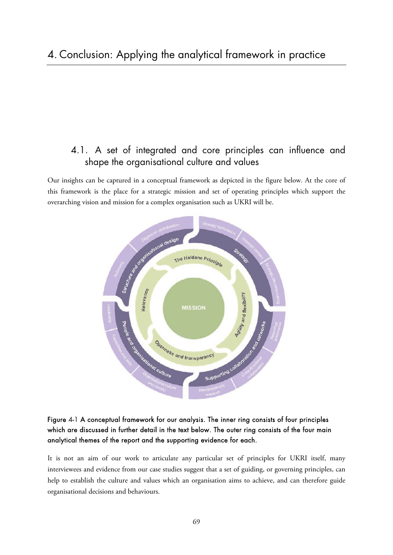# 4. Conclusion: Applying the analytical framework in practice

## 4.1. A set of integrated and core principles can influence and shape the organisational culture and values

Our insights can be captured in a conceptual framework as depicted in the figure below. At the core of this framework is the place for a strategic mission and set of operating principles which support the overarching vision and mission for a complex organisation such as UKRI will be.



### Figure 4-1 A conceptual framework for our analysis. The inner ring consists of four principles which are discussed in further detail in the text below. The outer ring consists of the four main analytical themes of the report and the supporting evidence for each.

It is not an aim of our work to articulate any particular set of principles for UKRI itself, many interviewees and evidence from our case studies suggest that a set of guiding, or governing principles, can help to establish the culture and values which an organisation aims to achieve, and can therefore guide organisational decisions and behaviours.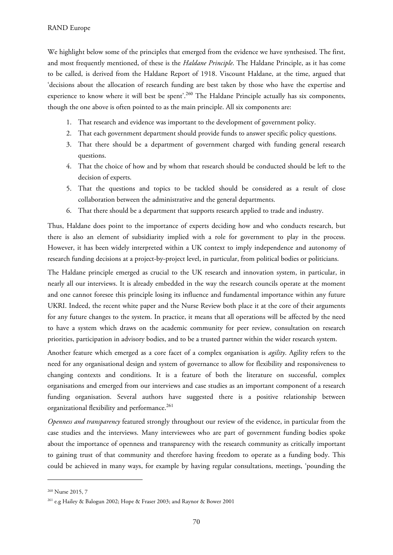We highlight below some of the principles that emerged from the evidence we have synthesised. The first, and most frequently mentioned, of these is the *Haldane Principle*. The Haldane Principle, as it has come to be called, is derived from the Haldane Report of 1918. Viscount Haldane, at the time, argued that 'decisions about the allocation of research funding are best taken by those who have the expertise and experience to know where it will best be spent'.<sup>260</sup> The Haldane Principle actually has six components, though the one above is often pointed to as the main principle. All six components are:

- 1. That research and evidence was important to the development of government policy.
- 2. That each government department should provide funds to answer specific policy questions.
- 3. That there should be a department of government charged with funding general research questions.
- 4. That the choice of how and by whom that research should be conducted should be left to the decision of experts.
- 5. That the questions and topics to be tackled should be considered as a result of close collaboration between the administrative and the general departments.
- 6. That there should be a department that supports research applied to trade and industry.

Thus, Haldane does point to the importance of experts deciding how and who conducts research, but there is also an element of subsidiarity implied with a role for government to play in the process. However, it has been widely interpreted within a UK context to imply independence and autonomy of research funding decisions at a project-by-project level, in particular, from political bodies or politicians.

The Haldane principle emerged as crucial to the UK research and innovation system, in particular, in nearly all our interviews. It is already embedded in the way the research councils operate at the moment and one cannot foresee this principle losing its influence and fundamental importance within any future UKRI. Indeed, the recent white paper and the Nurse Review both place it at the core of their arguments for any future changes to the system. In practice, it means that all operations will be affected by the need to have a system which draws on the academic community for peer review, consultation on research priorities, participation in advisory bodies, and to be a trusted partner within the wider research system.

Another feature which emerged as a core facet of a complex organisation is *agility*. Agility refers to the need for any organisational design and system of governance to allow for flexibility and responsiveness to changing contexts and conditions. It is a feature of both the literature on successful, complex organisations and emerged from our interviews and case studies as an important component of a research funding organisation. Several authors have suggested there is a positive relationship between organizational flexibility and performance.<sup>261</sup>

*Openness and transparency* featured strongly throughout our review of the evidence, in particular from the case studies and the interviews. Many interviewees who are part of government funding bodies spoke about the importance of openness and transparency with the research community as critically important to gaining trust of that community and therefore having freedom to operate as a funding body. This could be achieved in many ways, for example by having regular consultations, meetings, 'pounding the

<sup>&</sup>lt;sup>260</sup> Nurse 2015, 7

<sup>261</sup> e.g Hailey & Balogun 2002; Hope & Fraser 2003; and Raynor & Bower 2001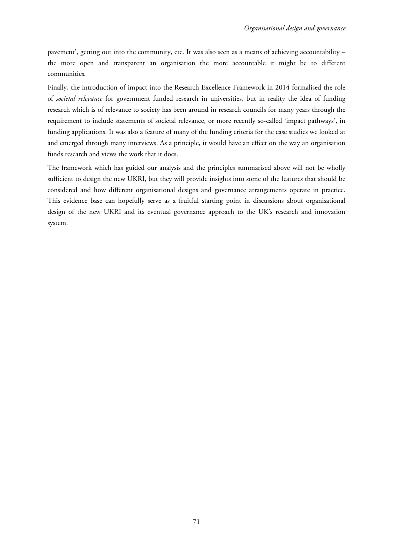pavement', getting out into the community, etc. It was also seen as a means of achieving accountability – the more open and transparent an organisation the more accountable it might be to different communities.

Finally, the introduction of impact into the Research Excellence Framework in 2014 formalised the role of *societal relevance* for government funded research in universities, but in reality the idea of funding research which is of relevance to society has been around in research councils for many years through the requirement to include statements of societal relevance, or more recently so-called 'impact pathways', in funding applications. It was also a feature of many of the funding criteria for the case studies we looked at and emerged through many interviews. As a principle, it would have an effect on the way an organisation funds research and views the work that it does.

The framework which has guided our analysis and the principles summarised above will not be wholly sufficient to design the new UKRI, but they will provide insights into some of the features that should be considered and how different organisational designs and governance arrangements operate in practice. This evidence base can hopefully serve as a fruitful starting point in discussions about organisational design of the new UKRI and its eventual governance approach to the UK's research and innovation system.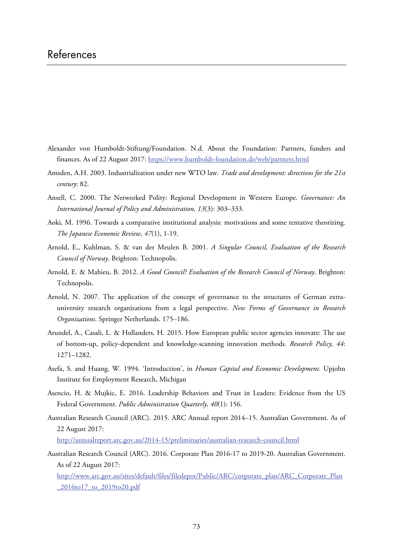- Alexander von Humboldt-Stiftung/Foundation. N.d. About the Foundation: Partners, funders and finances. As of 22 August 2017: <https://www.humboldt-foundation.de/web/partners.html>
- Amsden, A.H. 2003. Industrialization under new WTO law. *Trade and development: directions for the 21st century*: 82.
- Ansell, C. 2000. The Networked Polity: Regional Development in Western Europe. *Governance: An International Journal of Policy and Administration, 13*(3): 303–333.
- Aoki, M. 1996. Towards a comparative institutional analysis: motivations and some tentative theorizing. *The Japanese Economic Review, 47*(1), 1-19.
- Arnold, E., Kuhlman, S. & van der Meulen B. 2001. *A Singular Council, Evaluation of the Research Council of Norway*. Brighton: Technopolis.
- Arnold, E. & Mahieu, B. 2012. *A Good Council? Evaluation of the Research Council of Norway*. Brighton: Technopolis.
- Arnold, N. 2007. The application of the concept of governance to the structures of German extrauniversity research organizations from a legal perspective. *New Forms of Governance in Research Organizations*. Springer Netherlands. 175–186.
- Arundel, A., Casali, L. & Hollanders, H. 2015. How European public sector agencies innovate: The use of bottom-up, policy-dependent and knowledge-scanning innovation methods. *Research Policy, 44*: 1271–1282.
- Asefa, S. and Huang, W. 1994. 'Introduction', in *Human Capital and Economic Development.* Upjohn Institute for Employment Research, Michigan
- Asencio, H. & Mujkic, E. 2016. Leadership Behaviors and Trust in Leaders: Evidence from the US Federal Government. *Public Administration Quarterly, 40*(1): 156.
- Australian Research Council (ARC). 2015. ARC Annual report 2014–15. Australian Government. As of 22 August 2017:

<http://annualreport.arc.gov.au/2014-15/preliminaries/australian-research-council.html>

Australian Research Council (ARC). 2016. Corporate Plan 2016-17 to 2019-20. Australian Government. As of 22 August 2017:

[http://www.arc.gov.au/sites/default/files/filedepot/Public/ARC/corporate\\_plan/ARC\\_Corporate\\_Plan](http://www.arc.gov.au/sites/default/files/filedepot/Public/ARC/corporate_plan/ARC_Corporate_Plan_2016to17_to_2019to20.pdf) \_2016to17\_to\_2019to20.pdf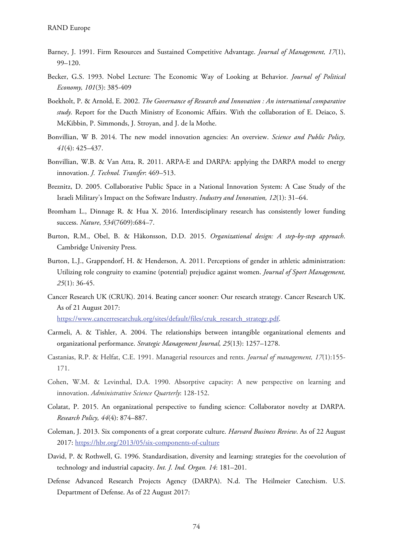- Barney, J. 1991. Firm Resources and Sustained Competitive Advantage. *Journal of Management, 17*(1), 99–120.
- Becker, G.S. 1993. Nobel Lecture: The Economic Way of Looking at Behavior. *Journal of Political Economy, 101*(3): 385-409
- Boekholt, P. & Arnold, E. 2002. *The Governance of Research and Innovation : An international comparative study*. Report for the Ducth Ministry of Economic Affairs. With the collaboration of E. Deiaco, S. McKibbin, P. Simmonds, J. Stroyan, and J. de la Mothe.
- Bonvillian, W B. 2014. The new model innovation agencies: An overview. *Science and Public Policy, 41*(4): 425–437.
- Bonvillian, W.B. & Van Atta, R. 2011. ARPA-E and DARPA: applying the DARPA model to energy innovation. *J. Technol. Transfer*: 469–513.
- Breznitz, D. 2005. Collaborative Public Space in a National Innovation System: A Case Study of the Israeli Military's Impact on the Software Industry. *Industry and Innovation, 12*(1): 31–64.
- Bromham L., Dinnage R. & Hua X. 2016. Interdisciplinary research has consistently lower funding success. *Nature*, *534*(7609):684–7.
- Burton, R.M., Obel, B. & Håkonsson, D.D. 2015. *Organizational design: A step-by-step approach*. Cambridge University Press.
- Burton, L.J., Grappendorf, H. & Henderson, A. 2011. Perceptions of gender in athletic administration: Utilizing role congruity to examine (potential) prejudice against women. *Journal of Sport Management, 25*(1): 36-45.
- Cancer Research UK (CRUK). 2014. Beating cancer sooner: Our research strategy. Cancer Research UK. As of 21 August 2017:

[https://www.cancerresearchuk.org/sites/default/files/cruk\\_research\\_strategy.pdf.](https://www.cancerresearchuk.org/sites/default/files/cruk_research_strategy.pdf)

- Carmeli, A. & Tishler, A. 2004. The relationships between intangible organizational elements and organizational performance. *Strategic Management Journal, 25*(13): 1257–1278.
- Castanias, R.P. & Helfat, C.E. 1991. Managerial resources and rents. *Journal of management, 17*(1):155- 171.
- Cohen, W.M. & Levinthal, D.A. 1990. Absorptive capacity: A new perspective on learning and innovation. *Administrative Science Quarterly*: 128-152.
- Colatat, P. 2015. An organizational perspective to funding science: Collaborator novelty at DARPA. *Research Policy, 44*(4): 874–887.
- Coleman, J. 2013. Six components of a great corporate culture. *Harvard Business Review*. As of 22 August 2017: <https://hbr.org/2013/05/six-components-of-culture>
- David, P. & Rothwell, G. 1996. Standardisation, diversity and learning: strategies for the coevolution of technology and industrial capacity. *Int. J. Ind. Organ. 14*: 181–201.
- Defense Advanced Research Projects Agency (DARPA). N.d. The Heilmeier Catechism. U.S. Department of Defense. As of 22 August 2017: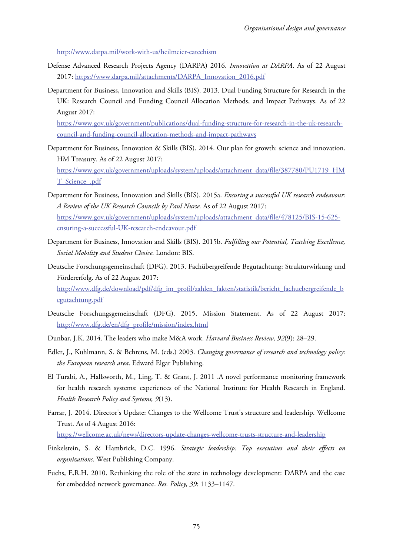<http://www.darpa.mil/work-with-us/heilmeier-catechism>

- Defense Advanced Research Projects Agency (DARPA) 2016. *Innovation at DARPA*. As of 22 August 2017: [https://www.darpa.mil/attachments/DARPA\\_Innovation\\_2016.pdf](https://www.darpa.mil/attachments/DARPA_Innovation_2016.pdf)
- Department for Business, Innovation and Skills (BIS). 2013. Dual Funding Structure for Research in the UK: Research Council and Funding Council Allocation Methods, and Impact Pathways. As of 22 August 2017:

[https://www.gov.uk/government/publications/dual-funding-structure-for-research-in-the-uk-research](https://www.gov.uk/government/publications/dual-funding-structure-for-research-in-the-uk-research-council-and-funding-council-allocation-methods-and-impact-pathways)council-and-funding-council-allocation-methods-and-impact-pathways

Department for Business, Innovation & Skills (BIS). 2014. Our plan for growth: science and innovation. HM Treasury. As of 22 August 2017:

[https://www.gov.uk/government/uploads/system/uploads/attachment\\_data/file/387780/PU1719\\_HM](https://www.gov.uk/government/uploads/system/uploads/attachment_data/file/387780/PU1719_HMT_Science_.pdf) T\_Science\_.pdf

- Department for Business, Innovation and Skills (BIS). 2015a. *Ensuring a successful UK research endeavour: A Review of the UK Research Councils by Paul Nurse.* As of 22 August 2017: [https://www.gov.uk/government/uploads/system/uploads/attachment\\_data/file/478125/BIS-15-625](https://www.gov.uk/government/uploads/system/uploads/attachment_data/file/478125/BIS-15-625-ensuring-a-successful-UK-research-endeavour.pdf) ensuring-a-successful-UK-research-endeavour.pdf
- Department for Business, Innovation and Skills (BIS). 2015b. *Fulfilling our Potential, Teaching Excellence, Social Mobility and Student Choice*. London: BIS.
- Deutsche Forschungsgemeinschaft (DFG). 2013. Fachübergreifende Begutachtung: Strukturwirkung und Fördererfolg. As of 22 August 2017: [http://www.dfg.de/download/pdf/dfg\\_im\\_profil/zahlen\\_fakten/statistik/bericht\\_fachuebergreifende\\_b](http://www.dfg.de/download/pdf/dfg_im_profil/zahlen_fakten/statistik/bericht_fachuebergreifende_begutachtung.pdf) egutachtung.pdf
- Deutsche Forschungsgemeinschaft (DFG). 2015. Mission Statement. As of 22 August 2017: [http://www.dfg.de/en/dfg\\_profile/mission/index.html](http://www.dfg.de/en/dfg_profile/mission/index.html)
- Dunbar, J.K. 2014. The leaders who make M&A work. *Harvard Business Review, 92*(9): 28–29.
- Edler, J., Kuhlmann, S. & Behrens, M. (eds.) 2003. *Changing governance of research and technology policy: the European research area*. Edward Elgar Publishing.
- El Turabi, A., Hallsworth, M., Ling, T. & Grant, J. 2011 .A novel performance monitoring framework for health research systems: experiences of the National Institute for Health Research in England. *Health Research Policy and Systems, 9*(13).
- Farrar, J. 2014. Director's Update: Changes to the Wellcome Trust's structure and leadership. Wellcome Trust. As of 4 August 2016: <https://wellcome.ac.uk/news/directors-update-changes-wellcome-trusts-structure-and-leadership>
- Finkelstein, S. & Hambrick, D.C. 1996. *Strategic leadership: Top executives and their effects on organizations*. West Publishing Company.
- Fuchs, E.R.H. 2010. Rethinking the role of the state in technology development: DARPA and the case for embedded network governance. *Res. Policy, 39*: 1133–1147.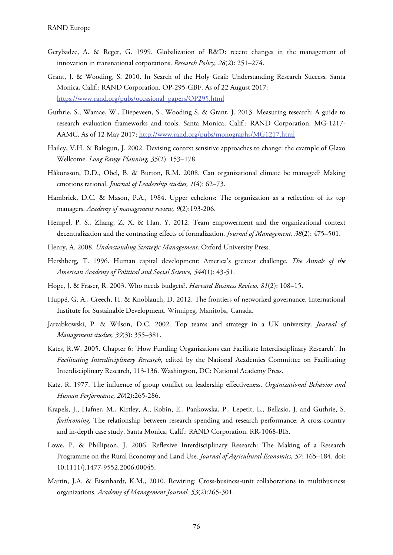- Gerybadze, A. & Reger, G. 1999. Globalization of R&D: recent changes in the management of innovation in transnational corporations. *Research Policy, 28*(2): 251–274.
- Grant, J. & Wooding, S. 2010. In Search of the Holy Grail: Understanding Research Success. Santa Monica, Calif.: RAND Corporation. OP-295-GBF. As of 22 August 2017: [https://www.rand.org/pubs/occasional\\_papers/OP295.html](https://www.rand.org/pubs/occasional_papers/OP295.html)
- Guthrie, S., Wamae, W., Diepeveen, S., Wooding S. & Grant, J. 2013. Measuring research: A guide to research evaluation frameworks and tools. Santa Monica, Calif.: RAND Corporation. MG-1217- AAMC. As of 12 May 2017: <http://www.rand.org/pubs/monographs/MG1217.html>
- Hailey, V.H. & Balogun, J. 2002. Devising context sensitive approaches to change: the example of Glaxo Wellcome. *Long Range Planning, 35*(2): 153–178.
- Håkonsson, D.D., Obel, B. & Burton, R.M. 2008. Can organizational climate be managed? Making emotions rational. *Journal of Leadership studies, 1*(4): 62–73.
- Hambrick, D.C. & Mason, P.A., 1984. Upper echelons: The organization as a reflection of its top managers. *Academy of management review, 9*(2):193-206.
- Hempel, P. S., Zhang, Z. X. & Han, Y. 2012. Team empowerment and the organizational context decentralization and the contrasting effects of formalization. *Journal of Management, 38*(2): 475–501.
- Henry, A. 2008. *Understanding Strategic Management*. Oxford University Press.
- Hershberg, T. 1996. Human capital development: America's greatest challenge. *The Annals of the American Academy of Political and Social Science, 544*(1): 43-51.
- Hope, J. & Fraser, R. 2003. Who needs budgets?. *Harvard Business Review, 81*(2): 108–15.
- Huppé, G. A., Creech, H. & Knoblauch, D. 2012. The frontiers of networked governance. International Institute for Sustainable Development. Winnipeg, Manitoba, Canada.
- Jarzabkowski, P. & Wilson, D.C. 2002. Top teams and strategy in a UK university. *Journal of Management studies, 39*(3): 355–381.
- Kates, R.W. 2005. Chapter 6: 'How Funding Organizations can Facilitate Interdisciplinary Research'. In *Facilitating Interdisciplinary Research*, edited by the National Academies Committee on Facilitating Interdisciplinary Research, 113-136. Washington, DC: National Academy Press.
- Katz, R. 1977. The influence of group conflict on leadership effectiveness. *Organizational Behavior and Human Performance, 20*(2):265-286.
- Krapels, J., Hafner, M., Kirtley, A., Robin, E., Pankowska, P., Lepetit, L., Bellasio, J. and Guthrie, S. *forthcoming*. The relationship between research spending and research performance: A cross-country and in-depth case study. Santa Monica, Calif.: RAND Corporation. RR-1068-BIS.
- Lowe, P. & Phillipson, J. 2006. Reflexive Interdisciplinary Research: The Making of a Research Programme on the Rural Economy and Land Use. *Journal of Agricultural Economics, 57*: 165–184. doi: 10.1111/j.1477-9552.2006.00045.
- Martin, J.A. & Eisenhardt, K.M., 2010. Rewiring: Cross-business-unit collaborations in multibusiness organizations. *Academy of Management Journal, 53*(2):265-301.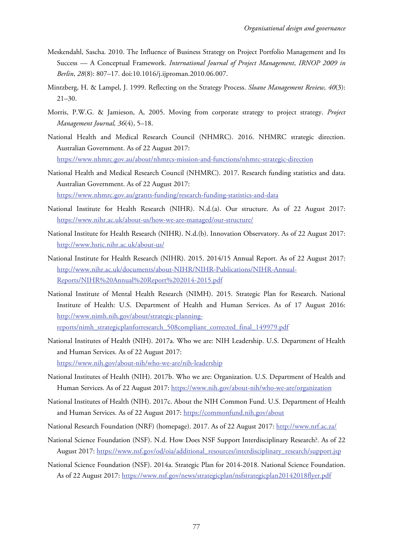- Meskendahl, Sascha. 2010. The Influence of Business Strategy on Project Portfolio Management and Its Success — A Conceptual Framework. *International Journal of Project Management*, *IRNOP 2009 in Berlin*, *28*(8): 807–17. doi:10.1016/j.ijproman.2010.06.007.
- Mintzberg, H. & Lampel, J. 1999. Reflecting on the Strategy Process. *Sloane Management Review, 40*(3): 21–30.
- Morris, P.W.G. & Jamieson, A, 2005. Moving from corporate strategy to project strategy. *Project Management Journal, 36*(4), 5–18.
- National Health and Medical Research Council (NHMRC). 2016. NHMRC strategic direction. Australian Government. As of 22 August 2017: <https://www.nhmrc.gov.au/about/nhmrcs-mission-and-functions/nhmrc-strategic-direction>
- National Health and Medical Research Council (NHMRC). 2017. Research funding statistics and data. Australian Government. As of 22 August 2017: <https://www.nhmrc.gov.au/grants-funding/research-funding-statistics-and-data>
- National Institute for Health Research (NIHR). N.d.(a). Our structure. As of 22 August 2017: <https://www.nihr.ac.uk/about-us/how-we-are-managed/our-structure/>
- National Institute for Health Research (NIHR). N.d.(b). Innovation Observatory. As of 22 August 2017: <http://www.hsric.nihr.ac.uk/about-us/>
- National Institute for Health Research (NIHR). 2015. 2014/15 Annual Report. As of 22 August 2017: [http://www.nihr.ac.uk/documents/about-NIHR/NIHR-Publications/NIHR-Annual-](http://www.nihr.ac.uk/documents/about-NIHR/NIHR-Publications/NIHR-Annual-Reports/NIHR%20Annual%20Report%202014-2015.pdf)Reports/NIHR%20Annual%20Report%202014-2015.pdf
- National Institute of Mental Health Research (NIMH). 2015. Strategic Plan for Research. National Institute of Health: U.S. Department of Health and Human Services. As of 17 August 2016: http://www.nimh.nih.gov/about/strategic-planning[reports/nimh\\_strategicplanforresearch\\_508compliant\\_corrected\\_final\\_149979.pdf](http://www.nimh.nih.gov/about/strategic-planning-reports/nimh_strategicplanforresearch_508compliant_corrected_final_149979.pdf)
- National Institutes of Health (NIH). 2017a. Who we are: NIH Leadership. U.S. Department of Health and Human Services. As of 22 August 2017: <https://www.nih.gov/about-nih/who-we-are/nih-leadership>
- National Institutes of Health (NIH). 2017b. Who we are: Organization. U.S. Department of Health and Human Services. As of 22 August 2017:<https://www.nih.gov/about-nih/who-we-are/organization>
- National Institutes of Health (NIH). 2017c. About the NIH Common Fund. U.S. Department of Health and Human Services. As of 22 August 2017:<https://commonfund.nih.gov/about>
- National Research Foundation (NRF) (homepage). 2017. As of 22 August 2017: <http://www.nrf.ac.za/>
- National Science Foundation (NSF). N.d. How Does NSF Support Interdisciplinary Research?. As of 22 August 2017: https://www.nsf.gov/od/oia/additional\_resources/interdisciplinary\_research/support.jsp
- National Science Foundation (NSF). 2014a. Strategic Plan for 2014-2018. National Science Foundation. As of 22 August 2017: <https://www.nsf.gov/news/strategicplan/nsfstrategicplan20142018flyer.pdf>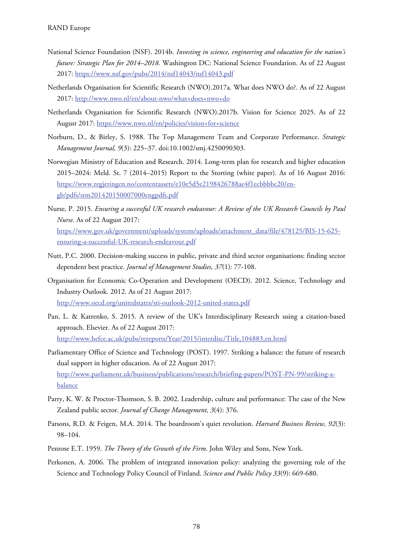- National Science Foundation (NSF). 2014b. *Investing in science, engineering and education for the nation's future: Strategic Plan for 2014–2018.* Washington DC: National Science Foundation. As of 22 August 2017: <https://www.nsf.gov/pubs/2014/nsf14043/nsf14043.pdf>
- Netherlands Organisation for Scientific Research (NWO).2017a. What does NWO do?. As of 22 August 2017: <http://www.nwo.nl/en/about-nwo/what+does+nwo+do>
- Netherlands Organisation for Scientific Research (NWO).2017b. Vision for Science 2025. As of 22 August 2017:<https://www.nwo.nl/en/policies/vision+for+science>
- Norburn, D., & Birley, S. 1988. The Top Management Team and Corporate Performance. *Strategic Management Journal, 9*(3): 225–37. doi:10.1002/smj.4250090303.
- Norwegian Ministry of Education and Research. 2014. Long-term plan for research and higher education 2015–2024: Meld. St. 7 (2014–2015) Report to the Storting (white paper). As of 16 August 2016: [https://www.regjeringen.no/contentassets/e10e5d5e2198426788ae4f1ecbbbbc20/en](https://www.regjeringen.no/contentassets/e10e5d5e2198426788ae4f1ecbbbbc20/en-gb/pdfs/stm201420150007000engpdfs.pdf)gb/pdfs/stm201420150007000engpdfs.pdf
- Nurse, P. 2015. *Ensuring a successful UK research endeavour: A Review of the UK Research Councils by Paul Nurse.* As of 22 August 2017: [https://www.gov.uk/government/uploads/system/uploads/attachment\\_data/file/478125/BIS-15-625](https://www.gov.uk/government/uploads/system/uploads/attachment_data/file/478125/BIS-15-625-ensuring-a-successful-UK-research-endeavour.pdf) ensuring-a-successful-UK-research-endeavour.pdf
- Nutt, P.C. 2000. Decision‐making success in public, private and third sector organisations: finding sector dependent best practice. *Journal of Management Studies, 37*(1): 77-108.
- Organisation for Economic Co-Operation and Development (OECD). 2012. Science, Technology and Industry Outlook. 2012. As of 21 August 2017: <http://www.oecd.org/unitedstates/sti-outlook-2012-united-states.pdf>
- Pan, L. & Katrenko, S. 2015. A review of the UK's Interdisciplinary Research using a citation-based approach. Elsevier. As of 22 August 2017: <http://www.hefce.ac.uk/pubs/rereports/Year/2015/interdisc/Title,104883,en.html>
- Parliamentary Office of Science and Technology (POST). 1997. Striking a balance: the future of research dual support in higher education. As of 22 August 2017: [http://www.parliament.uk/business/publications/research/briefing-papers/POST-PN-99/striking-a](http://www.parliament.uk/business/publications/research/briefing-papers/POST-PN-99/striking-a-balanceParry)balance
- Parry, K. W. & Proctor-Thomson, S. B. 2002. Leadership, culture and performance: The case of the New Zealand public sector. *Journal of Change Management, 3*(4): 376.
- Parsons, R.D. & Feigen, M.A. 2014. The boardroom's quiet revolution. *Harvard Business Review, 92*(3): 98–104.
- Penrose E.T. 1959. *The Theory of the Growth of the Firm*. John Wiley and Sons, New York.
- Perkonen, A. 2006. The problem of integrated innovation policy: analyzing the governing role of the Science and Technology Policy Council of Finland. *Science and Public Policy 33*(9): 669-680.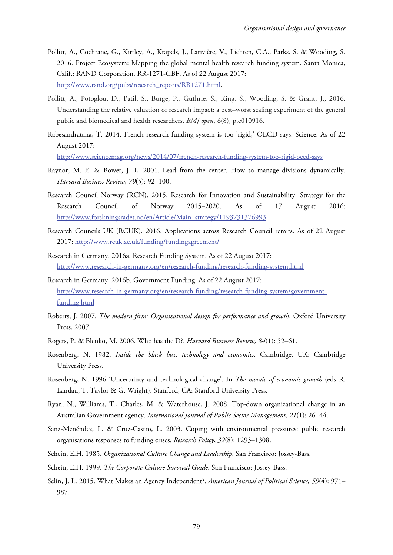- Pollitt, A., Cochrane, G., Kirtley, A., Krapels, J., Larivière, V., Lichten, C.A., Parks. S. & Wooding, S. 2016. Project Ecosystem: Mapping the global mental health research funding system. Santa Monica, Calif.: RAND Corporation. RR-1271-GBF. As of 22 August 2017: [http://www.rand.org/pubs/research\\_reports/RR1271.html.](http://www.rand.org/pubs/research_reports/RR1271.html)
- Pollitt, A., Potoglou, D., Patil, S., Burge, P., Guthrie, S., King, S., Wooding, S. & Grant, J., 2016. Understanding the relative valuation of research impact: a best–worst scaling experiment of the general public and biomedical and health researchers. *BMJ open*, *6*(8), p.e010916.
- Rabesandratana, T. 2014. French research funding system is too 'rigid,' OECD says. Science. As of 22 August 2017:

<http://www.sciencemag.org/news/2014/07/french-research-funding-system-too-rigid-oecd-says>

- Raynor, M. E. & Bower, J. L. 2001. Lead from the center. How to manage divisions dynamically. *Harvard Business Review*, *79*(5): 92–100.
- Research Council Norway (RCN). 2015. Research for Innovation and Sustainability: Strategy for the Research Council of Norway 2015–2020. As of 17 August 2016: [http://www.forskningsradet.no/en/Article/Main\\_strategy/1193731376993](http://www.forskningsradet.no/en/Article/Main_strategy/1193731376993)
- Research Councils UK (RCUK). 2016. Applications across Research Council remits. As of 22 August 2017: <http://www.rcuk.ac.uk/funding/fundingagreement/>
- Research in Germany. 2016a. Research Funding System. As of 22 August 2017: <http://www.research-in-germany.org/en/research-funding/research-funding-system.html>
- Research in Germany. 2016b. Government Funding. As of 22 August 2017: [http://www.research-in-germany.org/en/research-funding/research-funding-system/government](http://www.research-in-germany.org/en/research-funding/research-funding-system/government-funding.html)funding.html
- Roberts, J. 2007. *The modern firm: Organizational design for performance and growth*. Oxford University Press, 2007.
- Rogers, P. & Blenko, M. 2006. Who has the D?. *Harvard Business Review, 84*(1): 52–61.
- Rosenberg, N. 1982. *Inside the black box: technology and economics*. Cambridge, UK: Cambridge University Press.
- Rosenberg, N. 1996 'Uncertainty and technological change'. In *The mosaic of economic growth* (eds R. Landau, T. Taylor & G. Wright). Stanford, CA: Stanford University Press.
- Ryan, N., Williams, T., Charles, M. & Waterhouse, J. 2008. Top-down organizational change in an Australian Government agency. *International Journal of Public Sector Management, 21*(1): 26–44.
- Sanz-Menéndez, L. & Cruz-Castro, L. 2003. Coping with environmental pressures: public research organisations responses to funding crises. *Research Policy*, *32*(8): 1293–1308.
- Schein, E.H. 1985. *Organizational Culture Change and Leadership*. San Francisco: Jossey-Bass.
- Schein, E.H. 1999. *The Corporate Culture Survival Guide.* San Francisco: Jossey-Bass.
- Selin, J. L. 2015. What Makes an Agency Independent?. *American Journal of Political Science, 59*(4): 971– 987.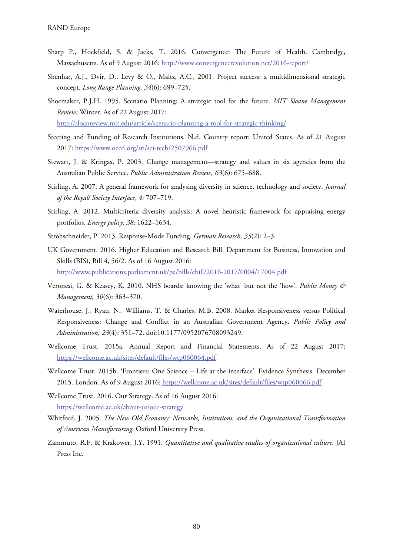- Sharp P., Hockfield, S. & Jacks, T. 2016. Convergence: The Future of Health. Cambridge, Massachusetts. As of 9 August 2016: <http://www.convergencerevolution.net/2016-report/>
- Shenhar, A.J., Dvir, D., Levy & O., Maltz, A.C., 2001. Project success: a multidimensional strategic concept. *Long Range Planning, 34*(6): 699–725.
- Shoemaker, P.J.H. 1995. Scenario Planning: A strategic tool for the future. *MIT Sloane Management Review:* Winter. As of 22 August 2017: <http://sloanreview.mit.edu/article/scenario-planning-a-tool-for-strategic-thinking/>
- Steering and Funding of Research Institutions. N.d. Country report: United States. As of 21 August 2017: <https://www.oecd.org/sti/sci-tech/2507966.pdf>
- Stewart, J. & Kringas, P. 2003. Change management—strategy and values in six agencies from the Australian Public Service. *Public Administration Review, 63*(6): 675–688.
- Stirling, A. 2007. A general framework for analysing diversity in science, technology and society. *Journal of the Royal/ Society Interface*, *4*: 707–719.
- Stirling, A. 2012. Multicriteria diversity analysis: A novel heuristic framework for appraising energy portfolios. *Energy policy, 38*: 1622–1634.
- Strohschneider, P. 2013. Response‐Mode Funding. *German Research, 35*(2): 2–3.
- UK Government. 2016. Higher Education and Research Bill. Department for Business, Innovation and Skills (BIS), Bill 4, 56/2. As of 16 August 2016: <http://www.publications.parliament.uk/pa/bills/cbill/2016-2017/0004/17004.pdf>
- Veronesi, G. & Keasey, K. 2010. NHS boards: knowing the 'what' but not the 'how'. *Public Money & Management, 30*(6): 363–370.
- Waterhouse, J., Ryan, N., Williams, T. & Charles, M.B. 2008. Market Responsiveness versus Political Responsiveness: Change and Conflict in an Australian Government Agency. *Public Policy and Administration, 23*(4): 351–72. doi:10.1177/0952076708093249.
- Wellcome Trust. 2015a. Annual Report and Financial Statements. As of 22 August 2017: <https://wellcome.ac.uk/sites/default/files/wtp060064.pdf>
- Wellcome Trust. 2015b. 'Frontiers: One Science Life at the interface'. Evidence Synthesis. December 2015. London. As of 9 August 2016:<https://wellcome.ac.uk/sites/default/files/wtp060066.pdf>
- Wellcome Trust. 2016. Our Strategy. As of 16 August 2016: <https://wellcome.ac.uk/about-us/our-strategy>
- Whitford, J. 2005. *The New Old Economy: Networks, Institutions, and the Organizational Transformation of American Manufacturing*. Oxford University Press.
- Zammuto, R.F. & Krakower, J.Y. 1991. *Quantitative and qualitative studies of organizational culture*. JAI Press Inc.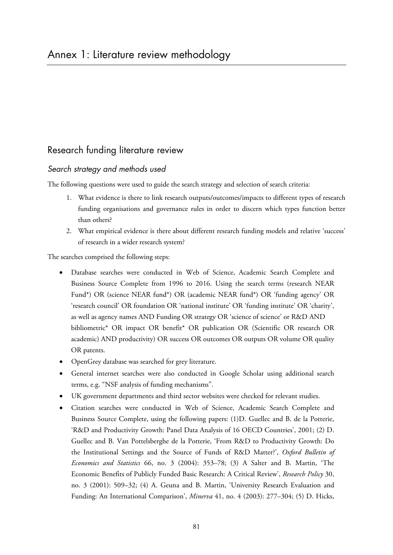## Research funding literature review

## Search strategy and methods used

The following questions were used to guide the search strategy and selection of search criteria:

- 1. What evidence is there to link research outputs/outcomes/impacts to different types of research funding organisations and governance rules in order to discern which types function better than others?
- 2. What empirical evidence is there about different research funding models and relative 'success' of research in a wider research system?

The searches comprised the following steps:

- Database searches were conducted in Web of Science, Academic Search Complete and Business Source Complete from 1996 to 2016. Using the search terms (research NEAR Fund\*) OR (science NEAR fund\*) OR (academic NEAR fund\*) OR 'funding agency' OR 'research council' OR foundation OR 'national institute' OR 'funding institute' OR 'charity', as well as agency names AND Funding OR strategy OR 'science of science' or R&D AND bibliometric\* OR impact OR benefit\* OR publication OR (Scientific OR research OR academic) AND productivity) OR success OR outcomes OR outputs OR volume OR quality OR patents.
- OpenGrey database was searched for grey literature.
- General internet searches were also conducted in Google Scholar using additional search terms, e.g. "NSF analysis of funding mechanisms".
- UK government departments and third sector websites were checked for relevant studies.
- Citation searches were conducted in Web of Science, Academic Search Complete and Business Source Complete, using the following papers: (1)D. Guellec and B. de la Potterie, 'R&D and Productivity Growth: Panel Data Analysis of 16 OECD Countries', 2001; (2) D. Guellec and B. Van Pottelsberghe de la Potterie, 'From R&D to Productivity Growth: Do the Institutional Settings and the Source of Funds of R&D Matter?', *Oxford Bulletin of Economics and Statistics* 66, no. 3 (2004): 353–78; (3) A Salter and B. Martin, 'The Economic Benefits of Publicly Funded Basic Research: A Critical Review', *Research Policy* 30, no. 3 (2001): 509–32; (4) A. Geuna and B. Martin, 'University Research Evaluation and Funding: An International Comparison', *Minerva* 41, no. 4 (2003): 277–304; (5) D. Hicks,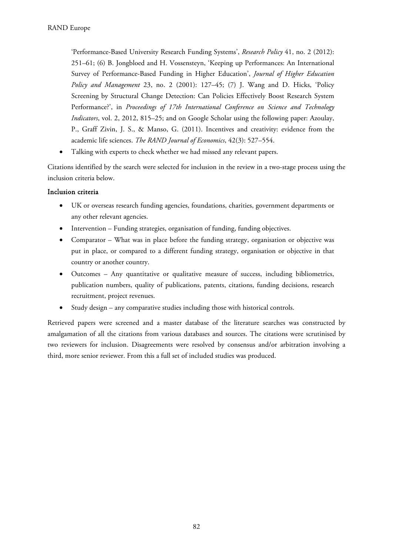'Performance-Based University Research Funding Systems', *Research Policy* 41, no. 2 (2012): 251–61; (6) B. Jongbloed and H. Vossensteyn, 'Keeping up Performances: An International Survey of Performance-Based Funding in Higher Education', *Journal of Higher Education Policy and Management* 23, no. 2 (2001): 127–45; (7) J. Wang and D. Hicks, 'Policy Screening by Structural Change Detection: Can Policies Effectively Boost Research System Performance?', in *Proceedings of 17th International Conference on Science and Technology Indicators*, vol. 2, 2012, 815–25; and on Google Scholar using the following paper: Azoulay, P., Graff Zivin, J. S., & Manso, G. (2011). Incentives and creativity: evidence from the academic life sciences. *The RAND Journal of Economics*, 42(3): 527–554.

Talking with experts to check whether we had missed any relevant papers.

Citations identified by the search were selected for inclusion in the review in a two-stage process using the inclusion criteria below.

#### Inclusion criteria

- UK or overseas research funding agencies, foundations, charities, government departments or any other relevant agencies.
- Intervention Funding strategies, organisation of funding, funding objectives.
- Comparator What was in place before the funding strategy, organisation or objective was put in place, or compared to a different funding strategy, organisation or objective in that country or another country.
- Outcomes Any quantitative or qualitative measure of success, including bibliometrics, publication numbers, quality of publications, patents, citations, funding decisions, research recruitment, project revenues.
- Study design any comparative studies including those with historical controls.

Retrieved papers were screened and a master database of the literature searches was constructed by amalgamation of all the citations from various databases and sources. The citations were scrutinised by two reviewers for inclusion. Disagreements were resolved by consensus and/or arbitration involving a third, more senior reviewer. From this a full set of included studies was produced.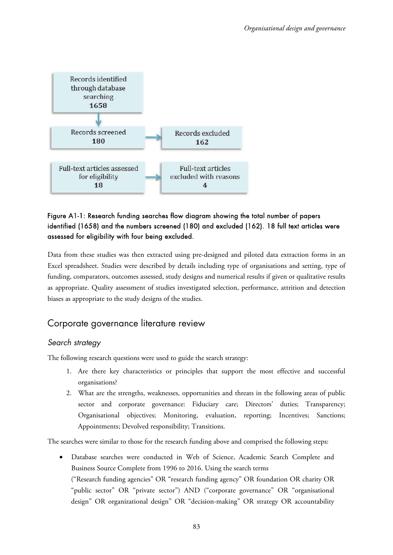

## Figure A1-1: Research funding searches flow diagram showing the total number of papers identified (1658) and the numbers screened (180) and excluded (162). 18 full text articles were assessed for eligibility with four being excluded.

Data from these studies was then extracted using pre-designed and piloted data extraction forms in an Excel spreadsheet. Studies were described by details including type of organisations and setting, type of funding, comparators, outcomes assessed, study designs and numerical results if given or qualitative results as appropriate. Quality assessment of studies investigated selection, performance, attrition and detection biases as appropriate to the study designs of the studies.

## Corporate governance literature review

## Search strategy

The following research questions were used to guide the search strategy:

- 1. Are there key characteristics or principles that support the most effective and successful organisations?
- 2. What are the strengths, weaknesses, opportunities and threats in the following areas of public sector and corporate governance: Fiduciary care; Directors' duties; Transparency; Organisational objectives; Monitoring, evaluation, reporting; Incentives; Sanctions; Appointments; Devolved responsibility; Transitions.

The searches were similar to those for the research funding above and comprised the following steps:

 Database searches were conducted in Web of Science, Academic Search Complete and Business Source Complete from 1996 to 2016. Using the search terms ("Research funding agencies" OR "research funding agency" OR foundation OR charity OR "public sector" OR "private sector") AND ("corporate governance" OR "organisational design" OR organizational design" OR "decision-making" OR strategy OR accountability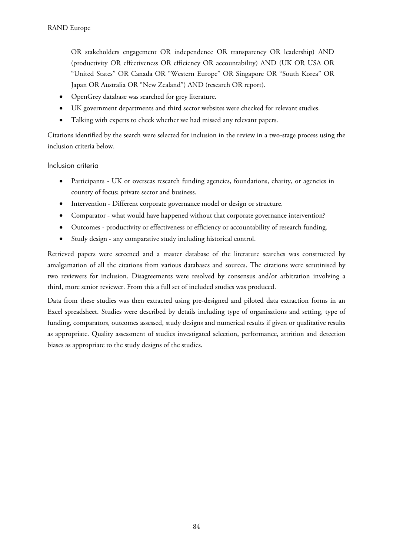OR stakeholders engagement OR independence OR transparency OR leadership) AND (productivity OR effectiveness OR efficiency OR accountability) AND (UK OR USA OR "United States" OR Canada OR "Western Europe" OR Singapore OR "South Korea" OR Japan OR Australia OR "New Zealand") AND (research OR report).

- OpenGrey database was searched for grey literature.
- UK government departments and third sector websites were checked for relevant studies.
- Talking with experts to check whether we had missed any relevant papers.

Citations identified by the search were selected for inclusion in the review in a two-stage process using the inclusion criteria below.

#### Inclusion criteria

- Participants UK or overseas research funding agencies, foundations, charity, or agencies in country of focus; private sector and business.
- Intervention Different corporate governance model or design or structure.
- Comparator what would have happened without that corporate governance intervention?
- Outcomes productivity or effectiveness or efficiency or accountability of research funding.
- Study design any comparative study including historical control.

Retrieved papers were screened and a master database of the literature searches was constructed by amalgamation of all the citations from various databases and sources. The citations were scrutinised by two reviewers for inclusion. Disagreements were resolved by consensus and/or arbitration involving a third, more senior reviewer. From this a full set of included studies was produced.

Data from these studies was then extracted using pre-designed and piloted data extraction forms in an Excel spreadsheet. Studies were described by details including type of organisations and setting, type of funding, comparators, outcomes assessed, study designs and numerical results if given or qualitative results as appropriate. Quality assessment of studies investigated selection, performance, attrition and detection biases as appropriate to the study designs of the studies.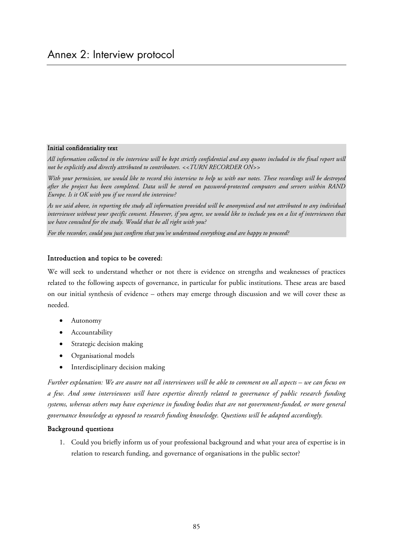#### Initial confidentiality text

*All information collected in the interview will be kept strictly confidential and any quotes included in the final report will not be explicitly and directly attributed to contributors. <<TURN RECORDER ON>>* 

*With your permission, we would like to record this interview to help us with our notes. These recordings will be destroyed after the project has been completed. Data will be stored on password-protected computers and servers within RAND Europe. Is it OK with you if we record the interview?* 

*As we said above, in reporting the study all information provided will be anonymised and not attributed to any individual interviewee without your specific consent. However, if you agree, we would like to include you on a list of interviewees that we have consulted for the study. Would that be all right with you?* 

*For the recorder, could you just confirm that you've understood everything and are happy to proceed?* 

#### Introduction and topics to be covered:

We will seek to understand whether or not there is evidence on strengths and weaknesses of practices related to the following aspects of governance, in particular for public institutions. These areas are based on our initial synthesis of evidence – others may emerge through discussion and we will cover these as needed.

- Autonomy
- Accountability
- Strategic decision making
- Organisational models
- Interdisciplinary decision making

*Further explanation: We are aware not all interviewees will be able to comment on all aspects – we can focus on a few. And some interviewees will have expertise directly related to governance of public research funding systems, whereas others may have experience in funding bodies that are not government-funded, or more general governance knowledge as opposed to research funding knowledge. Questions will be adapted accordingly.*

#### Background questions

1. Could you briefly inform us of your professional background and what your area of expertise is in relation to research funding, and governance of organisations in the public sector?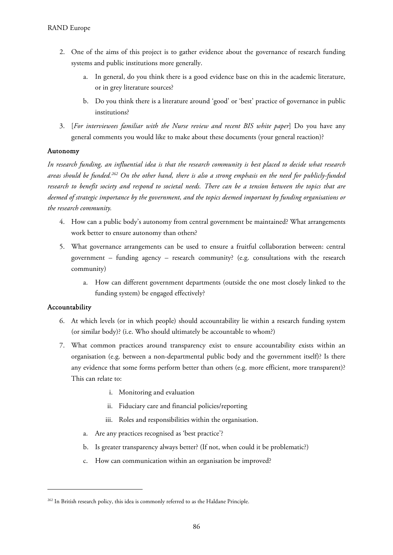- 2. One of the aims of this project is to gather evidence about the governance of research funding systems and public institutions more generally.
	- a. In general, do you think there is a good evidence base on this in the academic literature, or in grey literature sources?
	- b. Do you think there is a literature around 'good' or 'best' practice of governance in public institutions?
- 3. [*For interviewees familiar with the Nurse review and recent BIS white paper*] Do you have any general comments you would like to make about these documents (your general reaction)?

#### Autonomy

*In research funding, an influential idea is that the research community is best placed to decide what research areas should be funded.262 On the other hand, there is also a strong emphasis on the need for publicly-funded research to benefit society and respond to societal needs. There can be a tension between the topics that are deemed of strategic importance by the government, and the topics deemed important by funding organisations or the research community.* 

- 4. How can a public body's autonomy from central government be maintained? What arrangements work better to ensure autonomy than others?
- 5. What governance arrangements can be used to ensure a fruitful collaboration between: central government – funding agency – research community? (e.g. consultations with the research community)
	- a. How can different government departments (outside the one most closely linked to the funding system) be engaged effectively?

#### Accountability

- 6. At which levels (or in which people) should accountability lie within a research funding system (or similar body)? (i.e. Who should ultimately be accountable to whom?)
- 7. What common practices around transparency exist to ensure accountability exists within an organisation (e.g. between a non-departmental public body and the government itself)? Is there any evidence that some forms perform better than others (e.g. more efficient, more transparent)? This can relate to:
	- i. Monitoring and evaluation
	- ii. Fiduciary care and financial policies/reporting
	- iii. Roles and responsibilities within the organisation.
	- a. Are any practices recognised as 'best practice'?
	- b. Is greater transparency always better? (If not, when could it be problematic?)
	- c. How can communication within an organisation be improved?

<sup>&</sup>lt;sup>262</sup> In British research policy, this idea is commonly referred to as the Haldane Principle.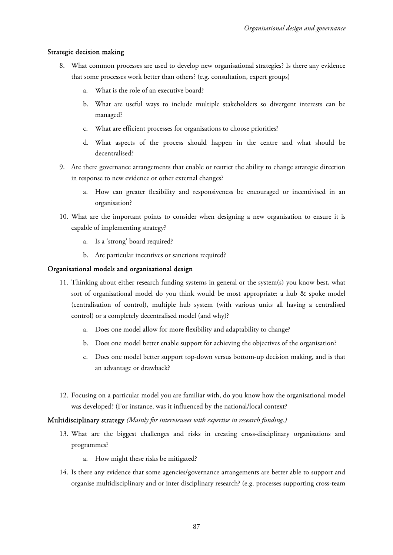#### Strategic decision making

- 8. What common processes are used to develop new organisational strategies? Is there any evidence that some processes work better than others? (e.g. consultation, expert groups)
	- a. What is the role of an executive board?
	- b. What are useful ways to include multiple stakeholders so divergent interests can be managed?
	- c. What are efficient processes for organisations to choose priorities?
	- d. What aspects of the process should happen in the centre and what should be decentralised?
- 9. Are there governance arrangements that enable or restrict the ability to change strategic direction in response to new evidence or other external changes?
	- a. How can greater flexibility and responsiveness be encouraged or incentivised in an organisation?
- 10. What are the important points to consider when designing a new organisation to ensure it is capable of implementing strategy?
	- a. Is a 'strong' board required?
	- b. Are particular incentives or sanctions required?

#### Organisational models and organisational design

- 11. Thinking about either research funding systems in general or the system(s) you know best, what sort of organisational model do you think would be most appropriate: a hub & spoke model (centralisation of control), multiple hub system (with various units all having a centralised control) or a completely decentralised model (and why)?
	- a. Does one model allow for more flexibility and adaptability to change?
	- b. Does one model better enable support for achieving the objectives of the organisation?
	- c. Does one model better support top-down versus bottom-up decision making, and is that an advantage or drawback?
- 12. Focusing on a particular model you are familiar with, do you know how the organisational model was developed? (For instance, was it influenced by the national/local context?

#### Multidisciplinary strategy *(Mainly for interviewees with expertise in research funding.)*

- 13. What are the biggest challenges and risks in creating cross-disciplinary organisations and programmes?
	- a. How might these risks be mitigated?
- 14. Is there any evidence that some agencies/governance arrangements are better able to support and organise multidisciplinary and or inter disciplinary research? (e.g. processes supporting cross-team